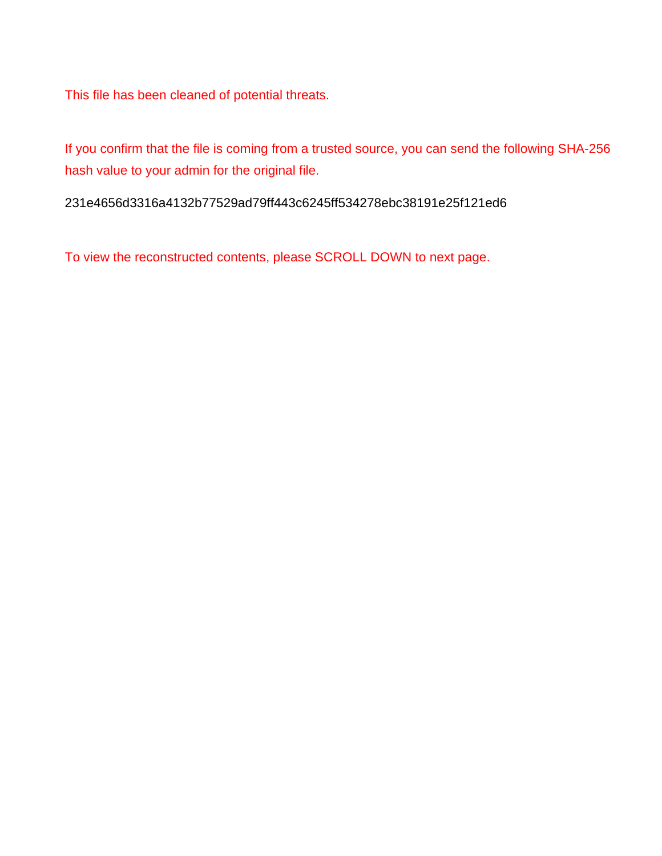This file has been cleaned of potential threats.

If you confirm that the file is coming from a trusted source, you can send the following SHA-256 hash value to your admin for the original file.

231e4656d3316a4132b77529ad79ff443c6245ff534278ebc38191e25f121ed6

To view the reconstructed contents, please SCROLL DOWN to next page.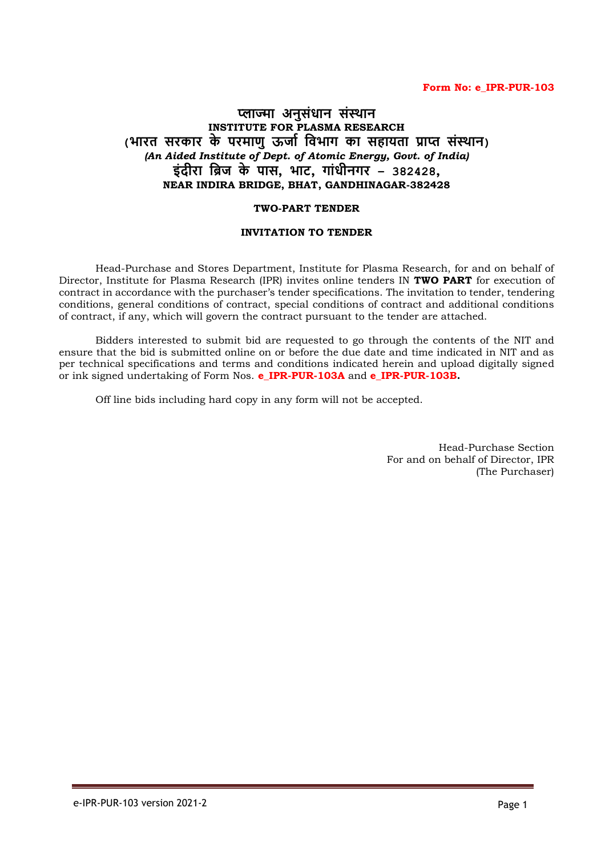#### **Form No: e\_IPR-PUR-103**

# **प्लाज्मा अनुसंधान संस्थान INSTITUTE FOR PLASMA RESEARCH (भारत सरकार के परमाणुऊर्ाा विभाग का सहायता प्राप्त संसथान)** *(An Aided Institute of Dept. of Atomic Energy, Govt. of India)* **इंदीरा विर् के पास, भाट, गांधीनगर – 382428, NEAR INDIRA BRIDGE, BHAT, GANDHINAGAR-382428**

#### **TWO-PART TENDER**

#### **INVITATION TO TENDER**

Head-Purchase and Stores Department, Institute for Plasma Research, for and on behalf of Director, Institute for Plasma Research (IPR) invites online tenders IN **TWO PART** for execution of contract in accordance with the purchaser's tender specifications. The invitation to tender, tendering conditions, general conditions of contract, special conditions of contract and additional conditions of contract, if any, which will govern the contract pursuant to the tender are attached.

Bidders interested to submit bid are requested to go through the contents of the NIT and ensure that the bid is submitted online on or before the due date and time indicated in NIT and as per technical specifications and terms and conditions indicated herein and upload digitally signed or ink signed undertaking of Form Nos. **e\_IPR-PUR-103A** and **e\_IPR-PUR-103B.** 

Off line bids including hard copy in any form will not be accepted.

Head-Purchase Section For and on behalf of Director, IPR (The Purchaser)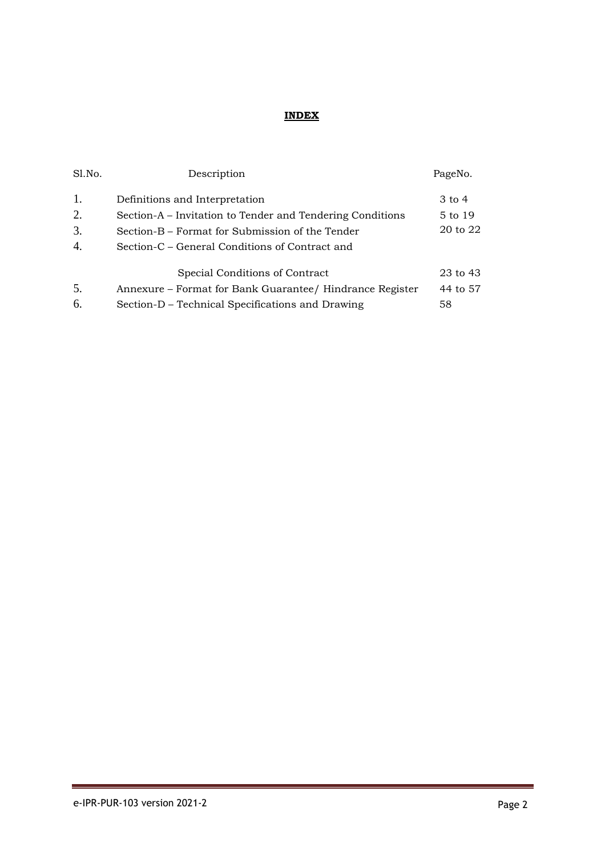# **INDEX**

| Sl.No. | Description                                               | PageNo.           |
|--------|-----------------------------------------------------------|-------------------|
| 1.     | Definitions and Interpretation                            | $3 \text{ to } 4$ |
| 2.     | Section-A – Invitation to Tender and Tendering Conditions | 5 to 19           |
| 3.     | Section-B – Format for Submission of the Tender           | 20 to 22          |
| 4.     | Section-C – General Conditions of Contract and            |                   |
|        | Special Conditions of Contract                            | 23 to 43          |
| 5.     | Annexure – Format for Bank Guarantee/ Hindrance Register  | 44 to 57          |
| 6.     | Section-D – Technical Specifications and Drawing          | 58                |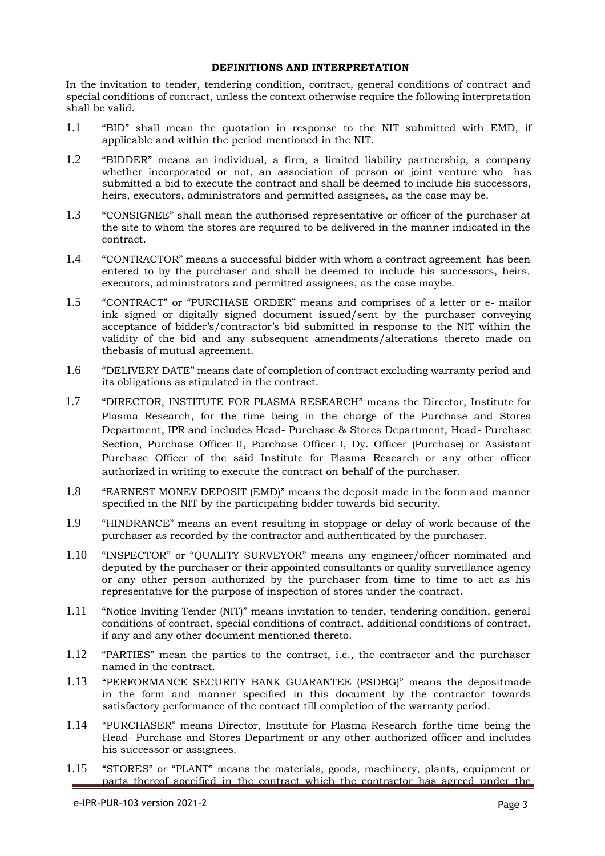#### **DEFINITIONS AND INTERPRETATION**

In the invitation to tender, tendering condition, contract, general conditions of contract and special conditions of contract, unless the context otherwise require the following interpretation shall be valid.

- 1.1 "BID" shall mean the quotation in response to the NIT submitted with EMD, if applicable and within the period mentioned in the NIT.
- 1.2 "BIDDER" means an individual, a firm, a limited liability partnership, a company whether incorporated or not, an association of person or joint venture who has submitted a bid to execute the contract and shall be deemed to include his successors, heirs, executors, administrators and permitted assignees, as the case may be.
- 1.3 "CONSIGNEE" shall mean the authorised representative or officer of the purchaser at the site to whom the stores are required to be delivered in the manner indicated in the contract.
- 1.4 "CONTRACTOR" means a successful bidder with whom a contract agreement has been entered to by the purchaser and shall be deemed to include his successors, heirs, executors, administrators and permitted assignees, as the case maybe.
- 1.5 "CONTRACT" or "PURCHASE ORDER" means and comprises of a letter or e- mailor ink signed or digitally signed document issued/sent by the purchaser conveying acceptance of bidder's/contractor's bid submitted in response to the NIT within the validity of the bid and any subsequent amendments/alterations thereto made on thebasis of mutual agreement.
- 1.6 "DELIVERY DATE" means date of completion of contract excluding warranty period and its obligations as stipulated in the contract.
- 1.7 "DIRECTOR, INSTITUTE FOR PLASMA RESEARCH" means the Director, Institute for Plasma Research, for the time being in the charge of the Purchase and Stores Department, IPR and includes Head- Purchase & Stores Department, Head- Purchase Section, Purchase Officer-II, Purchase Officer-I, Dy. Officer (Purchase) or Assistant Purchase Officer of the said Institute for Plasma Research or any other officer authorized in writing to execute the contract on behalf of the purchaser.
- 1.8 "EARNEST MONEY DEPOSIT (EMD)" means the deposit made in the form and manner specified in the NIT by the participating bidder towards bid security.
- 1.9 "HINDRANCE" means an event resulting in stoppage or delay of work because of the purchaser as recorded by the contractor and authenticated by the purchaser.
- 1.10 "INSPECTOR" or "QUALITY SURVEYOR" means any engineer/officer nominated and deputed by the purchaser or their appointed consultants or quality surveillance agency or any other person authorized by the purchaser from time to time to act as his representative for the purpose of inspection of stores under the contract.
- 1.11 "Notice Inviting Tender (NIT)" means invitation to tender, tendering condition, general conditions of contract, special conditions of contract, additional conditions of contract, if any and any other document mentioned thereto.
- 1.12 "PARTIES" mean the parties to the contract, i.e., the contractor and the purchaser named in the contract.
- 1.13 "PERFORMANCE SECURITY BANK GUARANTEE (PSDBG)" means the depositmade in the form and manner specified in this document by the contractor towards satisfactory performance of the contract till completion of the warranty period.
- 1.14 "PURCHASER" means Director, Institute for Plasma Research forthe time being the Head- Purchase and Stores Department or any other authorized officer and includes his successor or assignees.
- 1.15 "STORES" or "PLANT" means the materials, goods, machinery, plants, equipment or parts thereof specified in the contract which the contractor has agreed under the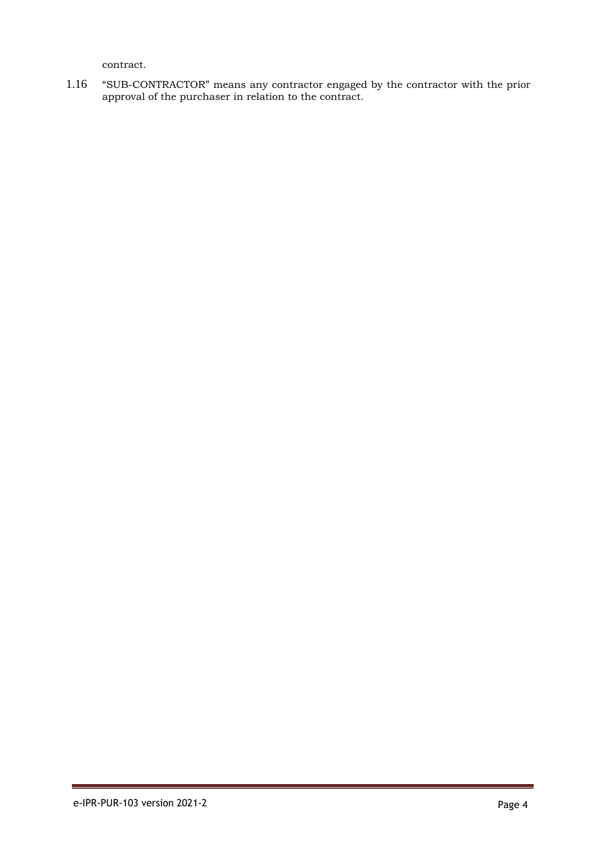contract.

1.16 "SUB-CONTRACTOR" means any contractor engaged by the contractor with the prior approval of the purchaser in relation to the contract.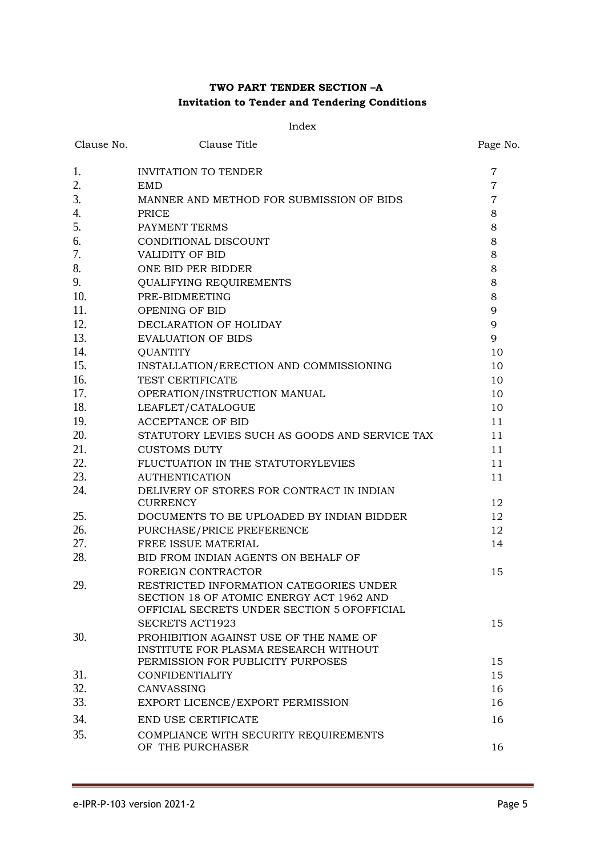# **TWO PART TENDER SECTION –A Invitation to Tender and Tendering Conditions**

#### Index

| Clause No. | Clause Title                                                                    | Page No.       |
|------------|---------------------------------------------------------------------------------|----------------|
| 1.         | <b>INVITATION TO TENDER</b>                                                     | 7              |
| 2.         | <b>EMD</b>                                                                      | $\overline{7}$ |
| 3.         | MANNER AND METHOD FOR SUBMISSION OF BIDS                                        | $\overline{7}$ |
| 4.         | PRICE                                                                           | 8              |
| 5.         | PAYMENT TERMS                                                                   | 8              |
| 6.         | CONDITIONAL DISCOUNT                                                            | 8              |
| 7.         | <b>VALIDITY OF BID</b>                                                          | 8              |
| 8.         | ONE BID PER BIDDER                                                              | 8              |
| 9.         | QUALIFYING REQUIREMENTS                                                         | 8              |
| 10.        | PRE-BIDMEETING                                                                  | 8              |
| 11.        | OPENING OF BID                                                                  | 9              |
| 12.        | DECLARATION OF HOLIDAY                                                          | 9              |
| 13.        | <b>EVALUATION OF BIDS</b>                                                       | 9              |
| 14.        | <b>QUANTITY</b>                                                                 | 10             |
| 15.        | INSTALLATION/ERECTION AND COMMISSIONING                                         | 10             |
| 16.        | TEST CERTIFICATE                                                                | 10             |
| 17.        | OPERATION/INSTRUCTION MANUAL                                                    | 10             |
| 18.        | LEAFLET/CATALOGUE                                                               | 10             |
| 19.        | <b>ACCEPTANCE OF BID</b>                                                        | 11             |
| 20.        | STATUTORY LEVIES SUCH AS GOODS AND SERVICE TAX                                  | 11             |
| 21.        | <b>CUSTOMS DUTY</b>                                                             | 11             |
| 22.        | FLUCTUATION IN THE STATUTORYLEVIES                                              | 11             |
| 23.        | <b>AUTHENTICATION</b>                                                           | 11             |
| 24.        | DELIVERY OF STORES FOR CONTRACT IN INDIAN<br><b>CURRENCY</b>                    | 12             |
| 25.        | DOCUMENTS TO BE UPLOADED BY INDIAN BIDDER                                       | 12             |
| 26.        | PURCHASE/PRICE PREFERENCE                                                       | 12             |
| 27.        | FREE ISSUE MATERIAL                                                             | 14             |
| 28.        | BID FROM INDIAN AGENTS ON BEHALF OF                                             |                |
|            | FOREIGN CONTRACTOR                                                              | 15             |
| 29.        | RESTRICTED INFORMATION CATEGORIES UNDER                                         |                |
|            | SECTION 18 OF ATOMIC ENERGY ACT 1962 AND                                        |                |
|            | OFFICIAL SECRETS UNDER SECTION 5 OFOFFICIAL                                     |                |
|            | <b>SECRETS ACT1923</b>                                                          | 15             |
| 30.        | PROHIBITION AGAINST USE OF THE NAME OF<br>INSTITUTE FOR PLASMA RESEARCH WITHOUT |                |
|            | PERMISSION FOR PUBLICITY PURPOSES                                               | 15             |
| 31.        | <b>CONFIDENTIALITY</b>                                                          | 15             |
| 32.        | CANVASSING                                                                      | 16             |
| 33.        | EXPORT LICENCE/EXPORT PERMISSION                                                | 16             |
| 34.        | END USE CERTIFICATE                                                             | 16             |
| 35.        | COMPLIANCE WITH SECURITY REQUIREMENTS                                           |                |
|            | OF THE PURCHASER                                                                | 16             |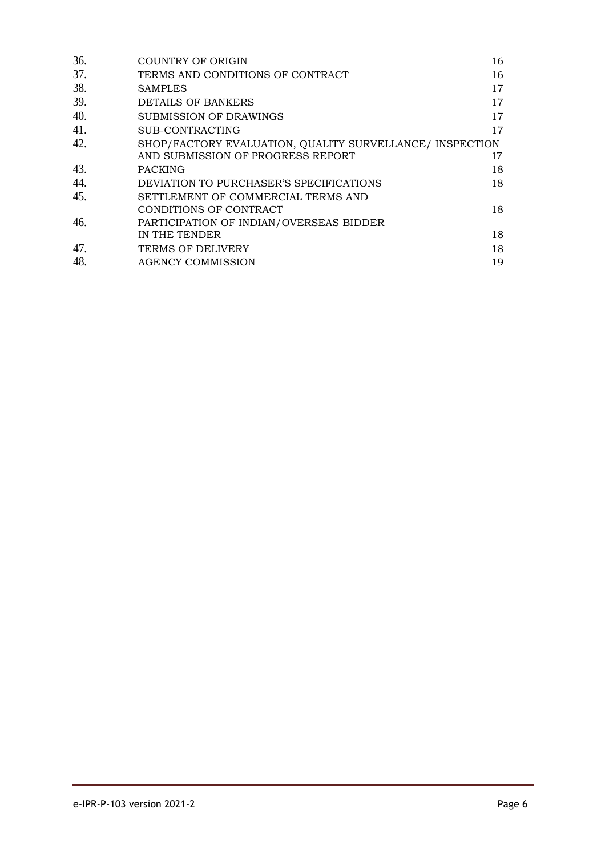| 36. | COUNTRY OF ORIGIN                                        | 16 |
|-----|----------------------------------------------------------|----|
| 37. | TERMS AND CONDITIONS OF CONTRACT                         | 16 |
| 38. | <b>SAMPLES</b>                                           | 17 |
| 39. | DETAILS OF BANKERS                                       | 17 |
| 40. | SUBMISSION OF DRAWINGS                                   | 17 |
| 41. | SUB-CONTRACTING                                          | 17 |
| 42. | SHOP/FACTORY EVALUATION, QUALITY SURVELLANCE/ INSPECTION |    |
|     | AND SUBMISSION OF PROGRESS REPORT                        | 17 |
| 43. | <b>PACKING</b>                                           | 18 |
| 44. | DEVIATION TO PURCHASER'S SPECIFICATIONS                  | 18 |
| 45. | SETTLEMENT OF COMMERCIAL TERMS AND                       |    |
|     | CONDITIONS OF CONTRACT                                   | 18 |
| 46. | PARTICIPATION OF INDIAN/OVERSEAS BIDDER                  |    |
|     | IN THE TENDER                                            | 18 |
| 47. | <b>TERMS OF DELIVERY</b>                                 | 18 |
| 48. | <b>AGENCY COMMISSION</b>                                 | 19 |
|     |                                                          |    |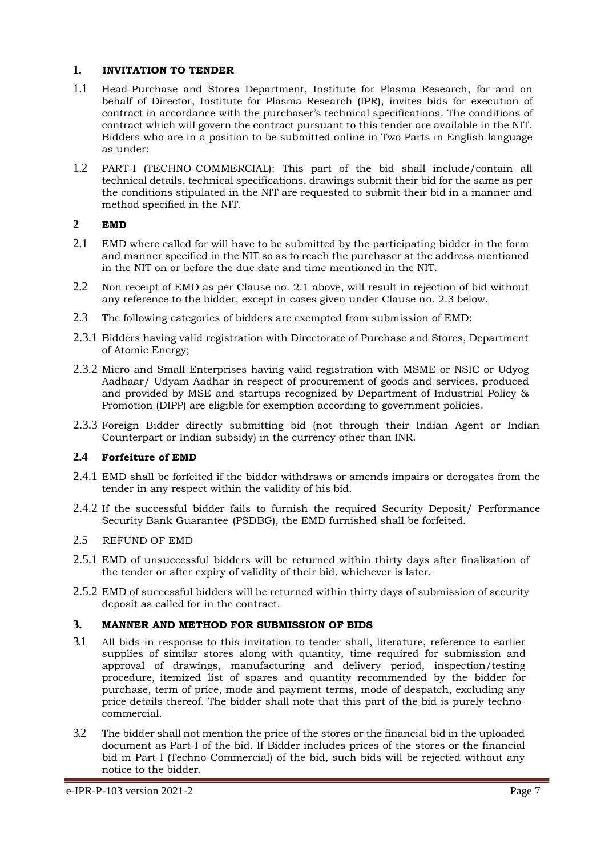## <span id="page-7-0"></span>**1. INVITATION TO TENDER**

- 1.1 Head-Purchase and Stores Department, Institute for Plasma Research, for and on behalf of Director, Institute for Plasma Research (IPR), invites bids for execution of contract in accordance with the purchaser's technical specifications. The conditions of contract which will govern the contract pursuant to this tender are available in the NIT. Bidders who are in a position to be submitted online in Two Parts in English language as under:
- 1.2 PART-I (TECHNO-COMMERCIAL): This part of the bid shall include/contain all technical details, technical specifications, drawings submit their bid for the same as per the conditions stipulated in the NIT are requested to submit their bid in a manner and method specified in the NIT.

## <span id="page-7-1"></span>**2 EMD**

- 2.1 EMD where called for will have to be submitted by the participating bidder in the form and manner specified in the NIT so as to reach the purchaser at the address mentioned in the NIT on or before the due date and time mentioned in the NIT.
- 2.2 Non receipt of EMD as per Clause no. 2.1 above, will result in rejection of bid without any reference to the bidder, except in cases given under Clause no. 2.3 below.
- 2.3 The following categories of bidders are exempted from submission of EMD:
- 2.3.1 Bidders having valid registration with Directorate of Purchase and Stores, Department of Atomic Energy;
- 2.3.2 Micro and Small Enterprises having valid registration with MSME or NSIC or Udyog Aadhaar/ Udyam Aadhar in respect of procurement of goods and services, produced and provided by MSE and startups recognized by Department of Industrial Policy & Promotion (DIPP) are eligible for exemption according to government policies.
- 2.3.3 Foreign Bidder directly submitting bid (not through their Indian Agent or Indian Counterpart or Indian subsidy) in the currency other than INR.

#### **2.4 Forfeiture of EMD**

- 2.4.1 EMD shall be forfeited if the bidder withdraws or amends impairs or derogates from the tender in any respect within the validity of his bid.
- 2.4.2 If the successful bidder fails to furnish the required Security Deposit/ Performance Security Bank Guarantee (PSDBG), the EMD furnished shall be forfeited.

#### 2.5 REFUND OF EMD

- 2.5.1 EMD of unsuccessful bidders will be returned within thirty days after finalization of the tender or after expiry of validity of their bid, whichever is later.
- 2.5.2 EMD of successful bidders will be returned within thirty days of submission of security deposit as called for in the contract.

#### <span id="page-7-2"></span>**3. MANNER AND METHOD FOR SUBMISSION OF BIDS**

- 3.1 All bids in response to this invitation to tender shall, literature, reference to earlier supplies of similar stores along with quantity, time required for submission and approval of drawings, manufacturing and delivery period, inspection/testing procedure, itemized list of spares and quantity recommended by the bidder for purchase, term of price, mode and payment terms, mode of despatch, excluding any price details thereof. The bidder shall note that this part of the bid is purely technocommercial.
- 3.2 The bidder shall not mention the price of the stores or the financial bid in the uploaded document as Part-I of the bid. If Bidder includes prices of the stores or the financial bid in Part-I (Techno-Commercial) of the bid, such bids will be rejected without any notice to the bidder.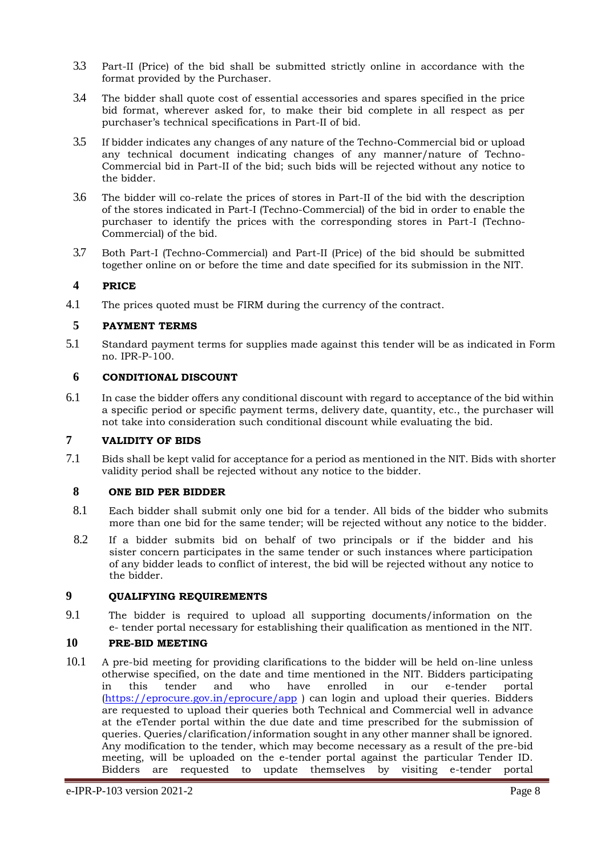- 3.3 Part-II (Price) of the bid shall be submitted strictly online in accordance with the format provided by the Purchaser.
- 3.4 The bidder shall quote cost of essential accessories and spares specified in the price bid format, wherever asked for, to make their bid complete in all respect as per purchaser's technical specifications in Part-II of bid.
- 3.5 If bidder indicates any changes of any nature of the Techno-Commercial bid or upload any technical document indicating changes of any manner/nature of Techno-Commercial bid in Part-II of the bid; such bids will be rejected without any notice to the bidder.
- 3.6 The bidder will co-relate the prices of stores in Part-II of the bid with the description of the stores indicated in Part-I (Techno-Commercial) of the bid in order to enable the purchaser to identify the prices with the corresponding stores in Part-I (Techno-Commercial) of the bid.
- 3.7 Both Part-I (Techno-Commercial) and Part-II (Price) of the bid should be submitted together online on or before the time and date specified for its submission in the NIT.

## <span id="page-8-0"></span>**4 PRICE**

<span id="page-8-1"></span>4.1 The prices quoted must be FIRM during the currency of the contract.

## **5 PAYMENT TERMS**

5.1 Standard payment terms for supplies made against this tender will be as indicated in Form no. IPR-P-100.

#### <span id="page-8-2"></span>**6 CONDITIONAL DISCOUNT**

6.1 In case the bidder offers any conditional discount with regard to acceptance of the bid within a specific period or specific payment terms, delivery date, quantity, etc., the purchaser will not take into consideration such conditional discount while evaluating the bid.

#### **7 VALIDITY OF BIDS**

7.1 Bids shall be kept valid for acceptance for a period as mentioned in the NIT. Bids with shorter validity period shall be rejected without any notice to the bidder.

#### <span id="page-8-3"></span>**8 ONE BID PER BIDDER**

- 8.1 Each bidder shall submit only one bid for a tender. All bids of the bidder who submits more than one bid for the same tender; will be rejected without any notice to the bidder.
- 8.2 If a bidder submits bid on behalf of two principals or if the bidder and his sister concern participates in the same tender or such instances where participation of any bidder leads to conflict of interest, the bid will be rejected without any notice to the bidder.

# <span id="page-8-4"></span>**9 QUALIFYING REQUIREMENTS**

9.1 The bidder is required to upload all supporting documents/information on the e- tender portal necessary for establishing their qualification as mentioned in the NIT.

#### <span id="page-8-5"></span>**10 PRE-BID MEETING**

10.1 A pre-bid meeting for providing clarifications to the bidder will be held on-line unless otherwise specified, on the date and time mentioned in the NIT. Bidders participating in this tender and who have enrolled in our e-tender portal (https://eprocure.gov.in/eprocure/app ) can login and upload their queries. Bidders are requested to upload their queries both Technical and Commercial well in advance at the eTender portal within the due date and time prescribed for the submission of queries. Queries/clarification/information sought in any other manner shall be ignored. Any modification to the tender, which may become necessary as a result of the pre-bid meeting, will be uploaded on the e-tender portal against the particular Tender ID. Bidders are requested to update themselves by visiting e-tender portal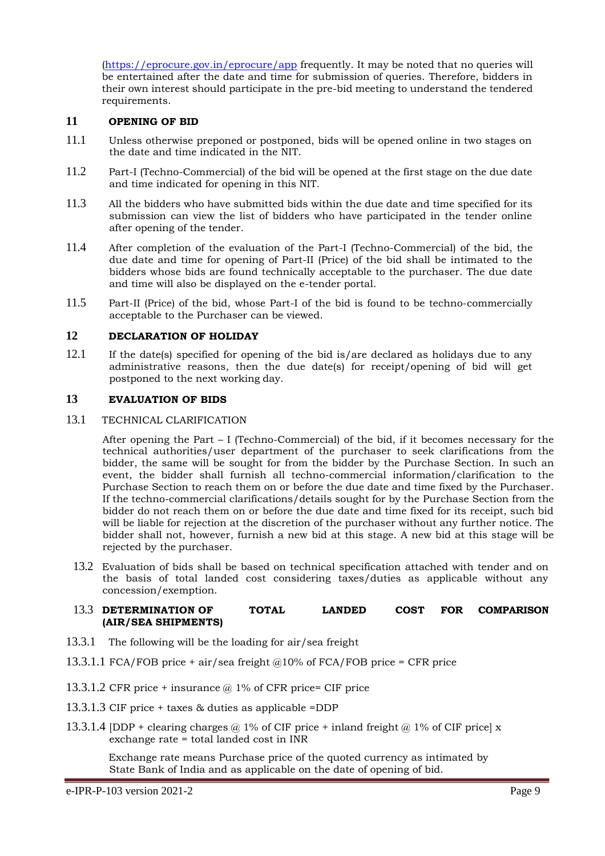(https://eprocure.gov.in/eprocure/app frequently. It may be noted that no queries will be entertained after the date and time for submission of queries. Therefore, bidders in their own interest should participate in the pre-bid meeting to understand the tendered requirements.

## <span id="page-9-0"></span>**11 OPENING OF BID**

- 11.1 Unless otherwise preponed or postponed, bids will be opened online in two stages on the date and time indicated in the NIT.
- 11.2 Part-I (Techno-Commercial) of the bid will be opened at the first stage on the due date and time indicated for opening in this NIT.
- 11.3 All the bidders who have submitted bids within the due date and time specified for its submission can view the list of bidders who have participated in the tender online after opening of the tender.
- 11.4 After completion of the evaluation of the Part-I (Techno-Commercial) of the bid, the due date and time for opening of Part-II (Price) of the bid shall be intimated to the bidders whose bids are found technically acceptable to the purchaser. The due date and time will also be displayed on the e-tender portal.
- 11.5 Part-II (Price) of the bid, whose Part-I of the bid is found to be techno-commercially acceptable to the Purchaser can be viewed.

## <span id="page-9-1"></span>**12 DECLARATION OF HOLIDAY**

12.1 If the date(s) specified for opening of the bid is/are declared as holidays due to any administrative reasons, then the due date(s) for receipt/opening of bid will get postponed to the next working day.

#### **13 EVALUATION OF BIDS**

#### 13.1 TECHNICAL CLARIFICATION

<span id="page-9-2"></span>After opening the Part – I (Techno-Commercial) of the bid, if it becomes necessary for the technical authorities/user department of the purchaser to seek clarifications from the bidder, the same will be sought for from the bidder by the Purchase Section. In such an event, the bidder shall furnish all techno-commercial information/clarification to the Purchase Section to reach them on or before the due date and time fixed by the Purchaser. If the techno-commercial clarifications/details sought for by the Purchase Section from the bidder do not reach them on or before the due date and time fixed for its receipt, such bid will be liable for rejection at the discretion of the purchaser without any further notice. The bidder shall not, however, furnish a new bid at this stage. A new bid at this stage will be rejected by the purchaser.

13.2 Evaluation of bids shall be based on technical specification attached with tender and on the basis of total landed cost considering taxes/duties as applicable without any concession/exemption.

#### 13.3 **DETERMINATION OF TOTAL LANDED COST FOR COMPARISON (AIR/SEA SHIPMENTS)**

- 13.3.1 The following will be the loading for air/sea freight
- 13.3.1.1 FCA/FOB price + air/sea freight  $@10\%$  of FCA/FOB price = CFR price
- 13.3.1.2 CFR price + insurance  $\omega$  1% of CFR price= CIF price
- 13.3.1.3 CIF price + taxes & duties as applicable =DDP
- 13.3.1.4 [DDP + clearing charges  $\omega$  1% of CIF price + inland freight  $\omega$  1% of CIF price] x exchange rate = total landed cost in INR

Exchange rate means Purchase price of the quoted currency as intimated by State Bank of India and as applicable on the date of opening of bid.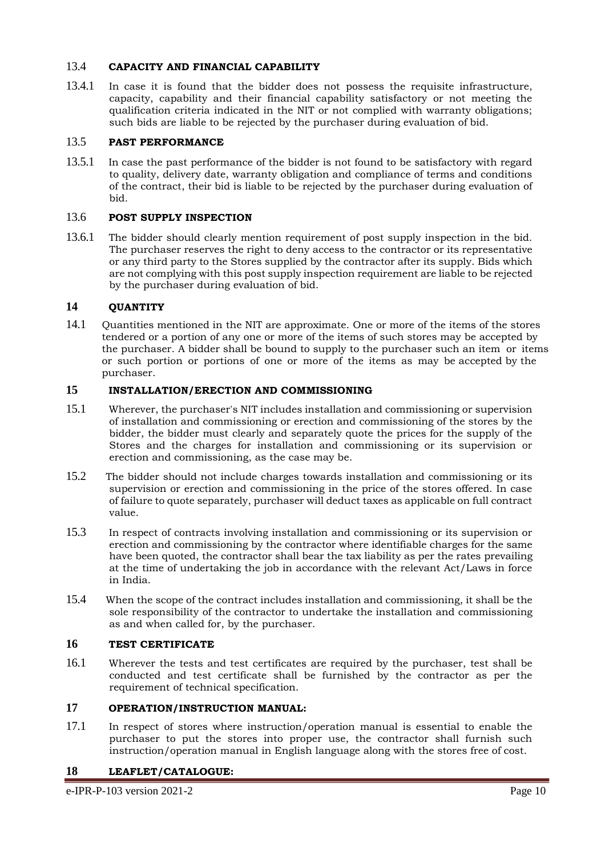## 13.4 **CAPACITY AND FINANCIAL CAPABILITY**

13.4.1 In case it is found that the bidder does not possess the requisite infrastructure, capacity, capability and their financial capability satisfactory or not meeting the qualification criteria indicated in the NIT or not complied with warranty obligations; such bids are liable to be rejected by the purchaser during evaluation of bid.

# 13.5 **PAST PERFORMANCE**

13.5.1 In case the past performance of the bidder is not found to be satisfactory with regard to quality, delivery date, warranty obligation and compliance of terms and conditions of the contract, their bid is liable to be rejected by the purchaser during evaluation of bid.

#### 13.6 **POST SUPPLY INSPECTION**

13.6.1 The bidder should clearly mention requirement of post supply inspection in the bid. The purchaser reserves the right to deny access to the contractor or its representative or any third party to the Stores supplied by the contractor after its supply. Bids which are not complying with this post supply inspection requirement are liable to be rejected by the purchaser during evaluation of bid.

## <span id="page-10-0"></span>**14 QUANTITY**

14.1 Quantities mentioned in the NIT are approximate. One or more of the items of the stores tendered or a portion of any one or more of the items of such stores may be accepted by the purchaser. A bidder shall be bound to supply to the purchaser such an item or items or such portion or portions of one or more of the items as may be accepted by the purchaser.

## <span id="page-10-1"></span>**15 INSTALLATION/ERECTION AND COMMISSIONING**

- 15.1 Wherever, the purchaser's NIT includes installation and commissioning or supervision of installation and commissioning or erection and commissioning of the stores by the bidder, the bidder must clearly and separately quote the prices for the supply of the Stores and the charges for installation and commissioning or its supervision or erection and commissioning, as the case may be.
- 15.2 The bidder should not include charges towards installation and commissioning or its supervision or erection and commissioning in the price of the stores offered. In case of failure to quote separately, purchaser will deduct taxes as applicable on full contract value.
- 15.3 In respect of contracts involving installation and commissioning or its supervision or erection and commissioning by the contractor where identifiable charges for the same have been quoted, the contractor shall bear the tax liability as per the rates prevailing at the time of undertaking the job in accordance with the relevant Act/Laws in force in India.
- 15.4 When the scope of the contract includes installation and commissioning, it shall be the sole responsibility of the contractor to undertake the installation and commissioning as and when called for, by the purchaser.

## <span id="page-10-2"></span>**16 TEST CERTIFICATE**

16.1 Wherever the tests and test certificates are required by the purchaser, test shall be conducted and test certificate shall be furnished by the contractor as per the requirement of technical specification.

## <span id="page-10-3"></span>**17 OPERATION/INSTRUCTION MANUAL:**

17.1 In respect of stores where instruction/operation manual is essential to enable the purchaser to put the stores into proper use, the contractor shall furnish such instruction/operation manual in English language along with the stores free of cost.

#### <span id="page-10-4"></span>**18 LEAFLET/CATALOGUE:**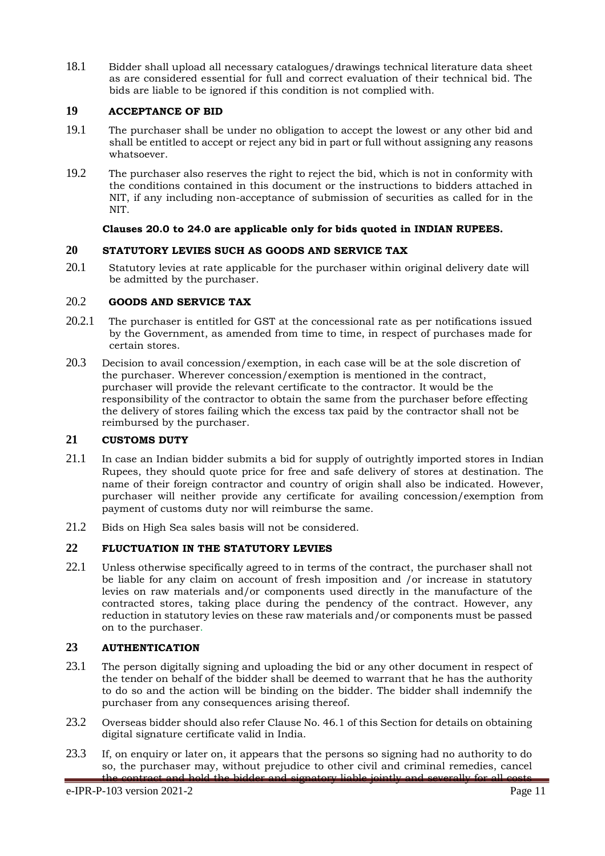18.1 Bidder shall upload all necessary catalogues/drawings technical literature data sheet as are considered essential for full and correct evaluation of their technical bid. The bids are liable to be ignored if this condition is not complied with.

## <span id="page-11-0"></span>**19 ACCEPTANCE OF BID**

- 19.1 The purchaser shall be under no obligation to accept the lowest or any other bid and shall be entitled to accept or reject any bid in part or full without assigning any reasons whatsoever.
- 19.2 The purchaser also reserves the right to reject the bid, which is not in conformity with the conditions contained in this document or the instructions to bidders attached in NIT, if any including non-acceptance of submission of securities as called for in the NIT.

## **Clauses 20.0 to 24.0 are applicable only for bids quoted in INDIAN RUPEES.**

## <span id="page-11-1"></span>**20 STATUTORY LEVIES SUCH AS GOODS AND SERVICE TAX**

20.1 Statutory levies at rate applicable for the purchaser within original delivery date will be admitted by the purchaser.

## 20.2 **GOODS AND SERVICE TAX**

- 20.2.1 The purchaser is entitled for GST at the concessional rate as per notifications issued by the Government, as amended from time to time, in respect of purchases made for certain stores.
- 20.3 Decision to avail concession/exemption, in each case will be at the sole discretion of the purchaser. Wherever concession/exemption is mentioned in the contract, purchaser will provide the relevant certificate to the contractor. It would be the responsibility of the contractor to obtain the same from the purchaser before effecting the delivery of stores failing which the excess tax paid by the contractor shall not be reimbursed by the purchaser.

#### <span id="page-11-2"></span>**21 CUSTOMS DUTY**

- 21.1 In case an Indian bidder submits a bid for supply of outrightly imported stores in Indian Rupees, they should quote price for free and safe delivery of stores at destination. The name of their foreign contractor and country of origin shall also be indicated. However, purchaser will neither provide any certificate for availing concession/exemption from payment of customs duty nor will reimburse the same.
- 21.2 Bids on High Sea sales basis will not be considered.

# <span id="page-11-3"></span>**22 FLUCTUATION IN THE STATUTORY LEVIES**

22.1 Unless otherwise specifically agreed to in terms of the contract, the purchaser shall not be liable for any claim on account of fresh imposition and /or increase in statutory levies on raw materials and/or components used directly in the manufacture of the contracted stores, taking place during the pendency of the contract. However, any reduction in statutory levies on these raw materials and/or components must be passed on to the purchaser.

## <span id="page-11-4"></span>**23 AUTHENTICATION**

- 23.1 The person digitally signing and uploading the bid or any other document in respect of the tender on behalf of the bidder shall be deemed to warrant that he has the authority to do so and the action will be binding on the bidder. The bidder shall indemnify the purchaser from any consequences arising thereof.
- 23.2 Overseas bidder should also refer Clause No. 46.1 of this Section for details on obtaining digital signature certificate valid in India.
- 23.3 If, on enquiry or later on, it appears that the persons so signing had no authority to do so, the purchaser may, without prejudice to other civil and criminal remedies, cancel contract and hold the bidder and signatory liable jointly and severally for all costs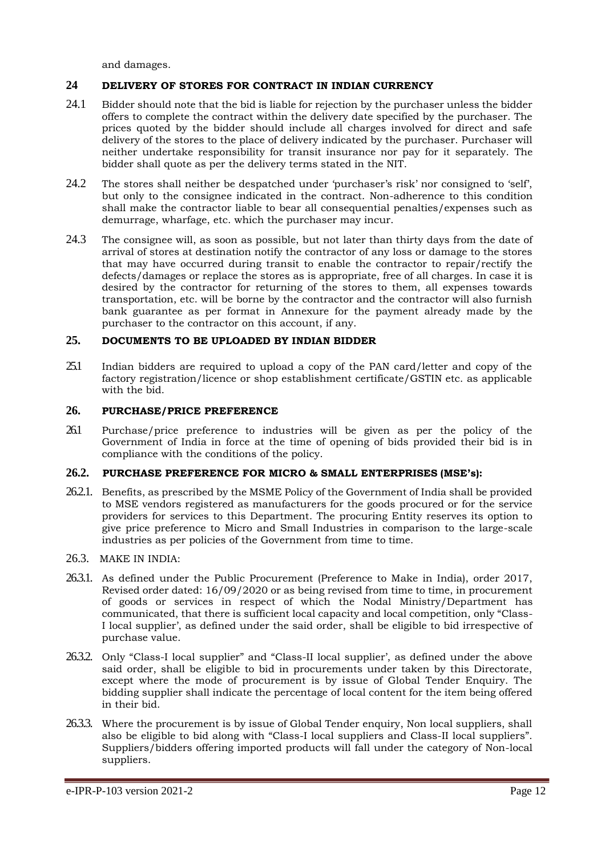and damages.

## **24 DELIVERY OF STORES FOR CONTRACT IN INDIAN CURRENCY**

- 24.1 Bidder should note that the bid is liable for rejection by the purchaser unless the bidder offers to complete the contract within the delivery date specified by the purchaser. The prices quoted by the bidder should include all charges involved for direct and safe delivery of the stores to the place of delivery indicated by the purchaser. Purchaser will neither undertake responsibility for transit insurance nor pay for it separately. The bidder shall quote as per the delivery terms stated in the NIT.
- 24.2 The stores shall neither be despatched under 'purchaser's risk' nor consigned to 'self', but only to the consignee indicated in the contract. Non-adherence to this condition shall make the contractor liable to bear all consequential penalties/expenses such as demurrage, wharfage, etc. which the purchaser may incur.
- 24.3 The consignee will, as soon as possible, but not later than thirty days from the date of arrival of stores at destination notify the contractor of any loss or damage to the stores that may have occurred during transit to enable the contractor to repair/rectify the defects/damages or replace the stores as is appropriate, free of all charges. In case it is desired by the contractor for returning of the stores to them, all expenses towards transportation, etc. will be borne by the contractor and the contractor will also furnish bank guarantee as per format in Annexure for the payment already made by the purchaser to the contractor on this account, if any.

#### <span id="page-12-0"></span>**25. DOCUMENTS TO BE UPLOADED BY INDIAN BIDDER**

<span id="page-12-1"></span>25.1 Indian bidders are required to upload a copy of the PAN card/letter and copy of the factory registration/licence or shop establishment certificate/GSTIN etc. as applicable with the bid.

#### **26. PURCHASE/PRICE PREFERENCE**

26.1 Purchase/price preference to industries will be given as per the policy of the Government of India in force at the time of opening of bids provided their bid is in compliance with the conditions of the policy.

#### **26.2. PURCHASE PREFERENCE FOR MICRO & SMALL ENTERPRISES (MSE's):**

- 26.2.1. Benefits, as prescribed by the MSME Policy of the Government of India shall be provided to MSE vendors registered as manufacturers for the goods procured or for the service providers for services to this Department. The procuring Entity reserves its option to give price preference to Micro and Small Industries in comparison to the large-scale industries as per policies of the Government from time to time.
- 26.3. MAKE IN INDIA:
- 26.3.1. As defined under the Public Procurement (Preference to Make in India), order 2017, Revised order dated: 16/09/2020 or as being revised from time to time, in procurement of goods or services in respect of which the Nodal Ministry/Department has communicated, that there is sufficient local capacity and local competition, only "Class-I local supplier', as defined under the said order, shall be eligible to bid irrespective of purchase value.
- 26.3.2. Only "Class-I local supplier" and "Class-II local supplier', as defined under the above said order, shall be eligible to bid in procurements under taken by this Directorate, except where the mode of procurement is by issue of Global Tender Enquiry. The bidding supplier shall indicate the percentage of local content for the item being offered in their bid.
- 26.3.3. Where the procurement is by issue of Global Tender enquiry, Non local suppliers, shall also be eligible to bid along with "Class-I local suppliers and Class-II local suppliers". Suppliers/bidders offering imported products will fall under the category of Non-local suppliers.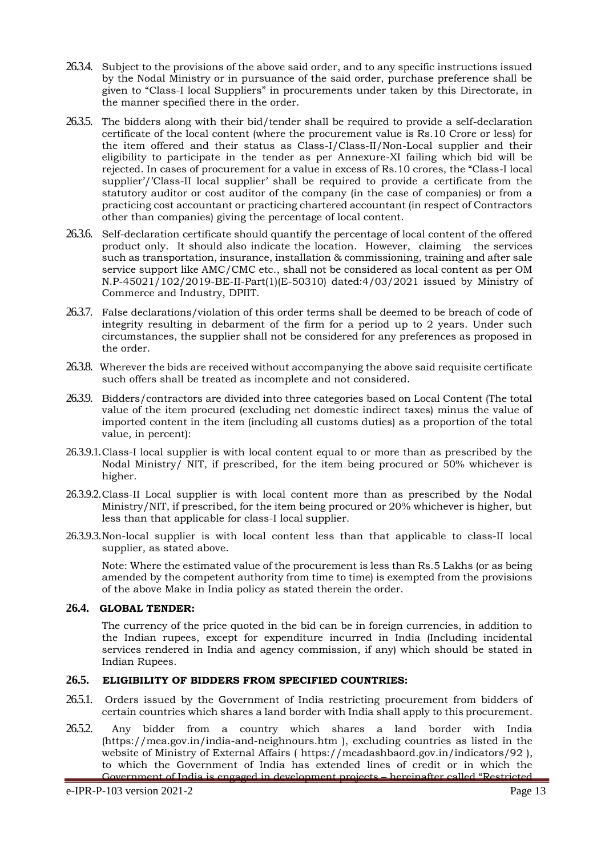- 26.3.4. Subject to the provisions of the above said order, and to any specific instructions issued by the Nodal Ministry or in pursuance of the said order, purchase preference shall be given to "Class-I local Suppliers" in procurements under taken by this Directorate, in the manner specified there in the order.
- 26.3.5. The bidders along with their bid/tender shall be required to provide a self-declaration certificate of the local content (where the procurement value is Rs.10 Crore or less) for the item offered and their status as Class-I/Class-II/Non-Local supplier and their eligibility to participate in the tender as per Annexure-XI failing which bid will be rejected. In cases of procurement for a value in excess of Rs.10 crores, the "Class-I local supplier'/'Class-II local supplier' shall be required to provide a certificate from the statutory auditor or cost auditor of the company (in the case of companies) or from a practicing cost accountant or practicing chartered accountant (in respect of Contractors other than companies) giving the percentage of local content.
- 26.3.6. Self-declaration certificate should quantify the percentage of local content of the offered product only. It should also indicate the location. However, claiming the services such as transportation, insurance, installation & commissioning, training and after sale service support like AMC/CMC etc., shall not be considered as local content as per OM N.P-45021/102/2019-BE-II-Part(1)(E-50310) dated:4/03/2021 issued by Ministry of Commerce and Industry, DPIIT.
- 26.3.7. False declarations/violation of this order terms shall be deemed to be breach of code of integrity resulting in debarment of the firm for a period up to 2 years. Under such circumstances, the supplier shall not be considered for any preferences as proposed in the order.
- 26.3.8. Wherever the bids are received without accompanying the above said requisite certificate such offers shall be treated as incomplete and not considered.
- 26.3.9. Bidders/contractors are divided into three categories based on Local Content (The total value of the item procured (excluding net domestic indirect taxes) minus the value of imported content in the item (including all customs duties) as a proportion of the total value, in percent):
- 26.3.9.1.Class-I local supplier is with local content equal to or more than as prescribed by the Nodal Ministry NIT, if prescribed, for the item being procured or  $50\%$  whichever is higher.
- 26.3.9.2.Class-II Local supplier is with local content more than as prescribed by the Nodal Ministry/NIT, if prescribed, for the item being procured or 20% whichever is higher, but less than that applicable for class-I local supplier.
- 26.3.9.3.Non-local supplier is with local content less than that applicable to class-II local supplier, as stated above.

Note: Where the estimated value of the procurement is less than Rs.5 Lakhs (or as being amended by the competent authority from time to time) is exempted from the provisions of the above Make in India policy as stated therein the order.

#### **26.4. GLOBAL TENDER:**

The currency of the price quoted in the bid can be in foreign currencies, in addition to the Indian rupees, except for expenditure incurred in India (Including incidental services rendered in India and agency commission, if any) which should be stated in Indian Rupees.

#### **26.5. ELIGIBILITY OF BIDDERS FROM SPECIFIED COUNTRIES:**

- 26.5.1. Orders issued by the Government of India restricting procurement from bidders of certain countries which shares a land border with India shall apply to this procurement.
- 265.2. Any bidder from a country which shares a land border with India (https://mea.gov.in/india-and-neighnours.htm ), excluding countries as listed in the website of Ministry of External Affairs ( https://meadashbaord.gov.in/indicators/92 ), to which the Government of India has extended lines of credit or in which the Government of India is engaged in development projects – hereinafter called "Restricted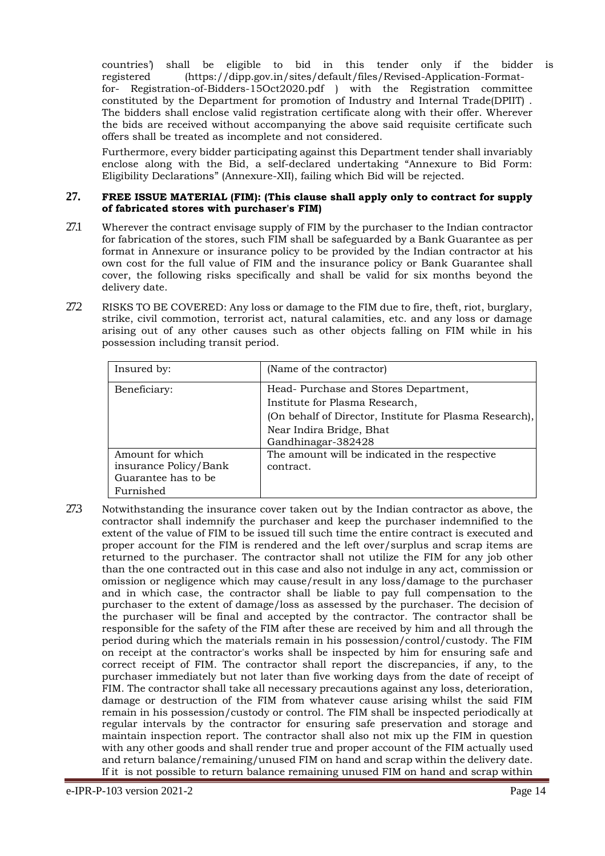countries') shall be eligible to bid in this tender only if the bidder is registered (https://dipp.gov.in/sites/default/files/Revised-Application-Formatfor- Registration-of-Bidders-15Oct2020.pdf ) with the Registration committee constituted by the Department for promotion of Industry and Internal Trade(DPIIT) . The bidders shall enclose valid registration certificate along with their offer. Wherever the bids are received without accompanying the above said requisite certificate such offers shall be treated as incomplete and not considered.

Furthermore, every bidder participating against this Department tender shall invariably enclose along with the Bid, a self-declared undertaking "Annexure to Bid Form: Eligibility Declarations" (Annexure-XII), failing which Bid will be rejected.

#### **27. FREE ISSUE MATERIAL (FIM): (This clause shall apply only to contract for supply of fabricated stores with purchaser's FIM)**

- 27.1 Wherever the contract envisage supply of FIM by the purchaser to the Indian contractor for fabrication of the stores, such FIM shall be safeguarded by a Bank Guarantee as per format in Annexure or insurance policy to be provided by the Indian contractor at his own cost for the full value of FIM and the insurance policy or Bank Guarantee shall cover, the following risks specifically and shall be valid for six months beyond the delivery date.
- 27.2 RISKS TO BE COVERED: Any loss or damage to the FIM due to fire, theft, riot, burglary, strike, civil commotion, terrorist act, natural calamities, etc. and any loss or damage arising out of any other causes such as other objects falling on FIM while in his possession including transit period.

| Insured by:                                                                   | (Name of the contractor)                                                                                                                                                            |
|-------------------------------------------------------------------------------|-------------------------------------------------------------------------------------------------------------------------------------------------------------------------------------|
| Beneficiary:                                                                  | Head-Purchase and Stores Department,<br>Institute for Plasma Research,<br>(On behalf of Director, Institute for Plasma Research),<br>Near Indira Bridge, Bhat<br>Gandhinagar-382428 |
| Amount for which<br>insurance Policy/Bank<br>Guarantee has to be<br>Furnished | The amount will be indicated in the respective<br>contract.                                                                                                                         |

27.3 Notwithstanding the insurance cover taken out by the Indian contractor as above, the contractor shall indemnify the purchaser and keep the purchaser indemnified to the extent of the value of FIM to be issued till such time the entire contract is executed and proper account for the FIM is rendered and the left over/surplus and scrap items are returned to the purchaser. The contractor shall not utilize the FIM for any job other than the one contracted out in this case and also not indulge in any act, commission or omission or negligence which may cause/result in any loss/damage to the purchaser and in which case, the contractor shall be liable to pay full compensation to the purchaser to the extent of damage/loss as assessed by the purchaser. The decision of the purchaser will be final and accepted by the contractor. The contractor shall be responsible for the safety of the FIM after these are received by him and all through the period during which the materials remain in his possession/control/custody. The FIM on receipt at the contractor's works shall be inspected by him for ensuring safe and correct receipt of FIM. The contractor shall report the discrepancies, if any, to the purchaser immediately but not later than five working days from the date of receipt of FIM. The contractor shall take all necessary precautions against any loss, deterioration, damage or destruction of the FIM from whatever cause arising whilst the said FIM remain in his possession/custody or control. The FIM shall be inspected periodically at regular intervals by the contractor for ensuring safe preservation and storage and maintain inspection report. The contractor shall also not mix up the FIM in question with any other goods and shall render true and proper account of the FIM actually used and return balance/remaining/unused FIM on hand and scrap within the delivery date. If it is not possible to return balance remaining unused FIM on hand and scrap within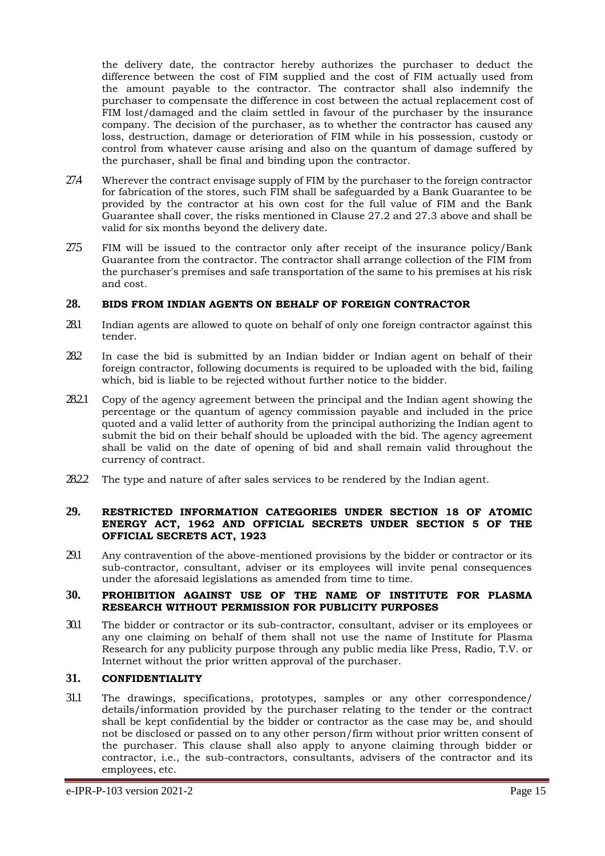the delivery date, the contractor hereby authorizes the purchaser to deduct the difference between the cost of FIM supplied and the cost of FIM actually used from the amount payable to the contractor. The contractor shall also indemnify the purchaser to compensate the difference in cost between the actual replacement cost of FIM lost/damaged and the claim settled in favour of the purchaser by the insurance company. The decision of the purchaser, as to whether the contractor has caused any loss, destruction, damage or deterioration of FIM while in his possession, custody or control from whatever cause arising and also on the quantum of damage suffered by the purchaser, shall be final and binding upon the contractor.

- 27.4 Wherever the contract envisage supply of FIM by the purchaser to the foreign contractor for fabrication of the stores, such FIM shall be safeguarded by a Bank Guarantee to be provided by the contractor at his own cost for the full value of FIM and the Bank Guarantee shall cover, the risks mentioned in Clause 27.2 and 27.3 above and shall be valid for six months beyond the delivery date.
- 27.5 FIM will be issued to the contractor only after receipt of the insurance policy/Bank Guarantee from the contractor. The contractor shall arrange collection of the FIM from the purchaser's premises and safe transportation of the same to his premises at his risk and cost.

#### **28. BIDS FROM INDIAN AGENTS ON BEHALF OF FOREIGN CONTRACTOR**

- 28.1 Indian agents are allowed to quote on behalf of only one foreign contractor against this tender.
- 28.2 In case the bid is submitted by an Indian bidder or Indian agent on behalf of their foreign contractor, following documents is required to be uploaded with the bid, failing which, bid is liable to be rejected without further notice to the bidder.
- 28.2.1 Copy of the agency agreement between the principal and the Indian agent showing the percentage or the quantum of agency commission payable and included in the price quoted and a valid letter of authority from the principal authorizing the Indian agent to submit the bid on their behalf should be uploaded with the bid. The agency agreement shall be valid on the date of opening of bid and shall remain valid throughout the currency of contract.
- 28.2.2 The type and nature of after sales services to be rendered by the Indian agent.

#### **29. RESTRICTED INFORMATION CATEGORIES UNDER SECTION 18 OF ATOMIC ENERGY ACT, 1962 AND OFFICIAL SECRETS UNDER SECTION 5 OF THE OFFICIAL SECRETS ACT, 1923**

29.1 Any contravention of the above-mentioned provisions by the bidder or contractor or its sub-contractor, consultant, adviser or its employees will invite penal consequences under the aforesaid legislations as amended from time to time.

#### **30. PROHIBITION AGAINST USE OF THE NAME OF INSTITUTE FOR PLASMA RESEARCH WITHOUT PERMISSION FOR PUBLICITY PURPOSES**

30.1 The bidder or contractor or its sub-contractor, consultant, adviser or its employees or any one claiming on behalf of them shall not use the name of Institute for Plasma Research for any publicity purpose through any public media like Press, Radio, T.V. or Internet without the prior written approval of the purchaser.

#### <span id="page-15-0"></span>**31. CONFIDENTIALITY**

31.1 The drawings, specifications, prototypes, samples or any other correspondence/ details/information provided by the purchaser relating to the tender or the contract shall be kept confidential by the bidder or contractor as the case may be, and should not be disclosed or passed on to any other person/firm without prior written consent of the purchaser. This clause shall also apply to anyone claiming through bidder or contractor, i.e., the sub-contractors, consultants, advisers of the contractor and its employees, etc.

e-IPR-P-103 version 2021-2 Page 15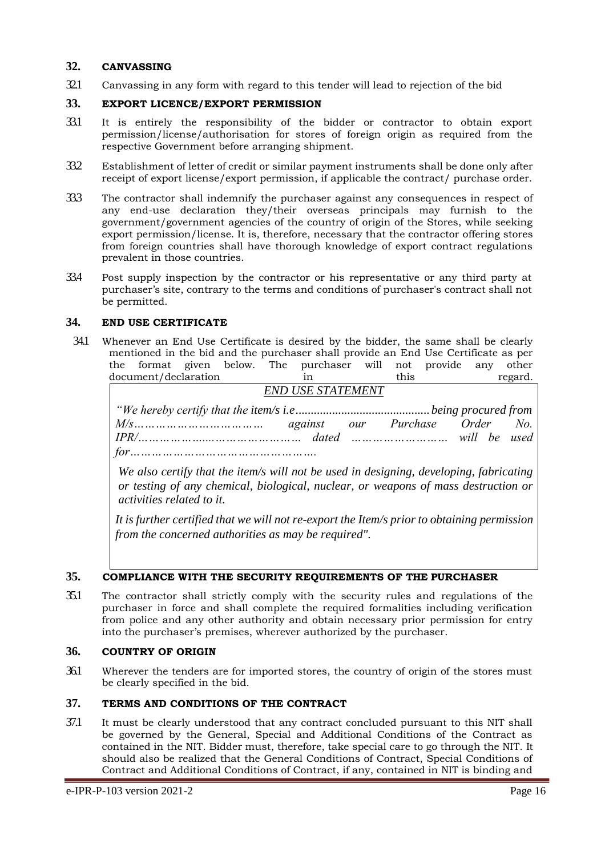## <span id="page-16-0"></span>**32. CANVASSING**

<span id="page-16-1"></span>32.1 Canvassing in any form with regard to this tender will lead to rejection of the bid

## **33. EXPORT LICENCE/EXPORT PERMISSION**

- 33.1 It is entirely the responsibility of the bidder or contractor to obtain export permission/license/authorisation for stores of foreign origin as required from the respective Government before arranging shipment.
- 33.2 Establishment of letter of credit or similar payment instruments shall be done only after receipt of export license/export permission, if applicable the contract/ purchase order.
- 33.3 The contractor shall indemnify the purchaser against any consequences in respect of any end-use declaration they/their overseas principals may furnish to the government/government agencies of the country of origin of the Stores, while seeking export permission/license. It is, therefore, necessary that the contractor offering stores from foreign countries shall have thorough knowledge of export contract regulations prevalent in those countries.
- 33.4 Post supply inspection by the contractor or his representative or any third party at purchaser's site, contrary to the terms and conditions of purchaser's contract shall not be permitted.

## <span id="page-16-2"></span>**34. END USE CERTIFICATE**

34.1 Whenever an End Use Certificate is desired by the bidder, the same shall be clearly mentioned in the bid and the purchaser shall provide an End Use Certificate as per the format given below. The purchaser will not provide any other document/declaration in this regard.

*END USE STATEMENT "We hereby certify that the item/s i.e............................................being procured from M/s……………………………… against our Purchase Order No. IPR/………………....…………………… dated ……………………… will be used for…………………………………………….*

*We also certify that the item/s will not be used in designing, developing, fabricating or testing of any chemical, biological, nuclear, or weapons of mass destruction or activities related to it.*

*It is further certified that we will not re-export the Item/s prior to obtaining permission from the concerned authorities as may be required".*

#### **35. COMPLIANCE WITH THE SECURITY REQUIREMENTS OF THE PURCHASER**

35.1 The contractor shall strictly comply with the security rules and regulations of the purchaser in force and shall complete the required formalities including verification from police and any other authority and obtain necessary prior permission for entry into the purchaser's premises, wherever authorized by the purchaser.

#### <span id="page-16-3"></span>**36. COUNTRY OF ORIGIN**

36.1 Wherever the tenders are for imported stores, the country of origin of the stores must be clearly specified in the bid.

## **37. TERMS AND CONDITIONS OF THE CONTRACT**

37.1 It must be clearly understood that any contract concluded pursuant to this NIT shall be governed by the General, Special and Additional Conditions of the Contract as contained in the NIT. Bidder must, therefore, take special care to go through the NIT. It should also be realized that the General Conditions of Contract, Special Conditions of Contract and Additional Conditions of Contract, if any, contained in NIT is binding and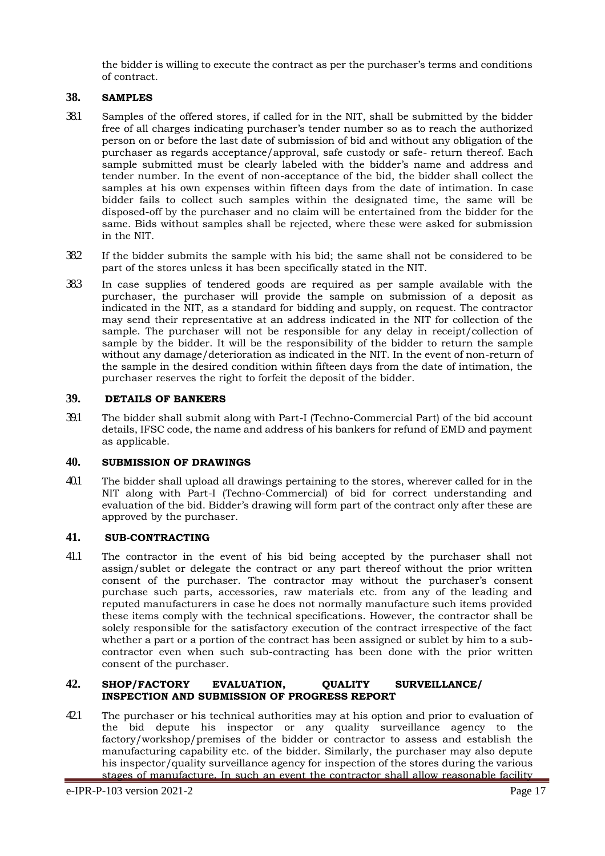<span id="page-17-0"></span>the bidder is willing to execute the contract as per the purchaser's terms and conditions of contract.

## **38. SAMPLES**

- 38.1 Samples of the offered stores, if called for in the NIT, shall be submitted by the bidder free of all charges indicating purchaser's tender number so as to reach the authorized person on or before the last date of submission of bid and without any obligation of the purchaser as regards acceptance/approval, safe custody or safe- return thereof. Each sample submitted must be clearly labeled with the bidder's name and address and tender number. In the event of non-acceptance of the bid, the bidder shall collect the samples at his own expenses within fifteen days from the date of intimation. In case bidder fails to collect such samples within the designated time, the same will be disposed-off by the purchaser and no claim will be entertained from the bidder for the same. Bids without samples shall be rejected, where these were asked for submission in the NIT.
- 38.2 If the bidder submits the sample with his bid; the same shall not be considered to be part of the stores unless it has been specifically stated in the NIT.
- 38.3 In case supplies of tendered goods are required as per sample available with the purchaser, the purchaser will provide the sample on submission of a deposit as indicated in the NIT, as a standard for bidding and supply, on request. The contractor may send their representative at an address indicated in the NIT for collection of the sample. The purchaser will not be responsible for any delay in receipt/collection of sample by the bidder. It will be the responsibility of the bidder to return the sample without any damage/deterioration as indicated in the NIT. In the event of non-return of the sample in the desired condition within fifteen days from the date of intimation, the purchaser reserves the right to forfeit the deposit of the bidder.

#### <span id="page-17-1"></span>**39. DETAILS OF BANKERS**

39.1 The bidder shall submit along with Part-I (Techno-Commercial Part) of the bid account details, IFSC code, the name and address of his bankers for refund of EMD and payment as applicable.

#### <span id="page-17-2"></span>**40. SUBMISSION OF DRAWINGS**

<span id="page-17-3"></span>40.1 The bidder shall upload all drawings pertaining to the stores, wherever called for in the NIT along with Part-I (Techno-Commercial) of bid for correct understanding and evaluation of the bid. Bidder's drawing will form part of the contract only after these are approved by the purchaser.

#### **41. SUB-CONTRACTING**

41.1 The contractor in the event of his bid being accepted by the purchaser shall not assign/sublet or delegate the contract or any part thereof without the prior written consent of the purchaser. The contractor may without the purchaser's consent purchase such parts, accessories, raw materials etc. from any of the leading and reputed manufacturers in case he does not normally manufacture such items provided these items comply with the technical specifications. However, the contractor shall be solely responsible for the satisfactory execution of the contract irrespective of the fact whether a part or a portion of the contract has been assigned or sublet by him to a subcontractor even when such sub-contracting has been done with the prior written consent of the purchaser.

#### **42. SHOP/FACTORY EVALUATION, QUALITY SURVEILLANCE/ INSPECTION AND SUBMISSION OF PROGRESS REPORT**

42.1 The purchaser or his technical authorities may at his option and prior to evaluation of the bid depute his inspector or any quality surveillance agency to the factory/workshop/premises of the bidder or contractor to assess and establish the manufacturing capability etc. of the bidder. Similarly, the purchaser may also depute his inspector/quality surveillance agency for inspection of the stores during the various stages of manufacture. In such an event the contractor shall allow reasonable facility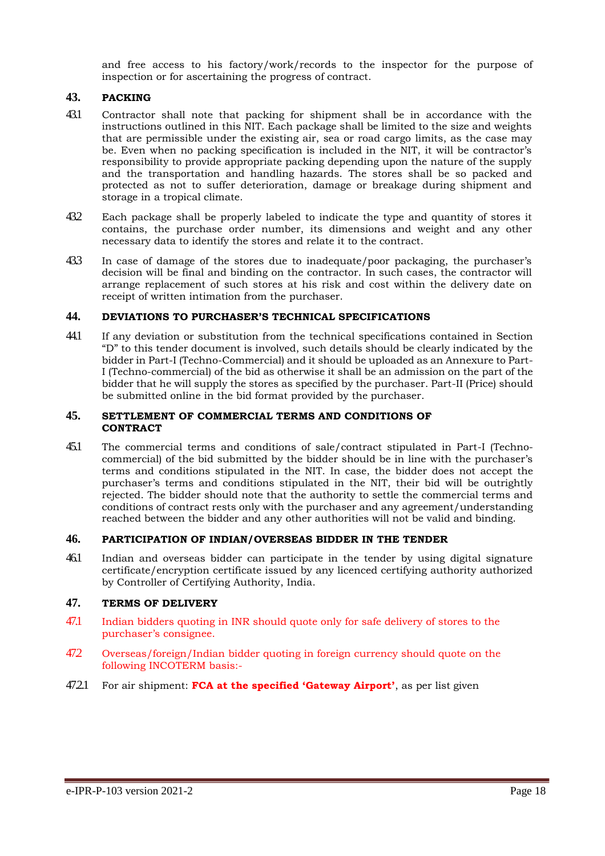and free access to his factory/work/records to the inspector for the purpose of inspection or for ascertaining the progress of contract.

## <span id="page-18-0"></span>**43. PACKING**

- 43.1 Contractor shall note that packing for shipment shall be in accordance with the instructions outlined in this NIT. Each package shall be limited to the size and weights that are permissible under the existing air, sea or road cargo limits, as the case may be. Even when no packing specification is included in the NIT, it will be contractor's responsibility to provide appropriate packing depending upon the nature of the supply and the transportation and handling hazards. The stores shall be so packed and protected as not to suffer deterioration, damage or breakage during shipment and storage in a tropical climate.
- 43.2 Each package shall be properly labeled to indicate the type and quantity of stores it contains, the purchase order number, its dimensions and weight and any other necessary data to identify the stores and relate it to the contract.
- 43.3 In case of damage of the stores due to inadequate/poor packaging, the purchaser's decision will be final and binding on the contractor. In such cases, the contractor will arrange replacement of such stores at his risk and cost within the delivery date on receipt of written intimation from the purchaser.

#### **44. DEVIATIONS TO PURCHASER'S TECHNICAL SPECIFICATIONS**

44.1 If any deviation or substitution from the technical specifications contained in Section "D" to this tender document is involved, such details should be clearly indicated by the bidder in Part-I (Techno-Commercial) and it should be uploaded as an Annexure to Part-I (Techno-commercial) of the bid as otherwise it shall be an admission on the part of the bidder that he will supply the stores as specified by the purchaser. Part-II (Price) should be submitted online in the bid format provided by the purchaser.

#### **45. SETTLEMENT OF COMMERCIAL TERMS AND CONDITIONS OF CONTRACT**

45.1 The commercial terms and conditions of sale/contract stipulated in Part-I (Technocommercial) of the bid submitted by the bidder should be in line with the purchaser's terms and conditions stipulated in the NIT. In case, the bidder does not accept the purchaser's terms and conditions stipulated in the NIT, their bid will be outrightly rejected. The bidder should note that the authority to settle the commercial terms and conditions of contract rests only with the purchaser and any agreement/understanding reached between the bidder and any other authorities will not be valid and binding.

#### **46. PARTICIPATION OF INDIAN/OVERSEAS BIDDER IN THE TENDER**

46.1 Indian and overseas bidder can participate in the tender by using digital signature certificate/encryption certificate issued by any licenced certifying authority authorized by Controller of Certifying Authority, India.

# <span id="page-18-1"></span>**47. TERMS OF DELIVERY**

- 47.1 Indian bidders quoting in INR should quote only for safe delivery of stores to the purchaser's consignee.
- 47.2 Overseas/foreign/Indian bidder quoting in foreign currency should quote on the following INCOTERM basis:-
- 47.2.1 For air shipment: **FCA at the specified 'Gateway Airport'**, as per list given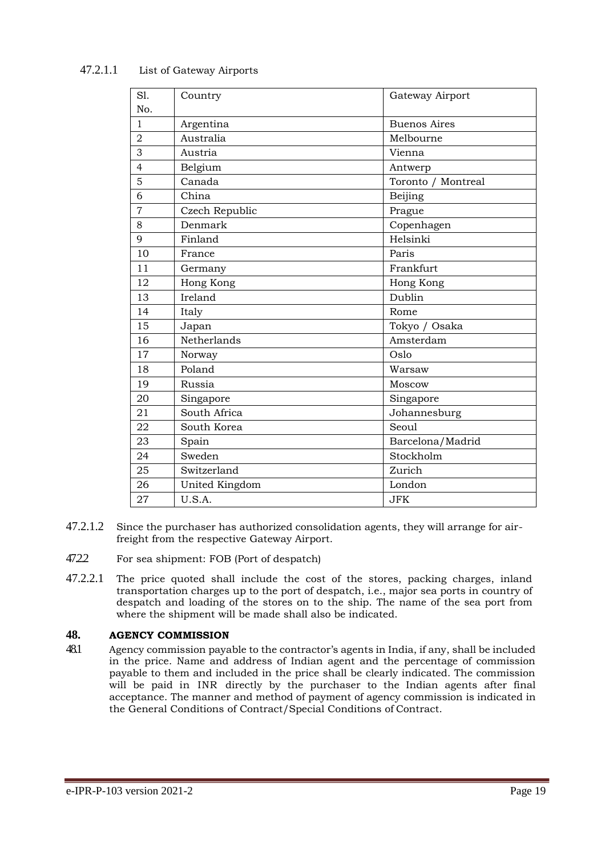| S1.            | Country        | Gateway Airport     |
|----------------|----------------|---------------------|
| No.            |                |                     |
| 1              | Argentina      | <b>Buenos Aires</b> |
| $\overline{2}$ | Australia      | Melbourne           |
| 3              | Austria        | Vienna              |
| $\overline{4}$ | Belgium        | Antwerp             |
| 5              | Canada         | Toronto / Montreal  |
| 6              | China          | Beijing             |
| 7              | Czech Republic | Prague              |
| 8              | Denmark        | Copenhagen          |
| 9              | Finland        | Helsinki            |
| 10             | France         | Paris               |
| 11             | Germany        | Frankfurt           |
| 12             | Hong Kong      | Hong Kong           |
| 13             | Ireland        | Dublin              |
| 14             | Italy          | Rome                |
| 15             | Japan          | Tokyo / Osaka       |
| 16             | Netherlands    | Amsterdam           |
| 17             | Norway         | Oslo                |
| 18             | Poland         | Warsaw              |
| 19             | Russia         | Moscow              |
| 20             | Singapore      | Singapore           |
| 21             | South Africa   | Johannesburg        |
| 22             | South Korea    | Seoul               |
| 23             | Spain          | Barcelona/Madrid    |
| 24             | Sweden         | Stockholm           |
| 25             | Switzerland    | Zurich              |
| 26             | United Kingdom | London              |
| 27             | U.S.A.         | <b>JFK</b>          |

## 47.2.1.1 List of Gateway Airports

- 47.2.1.2 Since the purchaser has authorized consolidation agents, they will arrange for airfreight from the respective Gateway Airport.
- 47.2.2 For sea shipment: FOB (Port of despatch)
- 47.2.2.1 The price quoted shall include the cost of the stores, packing charges, inland transportation charges up to the port of despatch, i.e., major sea ports in country of despatch and loading of the stores on to the ship. The name of the sea port from where the shipment will be made shall also be indicated.

#### <span id="page-19-0"></span>**48. AGENCY COMMISSION**

48.1 Agency commission payable to the contractor's agents in India, if any, shall be included in the price. Name and address of Indian agent and the percentage of commission payable to them and included in the price shall be clearly indicated. The commission will be paid in INR directly by the purchaser to the Indian agents after final acceptance. The manner and method of payment of agency commission is indicated in the General Conditions of Contract/Special Conditions of Contract.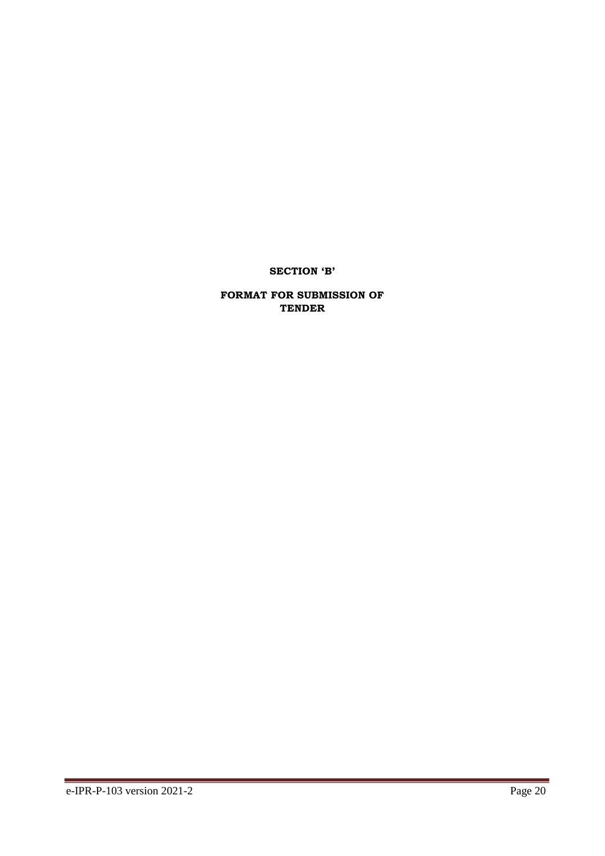# **SECTION 'B'**

## **FORMAT FOR SUBMISSION OF TENDER**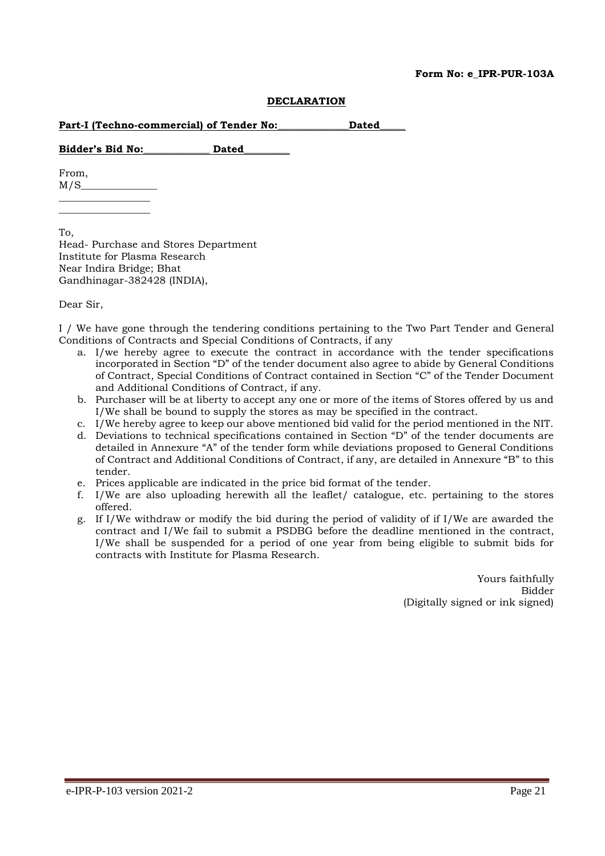#### **Form No: e\_IPR-PUR-103A**

#### **DECLARATION**

|  | Part-I (Techno-commercial) of Tender No:<br><b>Dated</b> |  |
|--|----------------------------------------------------------|--|
|--|----------------------------------------------------------|--|

**Bidder's Bid No:\_\_\_\_\_\_\_\_\_\_\_\_\_ Dated\_\_\_\_\_\_\_\_\_**

From,  $M/S$  $\overline{\phantom{a}}$  , where  $\overline{\phantom{a}}$ 

\_\_\_\_\_\_\_\_\_\_\_\_\_\_\_\_\_\_

To, Head- Purchase and Stores Department Institute for Plasma Research Near Indira Bridge; Bhat Gandhinagar-382428 (INDIA),

Dear Sir,

I / We have gone through the tendering conditions pertaining to the Two Part Tender and General Conditions of Contracts and Special Conditions of Contracts, if any

- a. I/we hereby agree to execute the contract in accordance with the tender specifications incorporated in Section "D" of the tender document also agree to abide by General Conditions of Contract, Special Conditions of Contract contained in Section "C" of the Tender Document and Additional Conditions of Contract, if any.
- b. Purchaser will be at liberty to accept any one or more of the items of Stores offered by us and I/We shall be bound to supply the stores as may be specified in the contract.
- c. I/We hereby agree to keep our above mentioned bid valid for the period mentioned in the NIT.
- d. Deviations to technical specifications contained in Section "D" of the tender documents are detailed in Annexure "A" of the tender form while deviations proposed to General Conditions of Contract and Additional Conditions of Contract, if any, are detailed in Annexure "B" to this tender.
- e. Prices applicable are indicated in the price bid format of the tender.
- f. I/We are also uploading herewith all the leaflet/ catalogue, etc. pertaining to the stores offered.
- g. If I/We withdraw or modify the bid during the period of validity of if I/We are awarded the contract and I/We fail to submit a PSDBG before the deadline mentioned in the contract, I/We shall be suspended for a period of one year from being eligible to submit bids for contracts with Institute for Plasma Research.

Yours faithfully Bidder (Digitally signed or ink signed)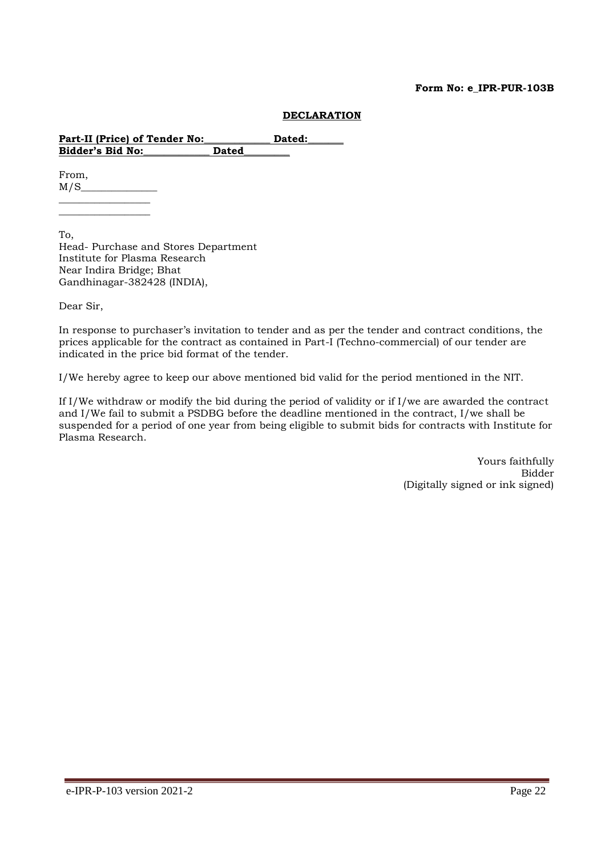#### **Form No: e\_IPR-PUR-103B**

#### **DECLARATION**

Part-II (Price) of Tender No: Dated: **Bidder's Bid No:\_\_\_\_\_\_\_\_\_\_\_\_\_ Dated\_\_\_\_\_\_\_\_\_**

From,  $M/S$  $\overline{\phantom{a}}$  , where  $\overline{\phantom{a}}$ 

 $\overline{\phantom{a}}$  , where  $\overline{\phantom{a}}$ 

To, Head- Purchase and Stores Department Institute for Plasma Research Near Indira Bridge; Bhat Gandhinagar-382428 (INDIA),

Dear Sir,

In response to purchaser's invitation to tender and as per the tender and contract conditions, the prices applicable for the contract as contained in Part-I (Techno-commercial) of our tender are indicated in the price bid format of the tender.

I/We hereby agree to keep our above mentioned bid valid for the period mentioned in the NIT.

If I/We withdraw or modify the bid during the period of validity or if I/we are awarded the contract and I/We fail to submit a PSDBG before the deadline mentioned in the contract, I/we shall be suspended for a period of one year from being eligible to submit bids for contracts with Institute for Plasma Research.

> Yours faithfully Bidder (Digitally signed or ink signed)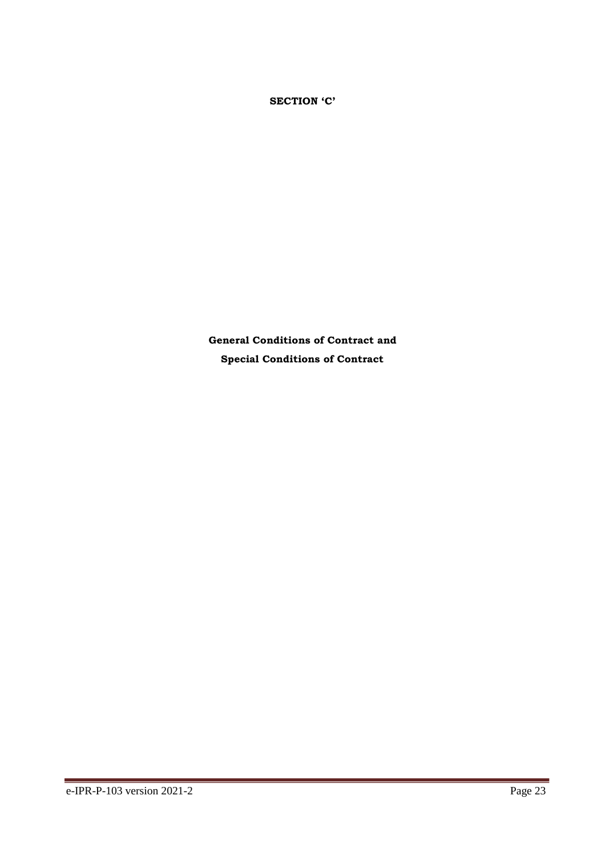**SECTION 'C'**

**General Conditions of Contract and Special Conditions of Contract**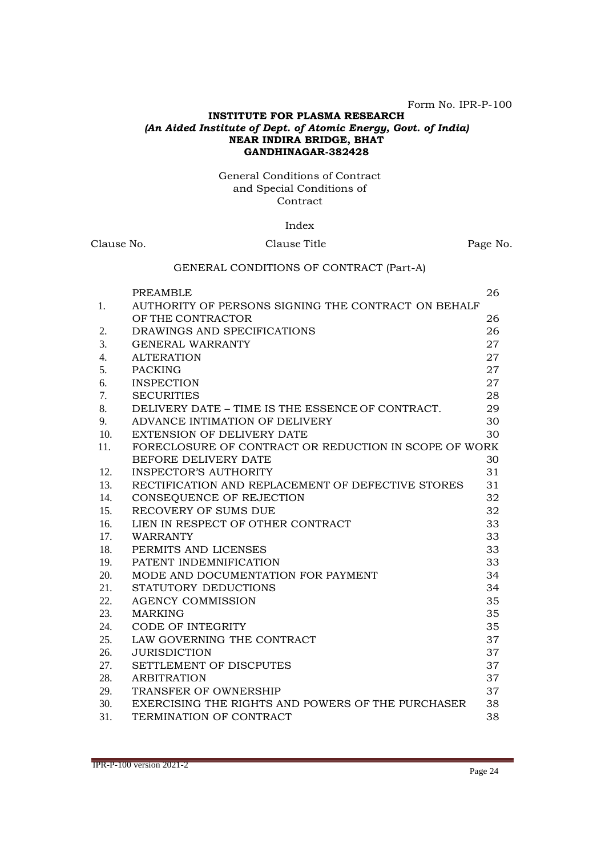Form No. IPR-P-100

#### **INSTITUTE FOR PLASMA RESEARCH** *(An Aided Institute of Dept. of Atomic Energy, Govt. of India)* **NEAR INDIRA BRIDGE, BHAT GANDHINAGAR-382428**

#### General Conditions of Contract and Special Conditions of **Contract**

#### Index

# Clause No. Clause Title Page No. GENERAL CONDITIONS OF CONTRACT (Part-A) PREAMBLE 26 1. AUTHORITY OF PERSONS SIGNING THE CONTRACT ON BEHALF OF THE CONTRACTOR 26 2. DRAWINGS AND SPECIFICATIONS 26 3. GENERAL WARRANTY 27 4. ALTERATION 27 5. PACKING 27 6. INSPECTION 27 7. SECURITIES 28 8. DELIVERY DATE – TIME IS THE ESSENCE OF CONTRACT. 29 9. ADVANCE INTIMATION OF DELIVERY 30 10. EXTENSION OF DELIVERY DATE 30 11. FORECLOSURE OF CONTRACT OR REDUCTION IN SCOPE OF WORK BEFORE DELIVERY DATE 30 12. INSPECTOR'S AUTHORITY 31 13. RECTIFICATION AND REPLACEMENT OF DEFECTIVE STORES 31 14. CONSEQUENCE OF REJECTION 32 15. RECOVERY OF SUMS DUE 32 16. LIEN IN RESPECT OF OTHER CONTRACT 33 17. WARRANTY 33 18. PERMITS AND LICENSES 33 19. PATENT INDEMNIFICATION 33 20. MODE AND DOCUMENTATION FOR PAYMENT 34 21. STATUTORY DEDUCTIONS 34 22. AGENCY COMMISSION 35 23. MARKING 35 24. CODE OF INTEGRITY 35 25. LAW GOVERNING THE CONTRACT 37 26. JURISDICTION 37 27. SETTLEMENT OF DISCPUTES 37 28. ARBITRATION 37 29. TRANSFER OF OWNERSHIP 37

30. EXERCISING THE RIGHTS AND POWERS OF THE PURCHASER 38 31. TERMINATION OF CONTRACT 38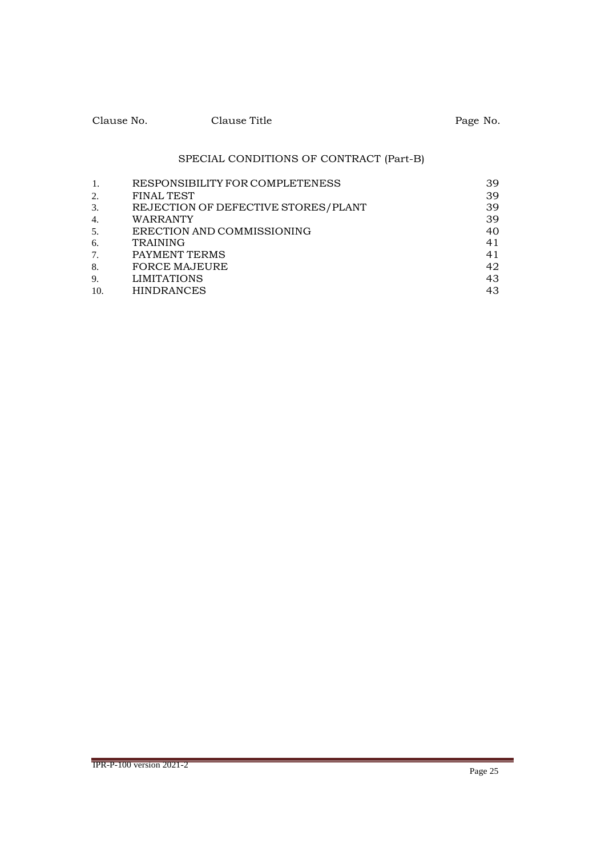| Clause No. | Clause Title | Page No. |
|------------|--------------|----------|
|            |              |          |

# SPECIAL CONDITIONS OF CONTRACT (Part-B)

| 1.               | RESPONSIBILITY FOR COMPLETENESS     | 39 |
|------------------|-------------------------------------|----|
| 2.               | <b>FINAL TEST</b>                   | 39 |
| 3.               | REJECTION OF DEFECTIVE STORES/PLANT | 39 |
| $\overline{4}$ . | WARRANTY                            | 39 |
| 5.               | ERECTION AND COMMISSIONING          | 40 |
| 6.               | <b>TRAINING</b>                     | 41 |
| 7.               | PAYMENT TERMS                       | 41 |
| 8.               | <b>FORCE MAJEURE</b>                | 42 |
| 9.               | <b>LIMITATIONS</b>                  | 43 |
| 10.              | <b>HINDRANCES</b>                   | 43 |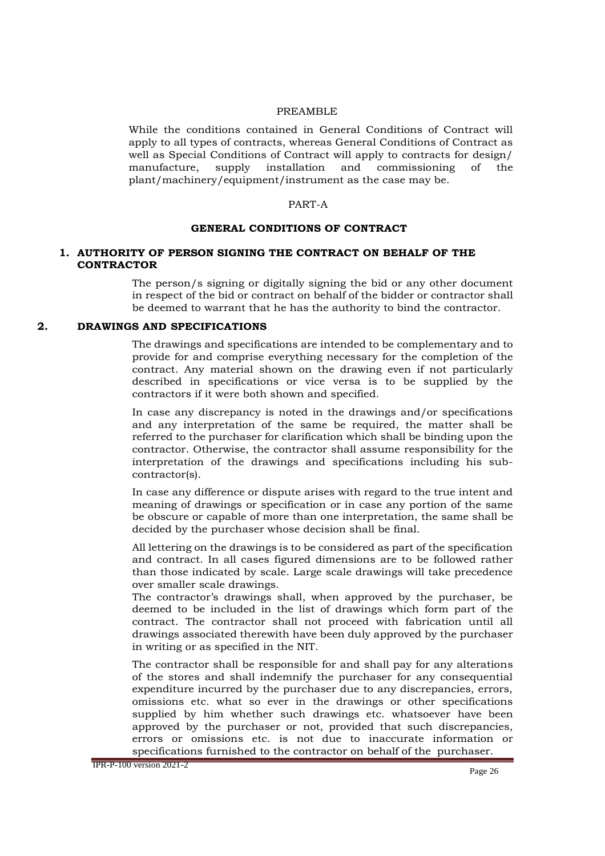#### PREAMBLE

While the conditions contained in General Conditions of Contract will apply to all types of contracts, whereas General Conditions of Contract as well as Special Conditions of Contract will apply to contracts for design/ manufacture, supply installation and commissioning of the plant/machinery/equipment/instrument as the case may be.

#### PART-A

#### **GENERAL CONDITIONS OF CONTRACT**

#### **1. AUTHORITY OF PERSON SIGNING THE CONTRACT ON BEHALF OF THE CONTRACTOR**

The person/s signing or digitally signing the bid or any other document in respect of the bid or contract on behalf of the bidder or contractor shall be deemed to warrant that he has the authority to bind the contractor.

#### **2. DRAWINGS AND SPECIFICATIONS**

The drawings and specifications are intended to be complementary and to provide for and comprise everything necessary for the completion of the contract. Any material shown on the drawing even if not particularly described in specifications or vice versa is to be supplied by the contractors if it were both shown and specified.

In case any discrepancy is noted in the drawings and/or specifications and any interpretation of the same be required, the matter shall be referred to the purchaser for clarification which shall be binding upon the contractor. Otherwise, the contractor shall assume responsibility for the interpretation of the drawings and specifications including his subcontractor(s).

In case any difference or dispute arises with regard to the true intent and meaning of drawings or specification or in case any portion of the same be obscure or capable of more than one interpretation, the same shall be decided by the purchaser whose decision shall be final.

All lettering on the drawings is to be considered as part of the specification and contract. In all cases figured dimensions are to be followed rather than those indicated by scale. Large scale drawings will take precedence over smaller scale drawings.

The contractor's drawings shall, when approved by the purchaser, be deemed to be included in the list of drawings which form part of the contract. The contractor shall not proceed with fabrication until all drawings associated therewith have been duly approved by the purchaser in writing or as specified in the NIT.

The contractor shall be responsible for and shall pay for any alterations of the stores and shall indemnify the purchaser for any consequential expenditure incurred by the purchaser due to any discrepancies, errors, omissions etc. what so ever in the drawings or other specifications supplied by him whether such drawings etc. whatsoever have been approved by the purchaser or not, provided that such discrepancies, errors or omissions etc. is not due to inaccurate information or specifications furnished to the contractor on behalf of the purchaser.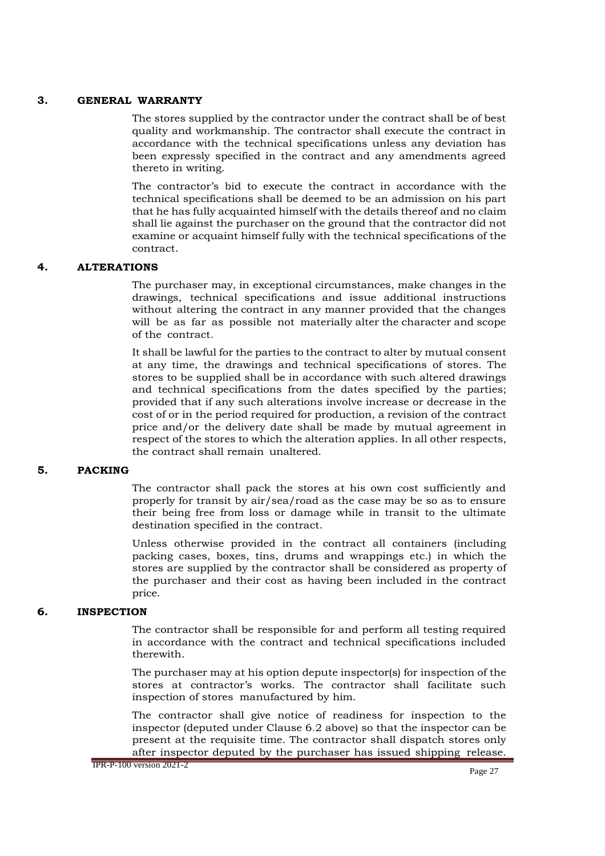#### **3. GENERAL WARRANTY**

The stores supplied by the contractor under the contract shall be of best quality and workmanship. The contractor shall execute the contract in accordance with the technical specifications unless any deviation has been expressly specified in the contract and any amendments agreed thereto in writing.

The contractor's bid to execute the contract in accordance with the technical specifications shall be deemed to be an admission on his part that he has fully acquainted himself with the details thereof and no claim shall lie against the purchaser on the ground that the contractor did not examine or acquaint himself fully with the technical specifications of the contract.

## **4. ALTERATIONS**

The purchaser may, in exceptional circumstances, make changes in the drawings, technical specifications and issue additional instructions without altering the contract in any manner provided that the changes will be as far as possible not materially alter the character and scope of the contract.

It shall be lawful for the parties to the contract to alter by mutual consent at any time, the drawings and technical specifications of stores. The stores to be supplied shall be in accordance with such altered drawings and technical specifications from the dates specified by the parties; provided that if any such alterations involve increase or decrease in the cost of or in the period required for production, a revision of the contract price and/or the delivery date shall be made by mutual agreement in respect of the stores to which the alteration applies. In all other respects, the contract shall remain unaltered.

#### **5. PACKING**

The contractor shall pack the stores at his own cost sufficiently and properly for transit by air/sea/road as the case may be so as to ensure their being free from loss or damage while in transit to the ultimate destination specified in the contract.

Unless otherwise provided in the contract all containers (including packing cases, boxes, tins, drums and wrappings etc.) in which the stores are supplied by the contractor shall be considered as property of the purchaser and their cost as having been included in the contract price.

#### **6. INSPECTION**

The contractor shall be responsible for and perform all testing required in accordance with the contract and technical specifications included therewith.

The purchaser may at his option depute inspector(s) for inspection of the stores at contractor's works. The contractor shall facilitate such inspection of stores manufactured by him.

The contractor shall give notice of readiness for inspection to the inspector (deputed under Clause 6.2 above) so that the inspector can be present at the requisite time. The contractor shall dispatch stores only after inspector deputed by the purchaser has issued shipping release.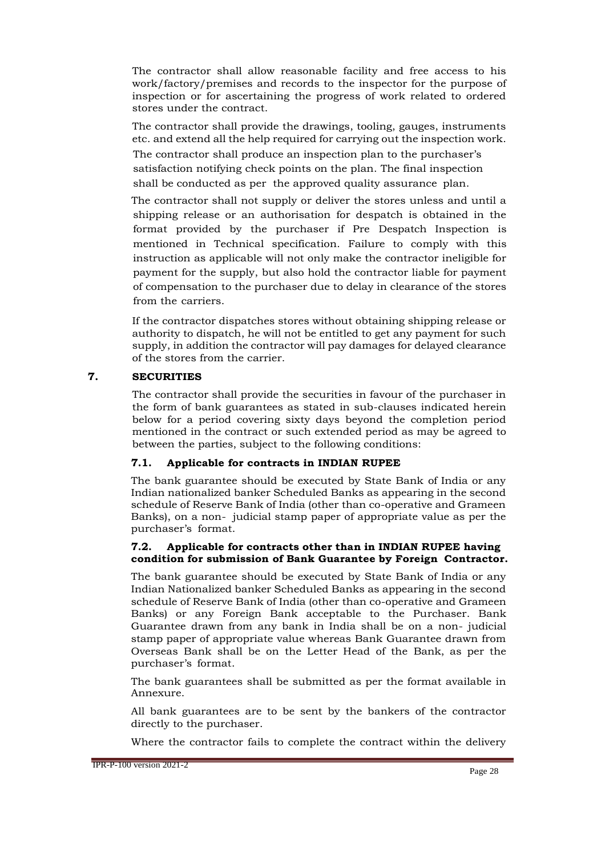The contractor shall allow reasonable facility and free access to his work/factory/premises and records to the inspector for the purpose of inspection or for ascertaining the progress of work related to ordered stores under the contract.

The contractor shall provide the drawings, tooling, gauges, instruments etc. and extend all the help required for carrying out the inspection work.

The contractor shall produce an inspection plan to the purchaser's satisfaction notifying check points on the plan. The final inspection shall be conducted as per the approved quality assurance plan.

The contractor shall not supply or deliver the stores unless and until a shipping release or an authorisation for despatch is obtained in the format provided by the purchaser if Pre Despatch Inspection is mentioned in Technical specification. Failure to comply with this instruction as applicable will not only make the contractor ineligible for payment for the supply, but also hold the contractor liable for payment of compensation to the purchaser due to delay in clearance of the stores from the carriers.

If the contractor dispatches stores without obtaining shipping release or authority to dispatch, he will not be entitled to get any payment for such supply, in addition the contractor will pay damages for delayed clearance of the stores from the carrier.

## **7. SECURITIES**

The contractor shall provide the securities in favour of the purchaser in the form of bank guarantees as stated in sub-clauses indicated herein below for a period covering sixty days beyond the completion period mentioned in the contract or such extended period as may be agreed to between the parties, subject to the following conditions:

### **7.1. Applicable for contracts in INDIAN RUPEE**

The bank guarantee should be executed by State Bank of India or any Indian nationalized banker Scheduled Banks as appearing in the second schedule of Reserve Bank of India (other than co-operative and Grameen Banks), on a non- judicial stamp paper of appropriate value as per the purchaser's format.

#### **7.2. Applicable for contracts other than in INDIAN RUPEE having condition for submission of Bank Guarantee by Foreign Contractor.**

The bank guarantee should be executed by State Bank of India or any Indian Nationalized banker Scheduled Banks as appearing in the second schedule of Reserve Bank of India (other than co-operative and Grameen Banks) or any Foreign Bank acceptable to the Purchaser. Bank Guarantee drawn from any bank in India shall be on a non- judicial stamp paper of appropriate value whereas Bank Guarantee drawn from Overseas Bank shall be on the Letter Head of the Bank, as per the purchaser's format.

The bank guarantees shall be submitted as per the format available in Annexure.

All bank guarantees are to be sent by the bankers of the contractor directly to the purchaser.

Where the contractor fails to complete the contract within the delivery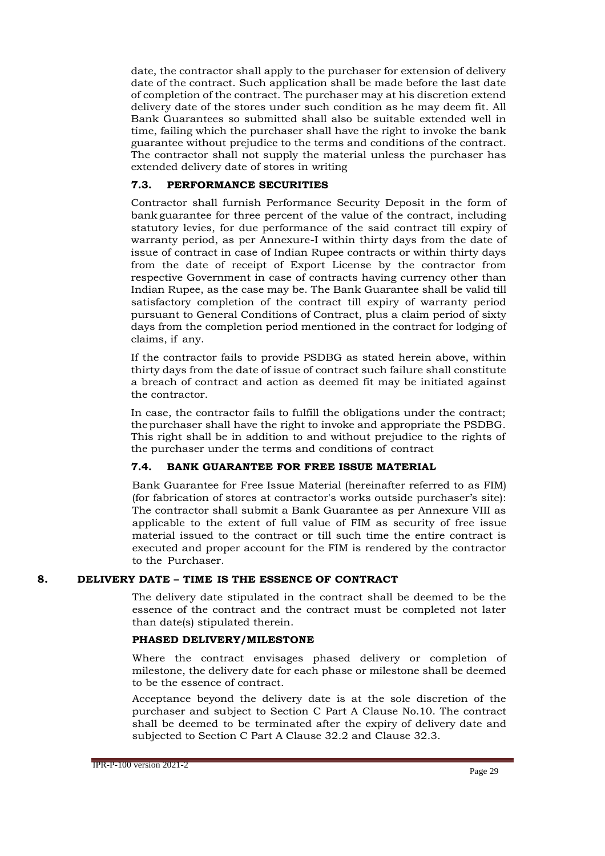date, the contractor shall apply to the purchaser for extension of delivery date of the contract. Such application shall be made before the last date of completion of the contract. The purchaser may at his discretion extend delivery date of the stores under such condition as he may deem fit. All Bank Guarantees so submitted shall also be suitable extended well in time, failing which the purchaser shall have the right to invoke the bank guarantee without prejudice to the terms and conditions of the contract. The contractor shall not supply the material unless the purchaser has extended delivery date of stores in writing

## **7.3. PERFORMANCE SECURITIES**

Contractor shall furnish Performance Security Deposit in the form of bank guarantee for three percent of the value of the contract, including statutory levies, for due performance of the said contract till expiry of warranty period, as per Annexure-I within thirty days from the date of issue of contract in case of Indian Rupee contracts or within thirty days from the date of receipt of Export License by the contractor from respective Government in case of contracts having currency other than Indian Rupee, as the case may be. The Bank Guarantee shall be valid till satisfactory completion of the contract till expiry of warranty period pursuant to General Conditions of Contract, plus a claim period of sixty days from the completion period mentioned in the contract for lodging of claims, if any.

If the contractor fails to provide PSDBG as stated herein above, within thirty days from the date of issue of contract such failure shall constitute a breach of contract and action as deemed fit may be initiated against the contractor.

In case, the contractor fails to fulfill the obligations under the contract; thepurchaser shall have the right to invoke and appropriate the PSDBG. This right shall be in addition to and without prejudice to the rights of the purchaser under the terms and conditions of contract

#### **7.4. BANK GUARANTEE FOR FREE ISSUE MATERIAL**

Bank Guarantee for Free Issue Material (hereinafter referred to as FIM) (for fabrication of stores at contractor's works outside purchaser's site): The contractor shall submit a Bank Guarantee as per Annexure VIII as applicable to the extent of full value of FIM as security of free issue material issued to the contract or till such time the entire contract is executed and proper account for the FIM is rendered by the contractor to the Purchaser.

#### **8. DELIVERY DATE – TIME IS THE ESSENCE OF CONTRACT**

The delivery date stipulated in the contract shall be deemed to be the essence of the contract and the contract must be completed not later than date(s) stipulated therein.

#### **PHASED DELIVERY/MILESTONE**

Where the contract envisages phased delivery or completion of milestone, the delivery date for each phase or milestone shall be deemed to be the essence of contract.

Acceptance beyond the delivery date is at the sole discretion of the purchaser and subject to Section C Part A Clause No.10. The contract shall be deemed to be terminated after the expiry of delivery date and subjected to Section C Part A Clause 32.2 and Clause 32.3.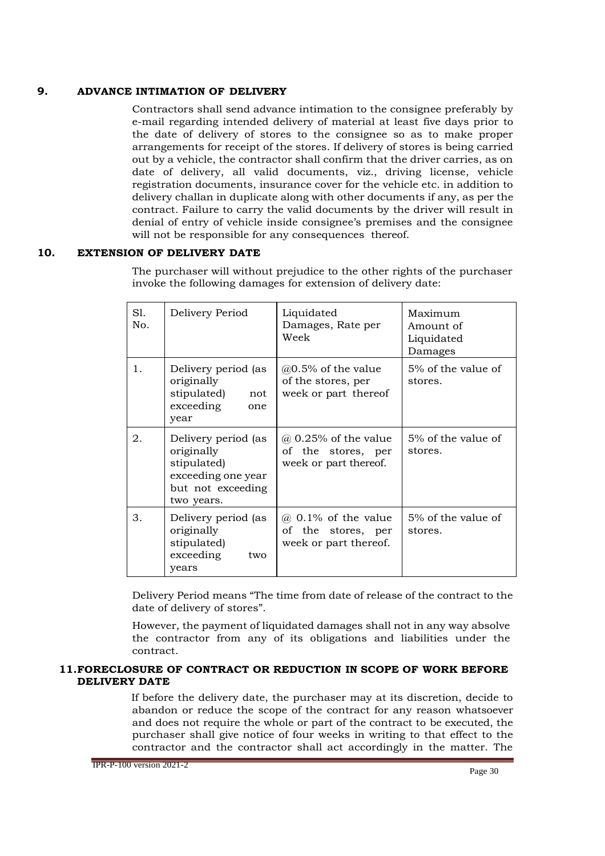## **9. ADVANCE INTIMATION OF DELIVERY**

Contractors shall send advance intimation to the consignee preferably by e-mail regarding intended delivery of material at least five days prior to the date of delivery of stores to the consignee so as to make proper arrangements for receipt of the stores. If delivery of stores is being carried out by a vehicle, the contractor shall confirm that the driver carries, as on date of delivery, all valid documents, viz., driving license, vehicle registration documents, insurance cover for the vehicle etc. in addition to delivery challan in duplicate along with other documents if any, as per the contract. Failure to carry the valid documents by the driver will result in denial of entry of vehicle inside consignee's premises and the consignee will not be responsible for any consequences thereof.

## **10. EXTENSION OF DELIVERY DATE**

The purchaser will without prejudice to the other rights of the purchaser invoke the following damages for extension of delivery date:

| S1.<br>No. | Delivery Period                                                                                           | Liquidated<br>Damages, Rate per<br>Week                                    | Maximum<br>Amount of<br>Liquidated<br>Damages |
|------------|-----------------------------------------------------------------------------------------------------------|----------------------------------------------------------------------------|-----------------------------------------------|
| 1.         | Delivery period (as<br>originally<br>stipulated)<br>not<br>exceeding<br>one<br>year                       | $@0.5\%$ of the value<br>of the stores, per<br>week or part thereof        | 5% of the value of<br>stores.                 |
| 2.         | Delivery period (as<br>originally<br>stipulated)<br>exceeding one year<br>but not exceeding<br>two years. | $\omega$ 0.25% of the value<br>of the stores, per<br>week or part thereof. | 5% of the value of<br>stores.                 |
| 3.         | Delivery period (as<br>originally<br>stipulated)<br>exceeding<br>two<br>years                             | $(a)$ 0.1% of the value<br>of the stores, per<br>week or part thereof.     | $5\%$ of the value of<br>stores.              |

Delivery Period means "The time from date of release of the contract to the date of delivery of stores".

However, the payment of liquidated damages shall not in any way absolve the contractor from any of its obligations and liabilities under the contract.

#### **11.FORECLOSURE OF CONTRACT OR REDUCTION IN SCOPE OF WORK BEFORE DELIVERY DATE**

If before the delivery date, the purchaser may at its discretion, decide to abandon or reduce the scope of the contract for any reason whatsoever and does not require the whole or part of the contract to be executed, the purchaser shall give notice of four weeks in writing to that effect to the contractor and the contractor shall act accordingly in the matter. The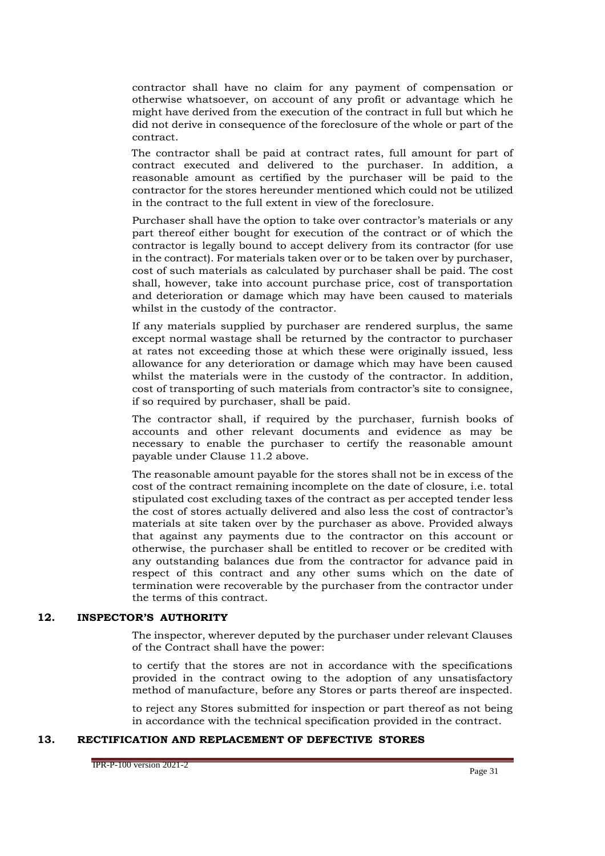contractor shall have no claim for any payment of compensation or otherwise whatsoever, on account of any profit or advantage which he might have derived from the execution of the contract in full but which he did not derive in consequence of the foreclosure of the whole or part of the contract.

The contractor shall be paid at contract rates, full amount for part of contract executed and delivered to the purchaser. In addition, a reasonable amount as certified by the purchaser will be paid to the contractor for the stores hereunder mentioned which could not be utilized in the contract to the full extent in view of the foreclosure.

Purchaser shall have the option to take over contractor's materials or any part thereof either bought for execution of the contract or of which the contractor is legally bound to accept delivery from its contractor (for use in the contract). For materials taken over or to be taken over by purchaser, cost of such materials as calculated by purchaser shall be paid. The cost shall, however, take into account purchase price, cost of transportation and deterioration or damage which may have been caused to materials whilst in the custody of the contractor.

If any materials supplied by purchaser are rendered surplus, the same except normal wastage shall be returned by the contractor to purchaser at rates not exceeding those at which these were originally issued, less allowance for any deterioration or damage which may have been caused whilst the materials were in the custody of the contractor. In addition, cost of transporting of such materials from contractor's site to consignee, if so required by purchaser, shall be paid.

The contractor shall, if required by the purchaser, furnish books of accounts and other relevant documents and evidence as may be necessary to enable the purchaser to certify the reasonable amount payable under Clause 11.2 above.

The reasonable amount payable for the stores shall not be in excess of the cost of the contract remaining incomplete on the date of closure, i.e. total stipulated cost excluding taxes of the contract as per accepted tender less the cost of stores actually delivered and also less the cost of contractor's materials at site taken over by the purchaser as above. Provided always that against any payments due to the contractor on this account or otherwise, the purchaser shall be entitled to recover or be credited with any outstanding balances due from the contractor for advance paid in respect of this contract and any other sums which on the date of termination were recoverable by the purchaser from the contractor under the terms of this contract.

#### **12. INSPECTOR'S AUTHORITY**

The inspector, wherever deputed by the purchaser under relevant Clauses of the Contract shall have the power:

to certify that the stores are not in accordance with the specifications provided in the contract owing to the adoption of any unsatisfactory method of manufacture, before any Stores or parts thereof are inspected.

to reject any Stores submitted for inspection or part thereof as not being in accordance with the technical specification provided in the contract.

### **13. RECTIFICATION AND REPLACEMENT OF DEFECTIVE STORES**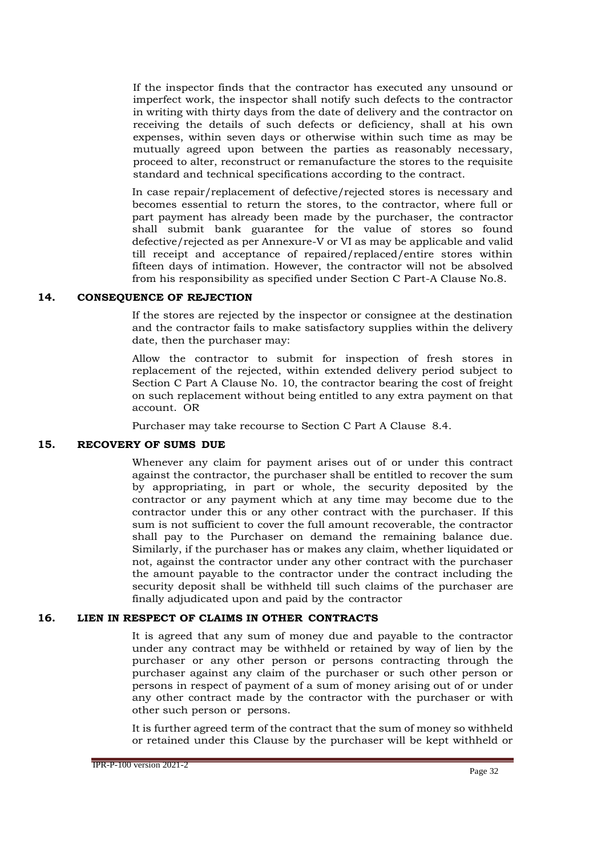If the inspector finds that the contractor has executed any unsound or imperfect work, the inspector shall notify such defects to the contractor in writing with thirty days from the date of delivery and the contractor on receiving the details of such defects or deficiency, shall at his own expenses, within seven days or otherwise within such time as may be mutually agreed upon between the parties as reasonably necessary, proceed to alter, reconstruct or remanufacture the stores to the requisite standard and technical specifications according to the contract.

In case repair/replacement of defective/rejected stores is necessary and becomes essential to return the stores, to the contractor, where full or part payment has already been made by the purchaser, the contractor shall submit bank guarantee for the value of stores so found defective/rejected as per Annexure-V or VI as may be applicable and valid till receipt and acceptance of repaired/replaced/entire stores within fifteen days of intimation. However, the contractor will not be absolved from his responsibility as specified under Section C Part-A Clause No.8.

#### **14. CONSEQUENCE OF REJECTION**

If the stores are rejected by the inspector or consignee at the destination and the contractor fails to make satisfactory supplies within the delivery date, then the purchaser may:

Allow the contractor to submit for inspection of fresh stores in replacement of the rejected, within extended delivery period subject to Section C Part A Clause No. 10, the contractor bearing the cost of freight on such replacement without being entitled to any extra payment on that account. OR

Purchaser may take recourse to Section C Part A Clause 8.4.

#### **15. RECOVERY OF SUMS DUE**

Whenever any claim for payment arises out of or under this contract against the contractor, the purchaser shall be entitled to recover the sum by appropriating, in part or whole, the security deposited by the contractor or any payment which at any time may become due to the contractor under this or any other contract with the purchaser. If this sum is not sufficient to cover the full amount recoverable, the contractor shall pay to the Purchaser on demand the remaining balance due. Similarly, if the purchaser has or makes any claim, whether liquidated or not, against the contractor under any other contract with the purchaser the amount payable to the contractor under the contract including the security deposit shall be withheld till such claims of the purchaser are finally adjudicated upon and paid by the contractor

#### **16. LIEN IN RESPECT OF CLAIMS IN OTHER CONTRACTS**

It is agreed that any sum of money due and payable to the contractor under any contract may be withheld or retained by way of lien by the purchaser or any other person or persons contracting through the purchaser against any claim of the purchaser or such other person or persons in respect of payment of a sum of money arising out of or under any other contract made by the contractor with the purchaser or with other such person or persons.

It is further agreed term of the contract that the sum of money so withheld or retained under this Clause by the purchaser will be kept withheld or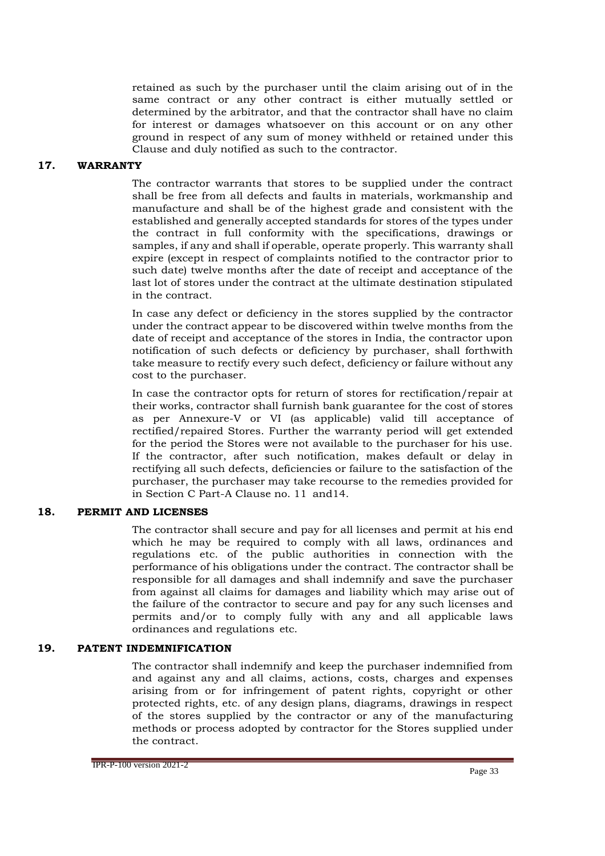retained as such by the purchaser until the claim arising out of in the same contract or any other contract is either mutually settled or determined by the arbitrator, and that the contractor shall have no claim for interest or damages whatsoever on this account or on any other ground in respect of any sum of money withheld or retained under this Clause and duly notified as such to the contractor.

#### **17. WARRANTY**

The contractor warrants that stores to be supplied under the contract shall be free from all defects and faults in materials, workmanship and manufacture and shall be of the highest grade and consistent with the established and generally accepted standards for stores of the types under the contract in full conformity with the specifications, drawings or samples, if any and shall if operable, operate properly. This warranty shall expire (except in respect of complaints notified to the contractor prior to such date) twelve months after the date of receipt and acceptance of the last lot of stores under the contract at the ultimate destination stipulated in the contract.

In case any defect or deficiency in the stores supplied by the contractor under the contract appear to be discovered within twelve months from the date of receipt and acceptance of the stores in India, the contractor upon notification of such defects or deficiency by purchaser, shall forthwith take measure to rectify every such defect, deficiency or failure without any cost to the purchaser.

In case the contractor opts for return of stores for rectification/repair at their works, contractor shall furnish bank guarantee for the cost of stores as per Annexure-V or VI (as applicable) valid till acceptance of rectified/repaired Stores. Further the warranty period will get extended for the period the Stores were not available to the purchaser for his use. If the contractor, after such notification, makes default or delay in rectifying all such defects, deficiencies or failure to the satisfaction of the purchaser, the purchaser may take recourse to the remedies provided for in Section C Part-A Clause no. 11 and14.

## **18. PERMIT AND LICENSES**

The contractor shall secure and pay for all licenses and permit at his end which he may be required to comply with all laws, ordinances and regulations etc. of the public authorities in connection with the performance of his obligations under the contract. The contractor shall be responsible for all damages and shall indemnify and save the purchaser from against all claims for damages and liability which may arise out of the failure of the contractor to secure and pay for any such licenses and permits and/or to comply fully with any and all applicable laws ordinances and regulations etc.

#### **19. PATENT INDEMNIFICATION**

The contractor shall indemnify and keep the purchaser indemnified from and against any and all claims, actions, costs, charges and expenses arising from or for infringement of patent rights, copyright or other protected rights, etc. of any design plans, diagrams, drawings in respect of the stores supplied by the contractor or any of the manufacturing methods or process adopted by contractor for the Stores supplied under the contract.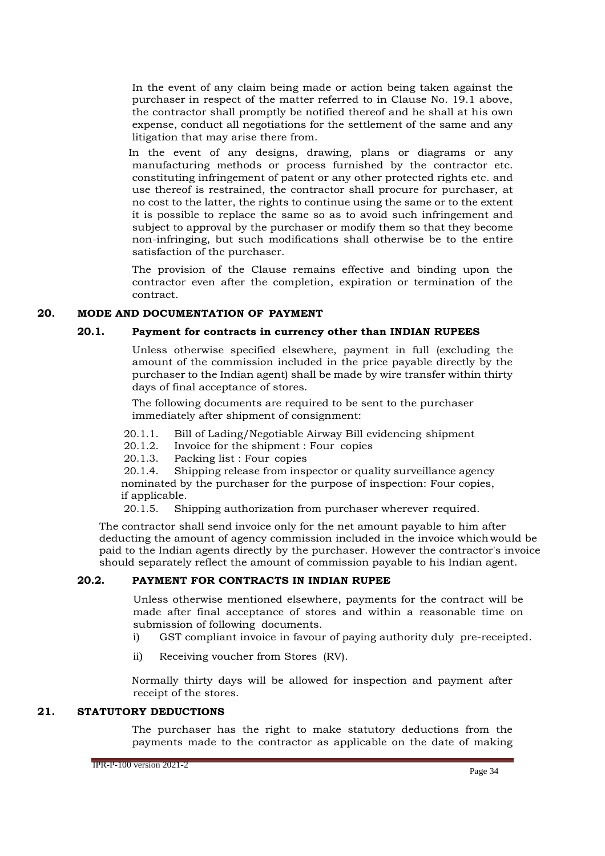In the event of any claim being made or action being taken against the purchaser in respect of the matter referred to in Clause No. 19.1 above, the contractor shall promptly be notified thereof and he shall at his own expense, conduct all negotiations for the settlement of the same and any litigation that may arise there from.

In the event of any designs, drawing, plans or diagrams or any manufacturing methods or process furnished by the contractor etc. constituting infringement of patent or any other protected rights etc. and use thereof is restrained, the contractor shall procure for purchaser, at no cost to the latter, the rights to continue using the same or to the extent it is possible to replace the same so as to avoid such infringement and subject to approval by the purchaser or modify them so that they become non-infringing, but such modifications shall otherwise be to the entire satisfaction of the purchaser.

The provision of the Clause remains effective and binding upon the contractor even after the completion, expiration or termination of the contract.

#### **20. MODE AND DOCUMENTATION OF PAYMENT**

#### **20.1. Payment for contracts in currency other than INDIAN RUPEES**

Unless otherwise specified elsewhere, payment in full (excluding the amount of the commission included in the price payable directly by the purchaser to the Indian agent) shall be made by wire transfer within thirty days of final acceptance of stores.

The following documents are required to be sent to the purchaser immediately after shipment of consignment:

- 20.1.1. Bill of Lading/Negotiable Airway Bill evidencing shipment
- 20.1.2. Invoice for the shipment : Four copies<br>20.1.3. Packing list : Four copies
- Packing list : Four copies

20.1.4. Shipping release from inspector or quality surveillance agency nominated by the purchaser for the purpose of inspection: Four copies, if applicable.

20.1.5. Shipping authorization from purchaser wherever required.

The contractor shall send invoice only for the net amount payable to him after deducting the amount of agency commission included in the invoice whichwould be paid to the Indian agents directly by the purchaser. However the contractor's invoice should separately reflect the amount of commission payable to his Indian agent.

#### **20.2. PAYMENT FOR CONTRACTS IN INDIAN RUPEE**

Unless otherwise mentioned elsewhere, payments for the contract will be made after final acceptance of stores and within a reasonable time on submission of following documents.

- i) GST compliant invoice in favour of paying authority duly pre-receipted.
- ii) Receiving voucher from Stores (RV).

Normally thirty days will be allowed for inspection and payment after receipt of the stores.

#### **21. STATUTORY DEDUCTIONS**

The purchaser has the right to make statutory deductions from the payments made to the contractor as applicable on the date of making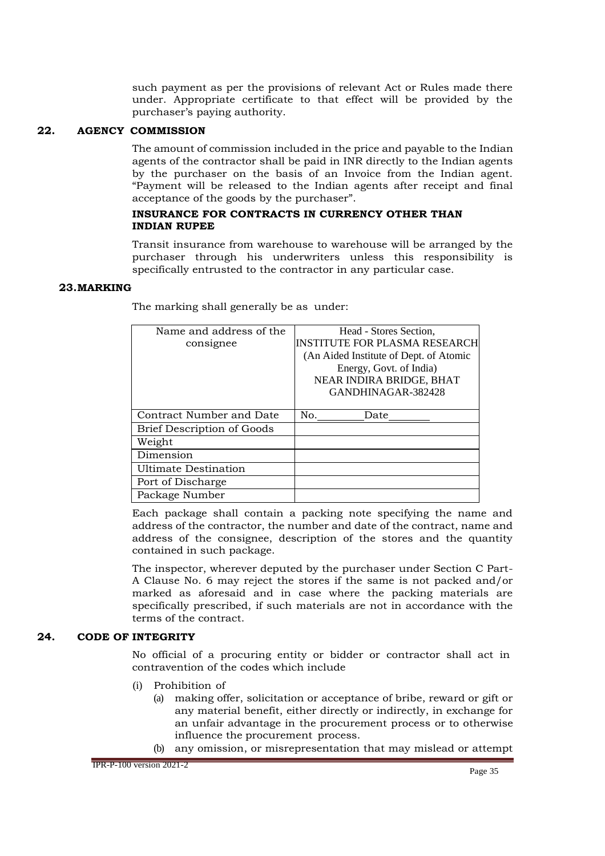such payment as per the provisions of relevant Act or Rules made there under. Appropriate certificate to that effect will be provided by the purchaser's paying authority.

### **22. AGENCY COMMISSION**

The amount of commission included in the price and payable to the Indian agents of the contractor shall be paid in INR directly to the Indian agents by the purchaser on the basis of an Invoice from the Indian agent. "Payment will be released to the Indian agents after receipt and final acceptance of the goods by the purchaser".

#### **INSURANCE FOR CONTRACTS IN CURRENCY OTHER THAN INDIAN RUPEE**

Transit insurance from warehouse to warehouse will be arranged by the purchaser through his underwriters unless this responsibility is specifically entrusted to the contractor in any particular case.

#### **23.MARKING**

| Name and address of the    | Head - Stores Section.                 |
|----------------------------|----------------------------------------|
| consignee                  | INSTITUTE FOR PLASMA RESEARCH          |
|                            | (An Aided Institute of Dept. of Atomic |
|                            | Energy, Govt. of India)                |
|                            | NEAR INDIRA BRIDGE, BHAT               |
|                            | GANDHINAGAR-382428                     |
|                            |                                        |
| Contract Number and Date   | No.<br>Date                            |
| Brief Description of Goods |                                        |
| Weight                     |                                        |
| Dimension                  |                                        |
| Ultimate Destination       |                                        |
| Port of Discharge          |                                        |
| Package Number             |                                        |

The marking shall generally be as under:

Each package shall contain a packing note specifying the name and address of the contractor, the number and date of the contract, name and address of the consignee, description of the stores and the quantity contained in such package.

The inspector, wherever deputed by the purchaser under Section C Part-A Clause No. 6 may reject the stores if the same is not packed and/or marked as aforesaid and in case where the packing materials are specifically prescribed, if such materials are not in accordance with the terms of the contract.

#### **24. CODE OF INTEGRITY**

No official of a procuring entity or bidder or contractor shall act in contravention of the codes which include

- (i) Prohibition of
	- (a) making offer, solicitation or acceptance of bribe, reward or gift or any material benefit, either directly or indirectly, in exchange for an unfair advantage in the procurement process or to otherwise influence the procurement process.
	- (b) any omission, or misrepresentation that may mislead or attempt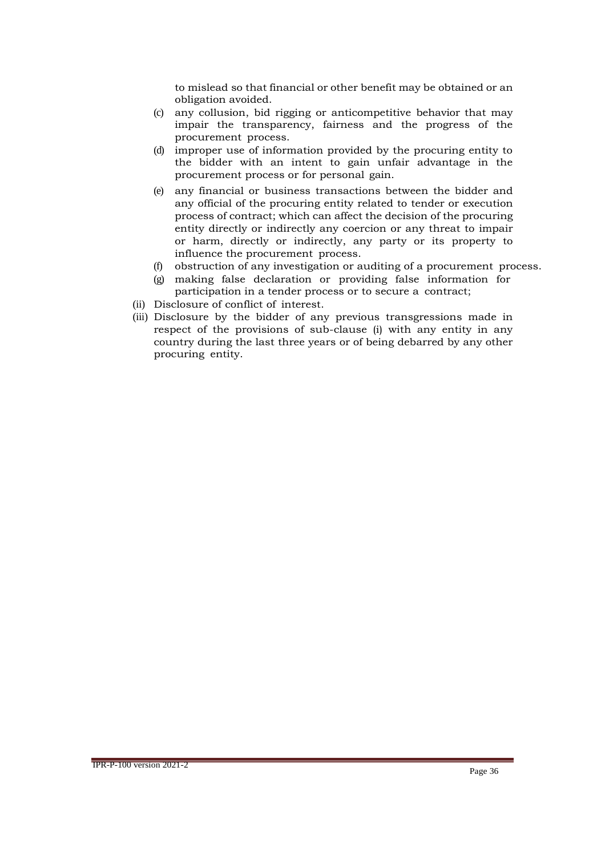to mislead so that financial or other benefit may be obtained or an obligation avoided.

- (c) any collusion, bid rigging or anticompetitive behavior that may impair the transparency, fairness and the progress of the procurement process.
- (d) improper use of information provided by the procuring entity to the bidder with an intent to gain unfair advantage in the procurement process or for personal gain.
- (e) any financial or business transactions between the bidder and any official of the procuring entity related to tender or execution process of contract; which can affect the decision of the procuring entity directly or indirectly any coercion or any threat to impair or harm, directly or indirectly, any party or its property to influence the procurement process.
- (f) obstruction of any investigation or auditing of a procurement process.
- (g) making false declaration or providing false information for participation in a tender process or to secure a contract;
- (ii) Disclosure of conflict of interest.
- (iii) Disclosure by the bidder of any previous transgressions made in respect of the provisions of sub-clause (i) with any entity in any country during the last three years or of being debarred by any other procuring entity.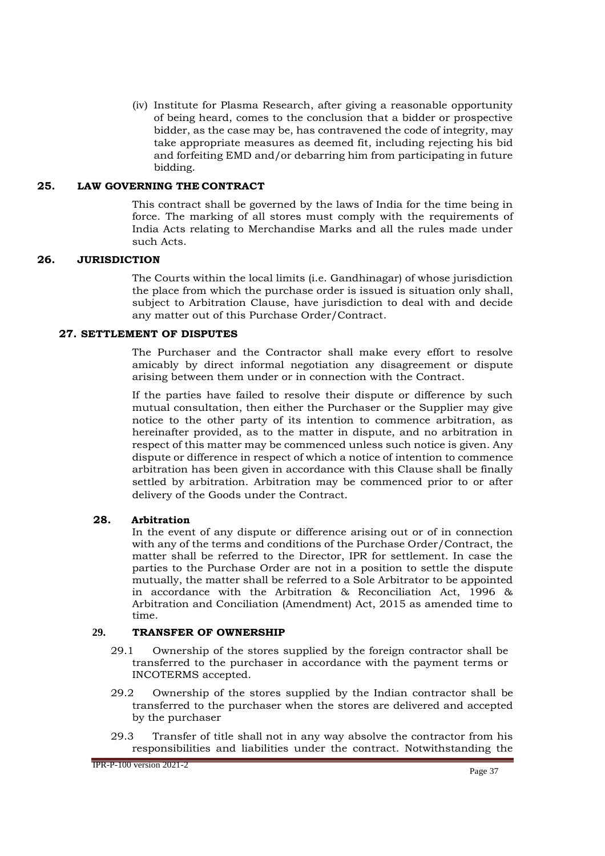(iv) Institute for Plasma Research, after giving a reasonable opportunity of being heard, comes to the conclusion that a bidder or prospective bidder, as the case may be, has contravened the code of integrity, may take appropriate measures as deemed fit, including rejecting his bid and forfeiting EMD and/or debarring him from participating in future bidding.

#### **25. LAW GOVERNING THE CONTRACT**

This contract shall be governed by the laws of India for the time being in force. The marking of all stores must comply with the requirements of India Acts relating to Merchandise Marks and all the rules made under such Acts.

## **26. JURISDICTION**

The Courts within the local limits (i.e. Gandhinagar) of whose jurisdiction the place from which the purchase order is issued is situation only shall, subject to Arbitration Clause, have jurisdiction to deal with and decide any matter out of this Purchase Order/Contract.

## **27. SETTLEMENT OF DISPUTES**

The Purchaser and the Contractor shall make every effort to resolve amicably by direct informal negotiation any disagreement or dispute arising between them under or in connection with the Contract.

If the parties have failed to resolve their dispute or difference by such mutual consultation, then either the Purchaser or the Supplier may give notice to the other party of its intention to commence arbitration, as hereinafter provided, as to the matter in dispute, and no arbitration in respect of this matter may be commenced unless such notice is given. Any dispute or difference in respect of which a notice of intention to commence arbitration has been given in accordance with this Clause shall be finally settled by arbitration. Arbitration may be commenced prior to or after delivery of the Goods under the Contract.

## **28. Arbitration**

In the event of any dispute or difference arising out or of in connection with any of the terms and conditions of the Purchase Order/Contract, the matter shall be referred to the Director, IPR for settlement. In case the parties to the Purchase Order are not in a position to settle the dispute mutually, the matter shall be referred to a Sole Arbitrator to be appointed in accordance with the Arbitration & Reconciliation Act, 1996 & Arbitration and Conciliation (Amendment) Act, 2015 as amended time to time.

#### **29. TRANSFER OF OWNERSHIP**

- 29.1 Ownership of the stores supplied by the foreign contractor shall be transferred to the purchaser in accordance with the payment terms or INCOTERMS accepted.
- 29.2 Ownership of the stores supplied by the Indian contractor shall be transferred to the purchaser when the stores are delivered and accepted by the purchaser
- 29.3 Transfer of title shall not in any way absolve the contractor from his responsibilities and liabilities under the contract. Notwithstanding the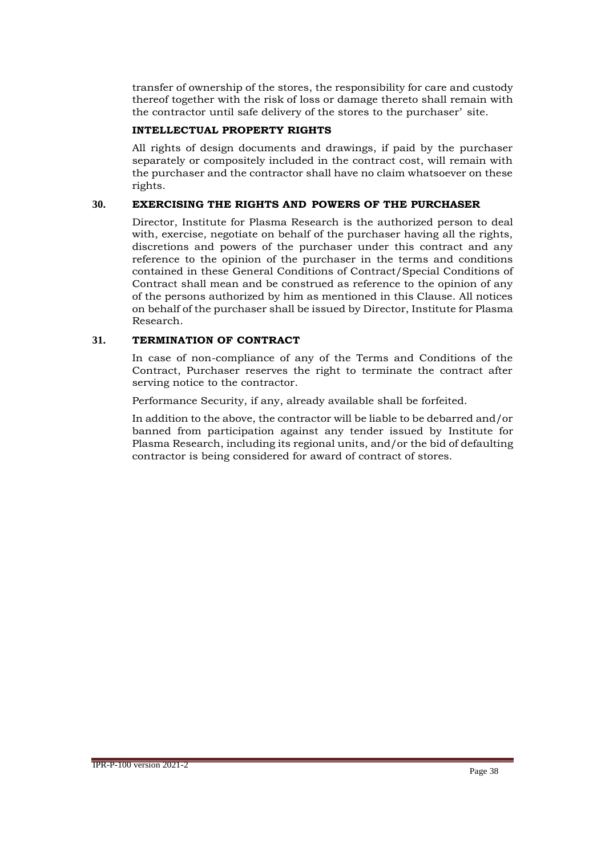transfer of ownership of the stores, the responsibility for care and custody thereof together with the risk of loss or damage thereto shall remain with the contractor until safe delivery of the stores to the purchaser' site.

#### **INTELLECTUAL PROPERTY RIGHTS**

All rights of design documents and drawings, if paid by the purchaser separately or compositely included in the contract cost, will remain with the purchaser and the contractor shall have no claim whatsoever on these rights.

### **30. EXERCISING THE RIGHTS AND POWERS OF THE PURCHASER**

Director, Institute for Plasma Research is the authorized person to deal with, exercise, negotiate on behalf of the purchaser having all the rights, discretions and powers of the purchaser under this contract and any reference to the opinion of the purchaser in the terms and conditions contained in these General Conditions of Contract/Special Conditions of Contract shall mean and be construed as reference to the opinion of any of the persons authorized by him as mentioned in this Clause. All notices on behalf of the purchaser shall be issued by Director, Institute for Plasma Research.

## **31. TERMINATION OF CONTRACT**

In case of non-compliance of any of the Terms and Conditions of the Contract, Purchaser reserves the right to terminate the contract after serving notice to the contractor.

Performance Security, if any, already available shall be forfeited.

In addition to the above, the contractor will be liable to be debarred and/or banned from participation against any tender issued by Institute for Plasma Research, including its regional units, and/or the bid of defaulting contractor is being considered for award of contract of stores.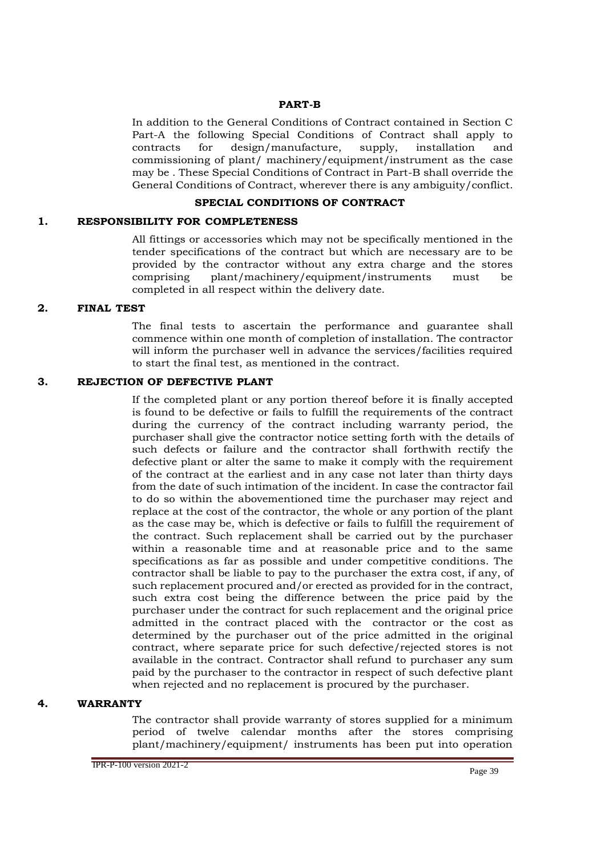#### **PART-B**

In addition to the General Conditions of Contract contained in Section C Part-A the following Special Conditions of Contract shall apply to contracts for design/manufacture, supply, installation and commissioning of plant/ machinery/equipment/instrument as the case may be . These Special Conditions of Contract in Part-B shall override the General Conditions of Contract, wherever there is any ambiguity/conflict.

#### **SPECIAL CONDITIONS OF CONTRACT**

#### **1. RESPONSIBILITY FOR COMPLETENESS**

All fittings or accessories which may not be specifically mentioned in the tender specifications of the contract but which are necessary are to be provided by the contractor without any extra charge and the stores comprising plant/machinery/equipment/instruments must be completed in all respect within the delivery date.

#### **2. FINAL TEST**

The final tests to ascertain the performance and guarantee shall commence within one month of completion of installation. The contractor will inform the purchaser well in advance the services/facilities required to start the final test, as mentioned in the contract.

#### **3. REJECTION OF DEFECTIVE PLANT**

If the completed plant or any portion thereof before it is finally accepted is found to be defective or fails to fulfill the requirements of the contract during the currency of the contract including warranty period, the purchaser shall give the contractor notice setting forth with the details of such defects or failure and the contractor shall forthwith rectify the defective plant or alter the same to make it comply with the requirement of the contract at the earliest and in any case not later than thirty days from the date of such intimation of the incident. In case the contractor fail to do so within the abovementioned time the purchaser may reject and replace at the cost of the contractor, the whole or any portion of the plant as the case may be, which is defective or fails to fulfill the requirement of the contract. Such replacement shall be carried out by the purchaser within a reasonable time and at reasonable price and to the same specifications as far as possible and under competitive conditions. The contractor shall be liable to pay to the purchaser the extra cost, if any, of such replacement procured and/or erected as provided for in the contract, such extra cost being the difference between the price paid by the purchaser under the contract for such replacement and the original price admitted in the contract placed with the contractor or the cost as determined by the purchaser out of the price admitted in the original contract, where separate price for such defective/rejected stores is not available in the contract. Contractor shall refund to purchaser any sum paid by the purchaser to the contractor in respect of such defective plant when rejected and no replacement is procured by the purchaser.

#### **4. WARRANTY**

The contractor shall provide warranty of stores supplied for a minimum period of twelve calendar months after the stores comprising plant/machinery/equipment/ instruments has been put into operation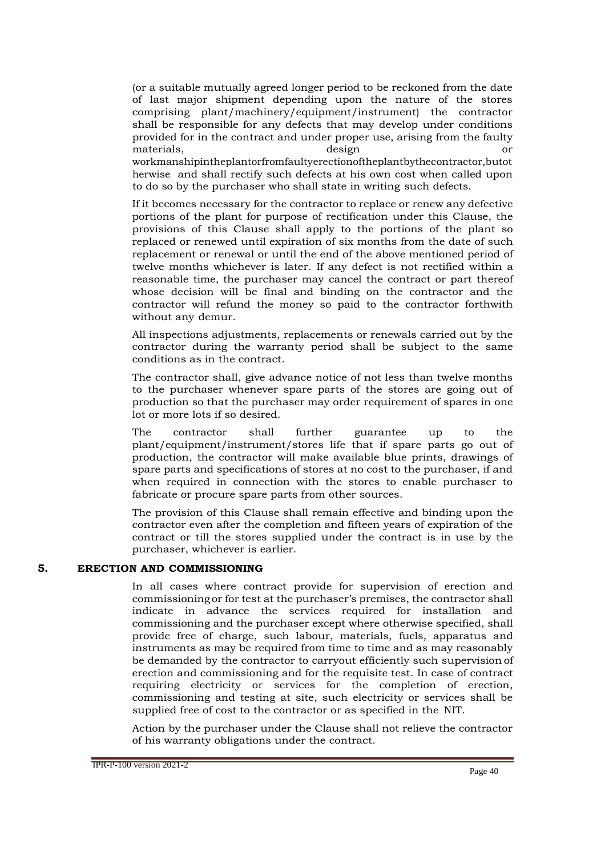(or a suitable mutually agreed longer period to be reckoned from the date of last major shipment depending upon the nature of the stores comprising plant/machinery/equipment/instrument) the contractor shall be responsible for any defects that may develop under conditions provided for in the contract and under proper use, arising from the faulty materials, design or workmanshipintheplantorfromfaultyerectionoftheplantbythecontractor,butot herwise and shall rectify such defects at his own cost when called upon to do so by the purchaser who shall state in writing such defects.

If it becomes necessary for the contractor to replace or renew any defective portions of the plant for purpose of rectification under this Clause, the provisions of this Clause shall apply to the portions of the plant so replaced or renewed until expiration of six months from the date of such replacement or renewal or until the end of the above mentioned period of twelve months whichever is later. If any defect is not rectified within a reasonable time, the purchaser may cancel the contract or part thereof whose decision will be final and binding on the contractor and the contractor will refund the money so paid to the contractor forthwith without any demur.

All inspections adjustments, replacements or renewals carried out by the contractor during the warranty period shall be subject to the same conditions as in the contract.

The contractor shall, give advance notice of not less than twelve months to the purchaser whenever spare parts of the stores are going out of production so that the purchaser may order requirement of spares in one lot or more lots if so desired.

The contractor shall further guarantee up to the plant/equipment/instrument/stores life that if spare parts go out of production, the contractor will make available blue prints, drawings of spare parts and specifications of stores at no cost to the purchaser, if and when required in connection with the stores to enable purchaser to fabricate or procure spare parts from other sources.

The provision of this Clause shall remain effective and binding upon the contractor even after the completion and fifteen years of expiration of the contract or till the stores supplied under the contract is in use by the purchaser, whichever is earlier.

#### **5. ERECTION AND COMMISSIONING**

In all cases where contract provide for supervision of erection and commissioning or for test at the purchaser's premises, the contractor shall indicate in advance the services required for installation and commissioning and the purchaser except where otherwise specified, shall provide free of charge, such labour, materials, fuels, apparatus and instruments as may be required from time to time and as may reasonably be demanded by the contractor to carryout efficiently such supervision of erection and commissioning and for the requisite test. In case of contract requiring electricity or services for the completion of erection, commissioning and testing at site, such electricity or services shall be supplied free of cost to the contractor or as specified in the NIT.

Action by the purchaser under the Clause shall not relieve the contractor of his warranty obligations under the contract.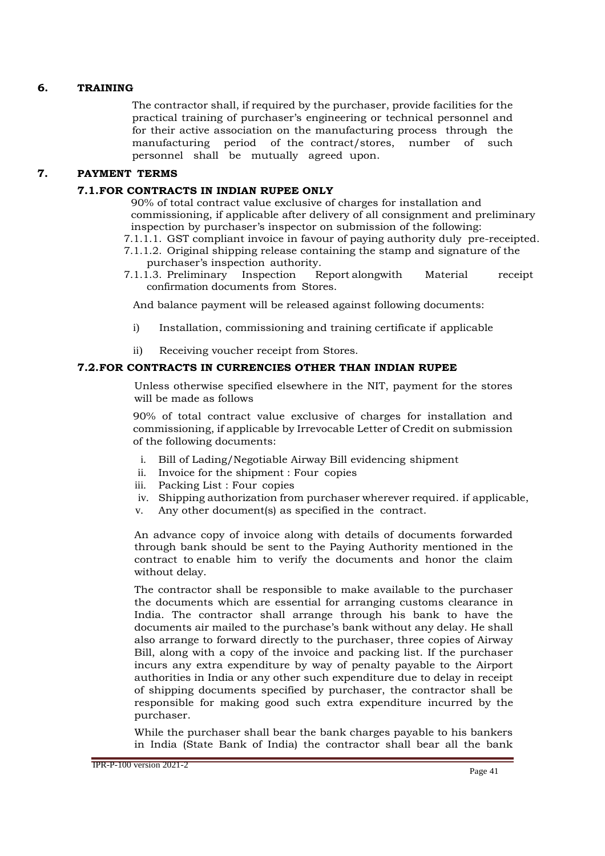## **6. TRAINING**

The contractor shall, if required by the purchaser, provide facilities for the practical training of purchaser's engineering or technical personnel and for their active association on the manufacturing process through the manufacturing period of the contract/stores, number of such personnel shall be mutually agreed upon.

## **7. PAYMENT TERMS**

## **7.1.FOR CONTRACTS IN INDIAN RUPEE ONLY**

90% of total contract value exclusive of charges for installation and commissioning, if applicable after delivery of all consignment and preliminary inspection by purchaser's inspector on submission of the following:

- 7.1.1.1. GST compliant invoice in favour of paying authority duly pre-receipted.
- 7.1.1.2. Original shipping release containing the stamp and signature of the purchaser's inspection authority.<br>1.3. Preliminary Inspection R
- 7.1.1.3. Preliminary Inspection Report alongwith Material receipt confirmation documents from Stores.

And balance payment will be released against following documents:

- i) Installation, commissioning and training certificate if applicable
- ii) Receiving voucher receipt from Stores.

#### **7.2.FOR CONTRACTS IN CURRENCIES OTHER THAN INDIAN RUPEE**

Unless otherwise specified elsewhere in the NIT, payment for the stores will be made as follows

90% of total contract value exclusive of charges for installation and commissioning, if applicable by Irrevocable Letter of Credit on submission of the following documents:

- i. Bill of Lading/Negotiable Airway Bill evidencing shipment
- ii. Invoice for the shipment : Four copies
- iii. Packing List : Four copies
- iv. Shipping authorization from purchaser wherever required. if applicable,
- v. Any other document(s) as specified in the contract.

An advance copy of invoice along with details of documents forwarded through bank should be sent to the Paying Authority mentioned in the contract to enable him to verify the documents and honor the claim without delay.

The contractor shall be responsible to make available to the purchaser the documents which are essential for arranging customs clearance in India. The contractor shall arrange through his bank to have the documents air mailed to the purchase's bank without any delay. He shall also arrange to forward directly to the purchaser, three copies of Airway Bill, along with a copy of the invoice and packing list. If the purchaser incurs any extra expenditure by way of penalty payable to the Airport authorities in India or any other such expenditure due to delay in receipt of shipping documents specified by purchaser, the contractor shall be responsible for making good such extra expenditure incurred by the purchaser.

While the purchaser shall bear the bank charges payable to his bankers in India (State Bank of India) the contractor shall bear all the bank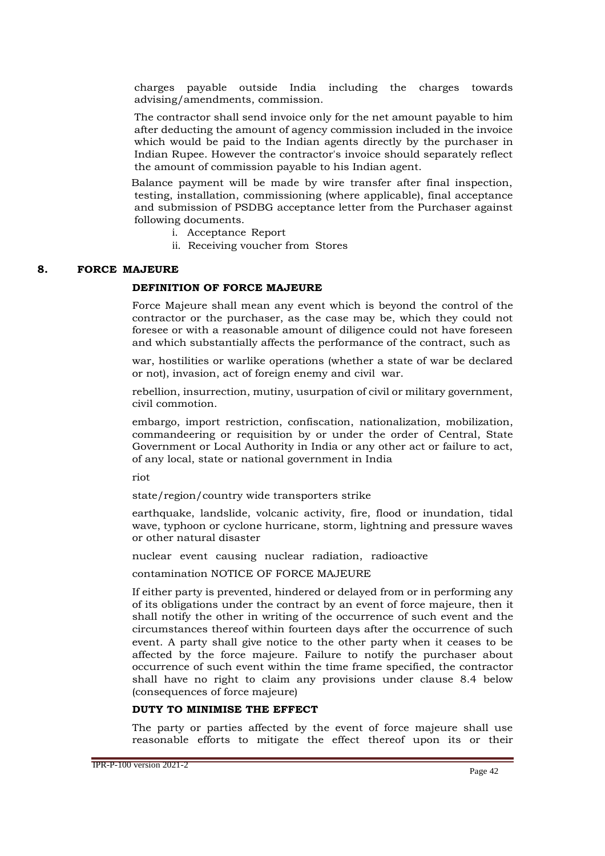charges payable outside India including the charges towards advising/amendments, commission.

The contractor shall send invoice only for the net amount payable to him after deducting the amount of agency commission included in the invoice which would be paid to the Indian agents directly by the purchaser in Indian Rupee. However the contractor's invoice should separately reflect the amount of commission payable to his Indian agent.

Balance payment will be made by wire transfer after final inspection, testing, installation, commissioning (where applicable), final acceptance and submission of PSDBG acceptance letter from the Purchaser against following documents.

- i. Acceptance Report
- ii. Receiving voucher from Stores

#### **8. FORCE MAJEURE**

#### **DEFINITION OF FORCE MAJEURE**

Force Majeure shall mean any event which is beyond the control of the contractor or the purchaser, as the case may be, which they could not foresee or with a reasonable amount of diligence could not have foreseen and which substantially affects the performance of the contract, such as

war, hostilities or warlike operations (whether a state of war be declared or not), invasion, act of foreign enemy and civil war.

rebellion, insurrection, mutiny, usurpation of civil or military government, civil commotion.

embargo, import restriction, confiscation, nationalization, mobilization, commandeering or requisition by or under the order of Central, State Government or Local Authority in India or any other act or failure to act, of any local, state or national government in India

riot

state/region/country wide transporters strike

earthquake, landslide, volcanic activity, fire, flood or inundation, tidal wave, typhoon or cyclone hurricane, storm, lightning and pressure waves or other natural disaster

nuclear event causing nuclear radiation, radioactive

contamination NOTICE OF FORCE MAJEURE

If either party is prevented, hindered or delayed from or in performing any of its obligations under the contract by an event of force majeure, then it shall notify the other in writing of the occurrence of such event and the circumstances thereof within fourteen days after the occurrence of such event. A party shall give notice to the other party when it ceases to be affected by the force majeure. Failure to notify the purchaser about occurrence of such event within the time frame specified, the contractor shall have no right to claim any provisions under clause 8.4 below (consequences of force majeure)

## **DUTY TO MINIMISE THE EFFECT**

The party or parties affected by the event of force majeure shall use reasonable efforts to mitigate the effect thereof upon its or their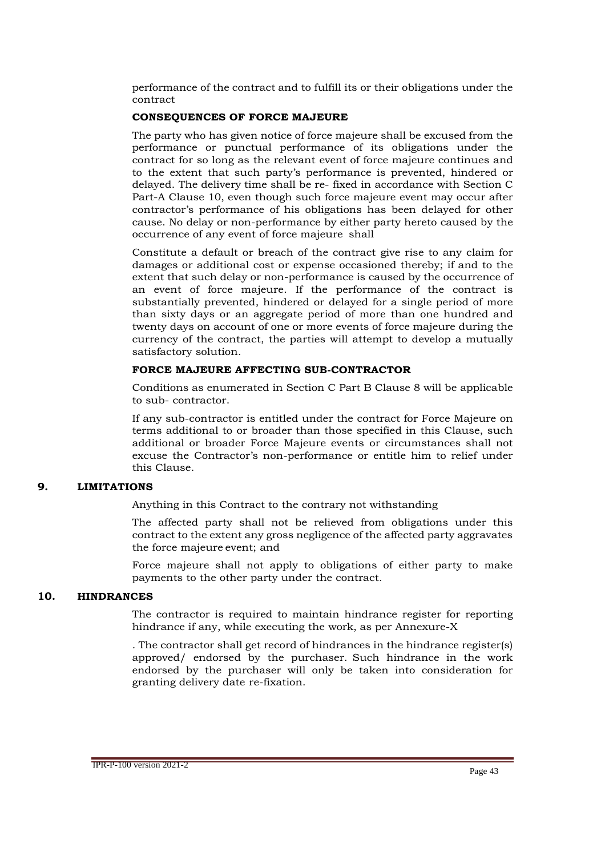performance of the contract and to fulfill its or their obligations under the contract

#### **CONSEQUENCES OF FORCE MAJEURE**

The party who has given notice of force majeure shall be excused from the performance or punctual performance of its obligations under the contract for so long as the relevant event of force majeure continues and to the extent that such party's performance is prevented, hindered or delayed. The delivery time shall be re- fixed in accordance with Section C Part-A Clause 10, even though such force majeure event may occur after contractor's performance of his obligations has been delayed for other cause. No delay or non-performance by either party hereto caused by the occurrence of any event of force majeure shall

Constitute a default or breach of the contract give rise to any claim for damages or additional cost or expense occasioned thereby; if and to the extent that such delay or non-performance is caused by the occurrence of an event of force majeure. If the performance of the contract is substantially prevented, hindered or delayed for a single period of more than sixty days or an aggregate period of more than one hundred and twenty days on account of one or more events of force majeure during the currency of the contract, the parties will attempt to develop a mutually satisfactory solution.

#### **FORCE MAJEURE AFFECTING SUB-CONTRACTOR**

Conditions as enumerated in Section C Part B Clause 8 will be applicable to sub- contractor.

If any sub-contractor is entitled under the contract for Force Majeure on terms additional to or broader than those specified in this Clause, such additional or broader Force Majeure events or circumstances shall not excuse the Contractor's non-performance or entitle him to relief under this Clause.

#### **9. LIMITATIONS**

Anything in this Contract to the contrary not withstanding

The affected party shall not be relieved from obligations under this contract to the extent any gross negligence of the affected party aggravates the force majeure event; and

Force majeure shall not apply to obligations of either party to make payments to the other party under the contract.

#### **10. HINDRANCES**

The contractor is required to maintain hindrance register for reporting hindrance if any, while executing the work, as per Annexure-X

. The contractor shall get record of hindrances in the hindrance register(s) approved/ endorsed by the purchaser. Such hindrance in the work endorsed by the purchaser will only be taken into consideration for granting delivery date re-fixation.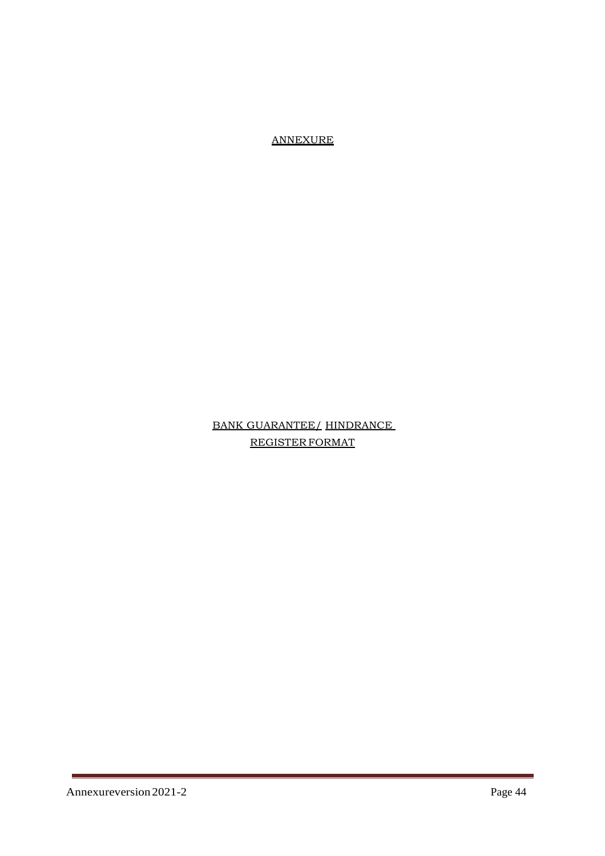ANNEXURE

# BANK GUARANTEE/ HINDRANCE REGISTER FORMAT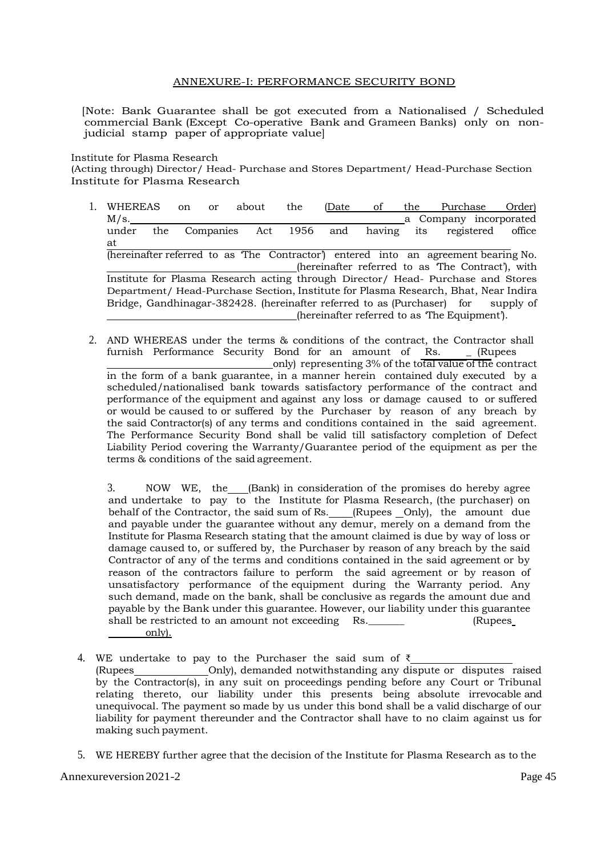#### ANNEXURE-I: PERFORMANCE SECURITY BOND

[Note: Bank Guarantee shall be got executed from a Nationalised / Scheduled commercial Bank (Except Co-operative Bank and Grameen Banks) only on nonjudicial stamp paper of appropriate value]

Institute for Plasma Research

(Acting through) Director/ Head- Purchase and Stores Department/ Head-Purchase Section Institute for Plasma Research

- 1. WHEREAS on or about the (Date of the Purchase Order) M/s. Note that the company incorporated a Company incorporated under the Companies Act 1956 and having its registered office at (hereinafter referred to as 'The Contractor') entered into an agreement bearing No. (hereinafter referred to as 'The Contract'), with Institute for Plasma Research acting through Director/ Head- Purchase and Stores Department/ Head-Purchase Section, Institute for Plasma Research, Bhat, Near Indira Bridge, Gandhinagar-382428. (hereinafter referred to as (Purchaser) for supply of (hereinafter referred to as 'The Equipment').
- 2. AND WHEREAS under the terms & conditions of the contract, the Contractor shall furnish Performance Security Bond for an amount of Rs. (Rupees only) representing 3% of the total value of the contract in the form of a bank guarantee, in a manner herein contained duly executed by a scheduled/nationalised bank towards satisfactory performance of the contract and performance of the equipment and against any loss or damage caused to or suffered or would be caused to or suffered by the Purchaser by reason of any breach by the said Contractor(s) of any terms and conditions contained in the said agreement. The Performance Security Bond shall be valid till satisfactory completion of Defect Liability Period covering the Warranty/Guarantee period of the equipment as per the terms & conditions of the said agreement.

3. NOW WE, the (Bank) in consideration of the promises do hereby agree and undertake to pay to the Institute for Plasma Research, (the purchaser) on behalf of the Contractor, the said sum of Rs. \_\_\_\_ (Rupees \_\_ Only), the amount due and payable under the guarantee without any demur, merely on a demand from the Institute for Plasma Research stating that the amount claimed is due by way of loss or damage caused to, or suffered by, the Purchaser by reason of any breach by the said Contractor of any of the terms and conditions contained in the said agreement or by reason of the contractors failure to perform the said agreement or by reason of unsatisfactory performance of the equipment during the Warranty period. Any such demand, made on the bank, shall be conclusive as regards the amount due and payable by the Bank under this guarantee. However, our liability under this guarantee shall be restricted to an amount not exceeding Rs. \_\_\_\_\_\_ (Rupees only).

Annexureversion 2021-2 Page 45

making such payment.

<sup>4.</sup> WE undertake to pay to the Purchaser the said sum of ₹ (Rupees Only), demanded notwithstanding any dispute or disputes raised by the Contractor(s), in any suit on proceedings pending before any Court or Tribunal relating thereto, our liability under this presents being absolute irrevocable and unequivocal. The payment so made by us under this bond shall be a valid discharge of our liability for payment thereunder and the Contractor shall have to no claim against us for

<sup>5.</sup> WE HEREBY further agree that the decision of the Institute for Plasma Research as to the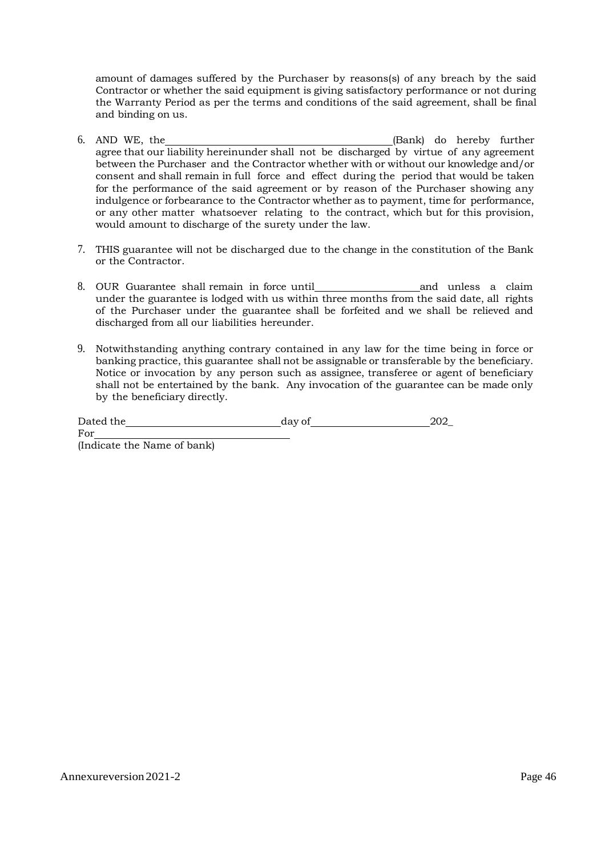amount of damages suffered by the Purchaser by reasons(s) of any breach by the said Contractor or whether the said equipment is giving satisfactory performance or not during the Warranty Period as per the terms and conditions of the said agreement, shall be final and binding on us.

- 6. AND WE, the (Bank) do hereby further agree that our liability hereinunder shall not be discharged by virtue of any agreement between the Purchaser and the Contractor whether with or without our knowledge and/or consent and shall remain in full force and effect during the period that would be taken for the performance of the said agreement or by reason of the Purchaser showing any indulgence or forbearance to the Contractor whether as to payment, time for performance, or any other matter whatsoever relating to the contract, which but for this provision, would amount to discharge of the surety under the law.
- 7. THIS guarantee will not be discharged due to the change in the constitution of the Bank or the Contractor.
- 8. OUR Guarantee shall remain in force until and unless a claim under the guarantee is lodged with us within three months from the said date, all rights of the Purchaser under the guarantee shall be forfeited and we shall be relieved and discharged from all our liabilities hereunder.
- 9. Notwithstanding anything contrary contained in any law for the time being in force or banking practice, this guarantee shall not be assignable or transferable by the beneficiary. Notice or invocation by any person such as assignee, transferee or agent of beneficiary shall not be entertained by the bank. Any invocation of the guarantee can be made only by the beneficiary directly.

| Dated the | day of |  |
|-----------|--------|--|
| For       |        |  |

(Indicate the Name of bank)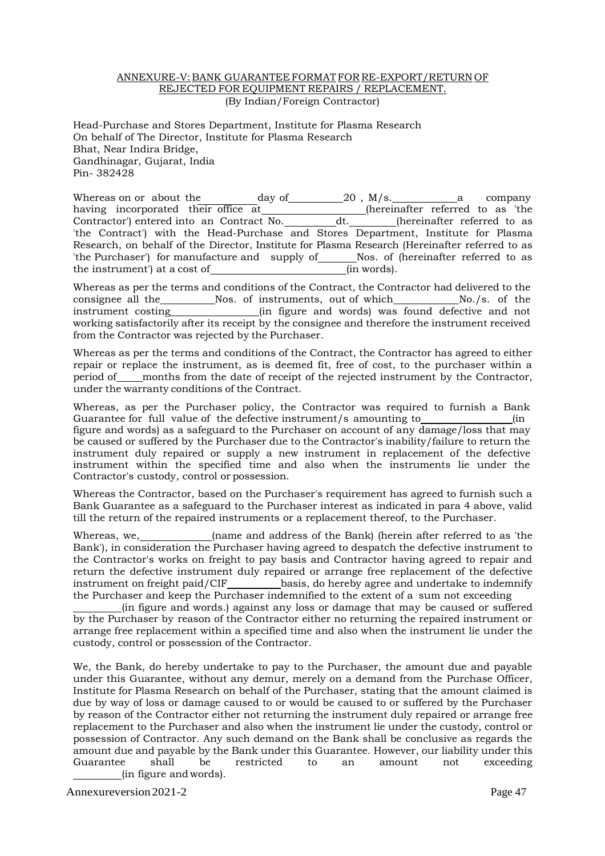#### ANNEXURE-V: BANK GUARANTEE FORMATFOR RE-EXPORT/RETURN OF REJECTED FOR EQUIPMENT REPAIRS / REPLACEMENT. (By Indian/Foreign Contractor)

Head-Purchase and Stores Department, Institute for Plasma Research On behalf of The Director, Institute for Plasma Research Bhat, Near Indira Bridge, Gandhinagar, Gujarat, India Pin- 382428

Whereas on or about the day of  $20$ , M/s. a company having incorporated their office at (hereinafter referred to as 'the Contractor') entered into an Contract No. dt. (hereinafter referred to as Contractor') entered into an Contract No. dt. (hereinafter referred to as 'the Contract') with the Head-Purchase and Stores Department, Institute for Plasma Research, on behalf of the Director, Institute for Plasma Research (Hereinafter referred to as 'the Purchaser') for manufacture and supply of Nos. of (hereinafter referred to as the instrument') at a cost of  $\frac{1}{2}$  (in words). the instrument') at a cost of

Whereas as per the terms and conditions of the Contract, the Contractor had delivered to the consignee all the Nos. of instruments, out of which No./s. of the instrument costing  $\qquad$  (in figure and words) was found defective and not working satisfactorily after its receipt by the consignee and therefore the instrument received from the Contractor was rejected by the Purchaser.

Whereas as per the terms and conditions of the Contract, the Contractor has agreed to either repair or replace the instrument, as is deemed fit, free of cost, to the purchaser within a period of months from the date of receipt of the rejected instrument by the Contractor, under the warranty conditions of the Contract.

Whereas, as per the Purchaser policy, the Contractor was required to furnish a Bank Guarantee for full value of the defective instrument/s amounting to (in figure and words) as a safeguard to the Purchaser on account of any damage/loss that may be caused or suffered by the Purchaser due to the Contractor's inability/failure to return the instrument duly repaired or supply a new instrument in replacement of the defective instrument within the specified time and also when the instruments lie under the Contractor's custody, control or possession.

Whereas the Contractor, based on the Purchaser's requirement has agreed to furnish such a Bank Guarantee as a safeguard to the Purchaser interest as indicated in para 4 above, valid till the return of the repaired instruments or a replacement thereof, to the Purchaser.

Whereas, we, (name and address of the Bank) (herein after referred to as 'the Bank'), in consideration the Purchaser having agreed to despatch the defective instrument to the Contractor's works on freight to pay basis and Contractor having agreed to repair and return the defective instrument duly repaired or arrange free replacement of the defective basis, do hereby agree and undertake to indemnify the Purchaser and keep the Purchaser indemnified to the extent of a sum not exceeding

(in figure and words.) against any loss or damage that may be caused or suffered by the Purchaser by reason of the Contractor either no returning the repaired instrument or arrange free replacement within a specified time and also when the instrument lie under the custody, control or possession of the Contractor.

We, the Bank, do hereby undertake to pay to the Purchaser, the amount due and payable under this Guarantee, without any demur, merely on a demand from the Purchase Officer, Institute for Plasma Research on behalf of the Purchaser, stating that the amount claimed is due by way of loss or damage caused to or would be caused to or suffered by the Purchaser by reason of the Contractor either not returning the instrument duly repaired or arrange free replacement to the Purchaser and also when the instrument lie under the custody, control or possession of Contractor. Any such demand on the Bank shall be conclusive as regards the amount due and payable by the Bank under this Guarantee. However, our liability under this Guarantee shall be restricted to an amount not exceeding (in figure and words).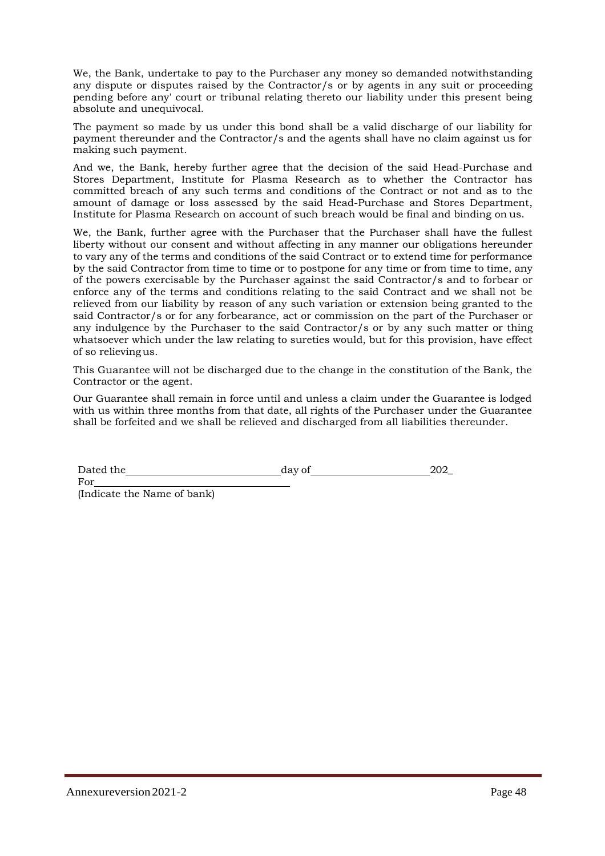We, the Bank, undertake to pay to the Purchaser any money so demanded notwithstanding any dispute or disputes raised by the Contractor/s or by agents in any suit or proceeding pending before any' court or tribunal relating thereto our liability under this present being absolute and unequivocal.

The payment so made by us under this bond shall be a valid discharge of our liability for payment thereunder and the Contractor/s and the agents shall have no claim against us for making such payment.

And we, the Bank, hereby further agree that the decision of the said Head-Purchase and Stores Department, Institute for Plasma Research as to whether the Contractor has committed breach of any such terms and conditions of the Contract or not and as to the amount of damage or loss assessed by the said Head-Purchase and Stores Department, Institute for Plasma Research on account of such breach would be final and binding on us.

We, the Bank, further agree with the Purchaser that the Purchaser shall have the fullest liberty without our consent and without affecting in any manner our obligations hereunder to vary any of the terms and conditions of the said Contract or to extend time for performance by the said Contractor from time to time or to postpone for any time or from time to time, any of the powers exercisable by the Purchaser against the said Contractor/s and to forbear or enforce any of the terms and conditions relating to the said Contract and we shall not be relieved from our liability by reason of any such variation or extension being granted to the said Contractor/s or for any forbearance, act or commission on the part of the Purchaser or any indulgence by the Purchaser to the said Contractor/s or by any such matter or thing whatsoever which under the law relating to sureties would, but for this provision, have effect of so relievingus.

This Guarantee will not be discharged due to the change in the constitution of the Bank, the Contractor or the agent.

Our Guarantee shall remain in force until and unless a claim under the Guarantee is lodged with us within three months from that date, all rights of the Purchaser under the Guarantee shall be forfeited and we shall be relieved and discharged from all liabilities thereunder.

Dated the day of 202

(Indicate the Name of bank)

For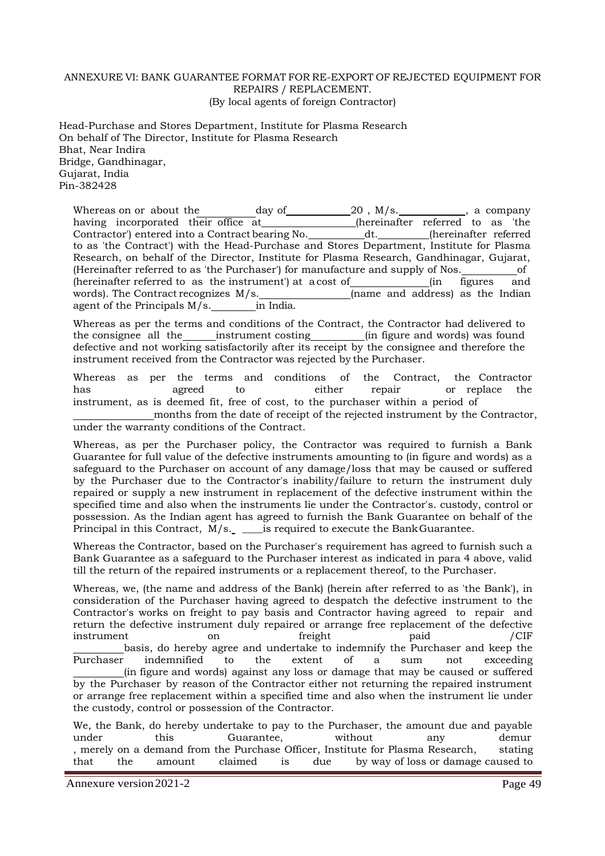#### ANNEXURE VI: BANK GUARANTEE FORMAT FOR RE-EXPORT OF REJECTED EQUIPMENT FOR REPAIRS / REPLACEMENT. (By local agents of foreign Contractor)

Head-Purchase and Stores Department, Institute for Plasma Research On behalf of The Director, Institute for Plasma Research Bhat, Near Indira Bridge, Gandhinagar, Gujarat, India Pin-382428

Whereas on or about the day of  $\begin{array}{ccc} 20 \end{array}$ , M/s.  $\begin{array}{ccc} 2 & \text{if} & \text{if} & \text{if} & \text{if} & \text{if} & \text{if} & \text{if} & \text{if} & \text{if} & \text{if} & \text{if} & \text{if} & \text{if} & \text{if} & \text{if} & \text{if} & \text{if} & \text{if} & \text{if} & \text{if} & \text{if} & \text{if} & \text{if} & \text{if} & \text{if} & \text{if}$ having incorporated their office at\_\_\_\_\_\_\_\_\_\_\_\_\_\_\_(hereinafter referred to as 'the Contractor') entered into a Contract bearing No. \_\_\_\_\_\_\_\_\_\_\_\_dt. \_\_\_\_\_\_\_\_\_(hereinafter referred to as 'the Contract') with the Head-Purchase and Stores Department, Institute for Plasma Research, on behalf of the Director, Institute for Plasma Research, Gandhinagar, Gujarat, (Hereinafter referred to as 'the Purchaser') for manufacture and supply of Nos. of (hereinafter referred to as the instrument) at a cost of <u>second</u> (in figures and words). The Contract recognizes  $M/s$ .<br>agent of the Principals  $M/s$ . in India. (name and address) as the Indian agent of the Principals  $M/s$ . agent of the Principals  $M/s$ .

Whereas as per the terms and conditions of the Contract, the Contractor had delivered to the consignee all the instrument costing in figure and words) was found defective and not working satisfactorily after its receipt by the consignee and therefore the instrument received from the Contractor was rejected by the Purchaser.

Whereas as per the terms and conditions of the Contract, the Contractor has agreed to either repair or replace the instrument, as is deemed fit, free of cost, to the purchaser within a period of

months from the date of receipt of the rejected instrument by the Contractor, under the warranty conditions of the Contract.

Whereas, as per the Purchaser policy, the Contractor was required to furnish a Bank Guarantee for full value of the defective instruments amounting to (in figure and words) as a safeguard to the Purchaser on account of any damage/loss that may be caused or suffered by the Purchaser due to the Contractor's inability/failure to return the instrument duly repaired or supply a new instrument in replacement of the defective instrument within the specified time and also when the instruments lie under the Contractor's. custody, control or possession. As the Indian agent has agreed to furnish the Bank Guarantee on behalf of the Principal in this Contract,  $M/s$ .  $\_\_\_\_\_\_\_\_\_\_\_\_\_\_\_\_\_\_\_\_\_\_\_\_\_\_\_\_\.\_\\_\.\_\.\_$ 

Whereas the Contractor, based on the Purchaser's requirement has agreed to furnish such a Bank Guarantee as a safeguard to the Purchaser interest as indicated in para 4 above, valid till the return of the repaired instruments or a replacement thereof, to the Purchaser.

Whereas, we, (the name and address of the Bank) (herein after referred to as 'the Bank'), in consideration of the Purchaser having agreed to despatch the defective instrument to the Contractor's works on freight to pay basis and Contractor having agreed to repair and return the defective instrument duly repaired or arrange free replacement of the defective instrument on freight paid /CIF basis, do hereby agree and undertake to indemnify the Purchaser and keep the Purchaser indemnified to the extent of a sum not exceeding (in figure and words) against any loss or damage that may be caused or suffered by the Purchaser by reason of the Contractor either not returning the repaired instrument or arrange free replacement within a specified time and also when the instrument lie under the custody, control or possession of the Contractor.

We, the Bank, do hereby undertake to pay to the Purchaser, the amount due and payable under this Guarantee, without any demur , merely on a demand from the Purchase Officer, Institute for Plasma Research, stating that the amount claimed is due by way of loss or damage caused to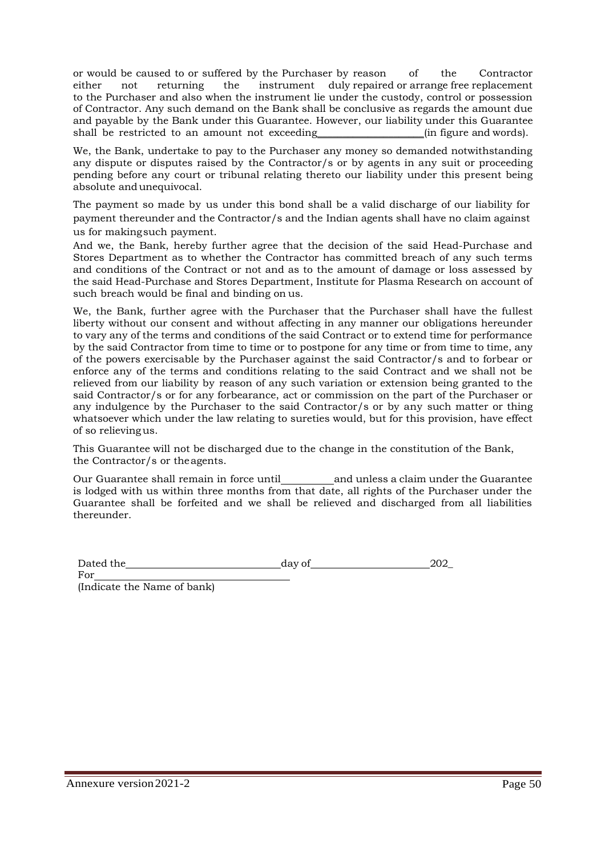or would be caused to or suffered by the Purchaser by reason of the Contractor either not returning the instrument duly repaired or arrange free replacement to the Purchaser and also when the instrument lie under the custody, control or possession of Contractor. Any such demand on the Bank shall be conclusive as regards the amount due and payable by the Bank under this Guarantee. However, our liability under this Guarantee shall be restricted to an amount not exceeding finity in figure and words).

We, the Bank, undertake to pay to the Purchaser any money so demanded notwithstanding any dispute or disputes raised by the Contractor/s or by agents in any suit or proceeding pending before any court or tribunal relating thereto our liability under this present being absolute andunequivocal.

The payment so made by us under this bond shall be a valid discharge of our liability for payment thereunder and the Contractor/s and the Indian agents shall have no claim against us for makingsuch payment.

And we, the Bank, hereby further agree that the decision of the said Head-Purchase and Stores Department as to whether the Contractor has committed breach of any such terms and conditions of the Contract or not and as to the amount of damage or loss assessed by the said Head-Purchase and Stores Department, Institute for Plasma Research on account of such breach would be final and binding on us.

We, the Bank, further agree with the Purchaser that the Purchaser shall have the fullest liberty without our consent and without affecting in any manner our obligations hereunder to vary any of the terms and conditions of the said Contract or to extend time for performance by the said Contractor from time to time or to postpone for any time or from time to time, any of the powers exercisable by the Purchaser against the said Contractor/s and to forbear or enforce any of the terms and conditions relating to the said Contract and we shall not be relieved from our liability by reason of any such variation or extension being granted to the said Contractor/s or for any forbearance, act or commission on the part of the Purchaser or any indulgence by the Purchaser to the said Contractor/s or by any such matter or thing whatsoever which under the law relating to sureties would, but for this provision, have effect of so relievingus.

This Guarantee will not be discharged due to the change in the constitution of the Bank, the Contractor/s or theagents.

Our Guarantee shall remain in force until and unless a claim under the Guarantee is lodged with us within three months from that date, all rights of the Purchaser under the Guarantee shall be forfeited and we shall be relieved and discharged from all liabilities thereunder.

| Dated the | day of | 202 |
|-----------|--------|-----|
|           |        |     |

For

(Indicate the Name of bank)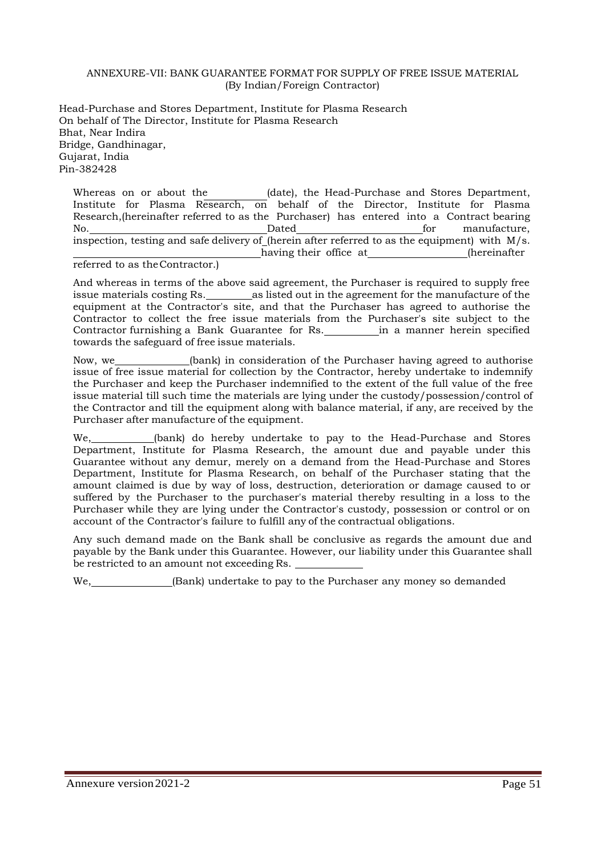#### ANNEXURE-VII: BANK GUARANTEE FORMAT FOR SUPPLY OF FREE ISSUE MATERIAL (By Indian/Foreign Contractor)

Head-Purchase and Stores Department, Institute for Plasma Research On behalf of The Director, Institute for Plasma Research Bhat, Near Indira Bridge, Gandhinagar, Gujarat, India Pin-382428

Whereas on or about the  $(date)$ , the Head-Purchase and Stores Department, Institute for Plasma Research, on behalf of the Director, Institute for Plasma Research,(hereinafter referred to as the Purchaser) has entered into a Contract bearing No. Dated for manufacture, inspection, testing and safe delivery of (herein after referred to as the equipment) with M/s. having their office at (hereinafter)

referred to as theContractor.)

And whereas in terms of the above said agreement, the Purchaser is required to supply free issue materials costing Rs. as listed out in the agreement for the manufacture of the equipment at the Contractor's site, and that the Purchaser has agreed to authorise the Contractor to collect the free issue materials from the Purchaser's site subject to the Contractor furnishing a Bank Guarantee for Rs. in a manner herein specified towards the safeguard of free issue materials.

Now, we (bank) in consideration of the Purchaser having agreed to authorise issue of free issue material for collection by the Contractor, hereby undertake to indemnify the Purchaser and keep the Purchaser indemnified to the extent of the full value of the free issue material till such time the materials are lying under the custody/possession/control of the Contractor and till the equipment along with balance material, if any, are received by the Purchaser after manufacture of the equipment.

(bank) do hereby undertake to pay to the Head-Purchase and Stores Department, Institute for Plasma Research, the amount due and payable under this Guarantee without any demur, merely on a demand from the Head-Purchase and Stores Department, Institute for Plasma Research, on behalf of the Purchaser stating that the amount claimed is due by way of loss, destruction, deterioration or damage caused to or suffered by the Purchaser to the purchaser's material thereby resulting in a loss to the Purchaser while they are lying under the Contractor's custody, possession or control or on account of the Contractor's failure to fulfill any of the contractual obligations.

Any such demand made on the Bank shall be conclusive as regards the amount due and payable by the Bank under this Guarantee. However, our liability under this Guarantee shall be restricted to an amount not exceeding Rs.

 $\Box$  (Bank) undertake to pay to the Purchaser any money so demanded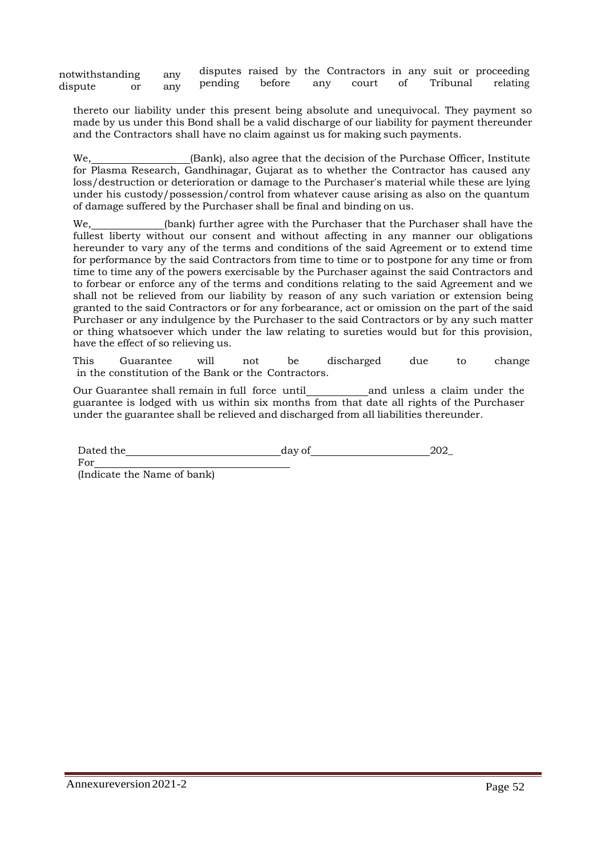notwithstanding any dispute or any disputes raised by the Contractors in any suit or proceeding pending before any court of Tribunal relating

thereto our liability under this present being absolute and unequivocal. They payment so made by us under this Bond shall be a valid discharge of our liability for payment thereunder and the Contractors shall have no claim against us for making such payments.

 $(Bank)$ , also agree that the decision of the Purchase Officer, Institute for Plasma Research, Gandhinagar, Gujarat as to whether the Contractor has caused any loss/destruction or deterioration or damage to the Purchaser's material while these are lying under his custody/possession/control from whatever cause arising as also on the quantum of damage suffered by the Purchaser shall be final and binding on us.

We, (bank) further agree with the Purchaser that the Purchaser shall have the fullest liberty without our consent and without affecting in any manner our obligations hereunder to vary any of the terms and conditions of the said Agreement or to extend time for performance by the said Contractors from time to time or to postpone for any time or from time to time any of the powers exercisable by the Purchaser against the said Contractors and to forbear or enforce any of the terms and conditions relating to the said Agreement and we shall not be relieved from our liability by reason of any such variation or extension being granted to the said Contractors or for any forbearance, act or omission on the part of the said Purchaser or any indulgence by the Purchaser to the said Contractors or by any such matter or thing whatsoever which under the law relating to sureties would but for this provision, have the effect of so relieving us.

This Guarantee will not be discharged due to change in the constitution of the Bank or the Contractors.

Our Guarantee shall remain in full force until and unless a claim under the guarantee is lodged with us within six months from that date all rights of the Purchaser under the guarantee shall be relieved and discharged from all liabilities thereunder.

Dated the day of 202

For

(Indicate the Name of bank)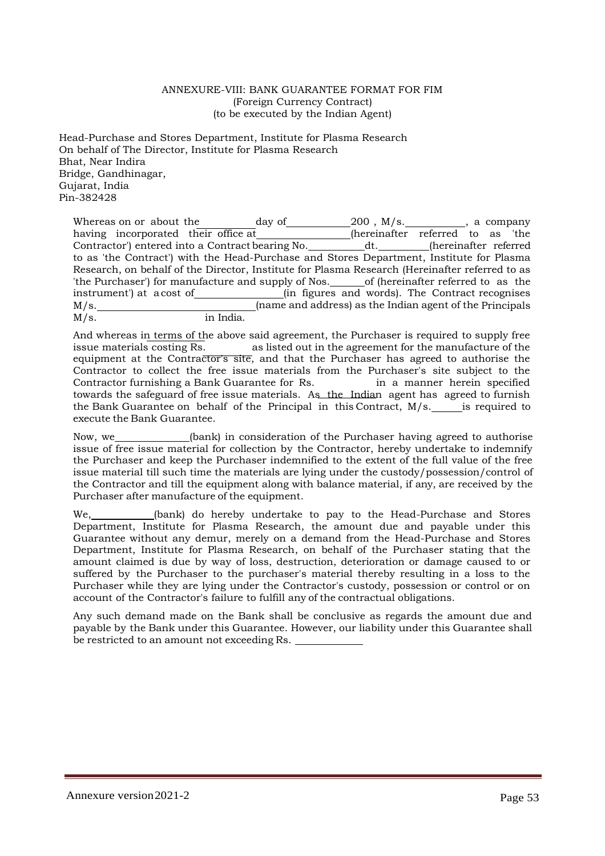#### ANNEXURE-VIII: BANK GUARANTEE FORMAT FOR FIM (Foreign Currency Contract) (to be executed by the Indian Agent)

Head-Purchase and Stores Department, Institute for Plasma Research On behalf of The Director, Institute for Plasma Research Bhat, Near Indira Bridge, Gandhinagar, Gujarat, India Pin-382428

Whereas on or about the day of  $\begin{array}{ccc} 200 \end{array}$ , M/s.  $\begin{array}{ccc} 200 \end{array}$ , a company having incorporated their office at\_\_\_\_\_\_\_\_\_\_\_\_\_\_\_(hereinafter referred to as 'the Contractor') entered into a Contract bearing No. \_\_\_\_\_\_\_\_\_\_\_\_dt. \_\_\_\_\_\_\_\_\_(hereinafter referred to as 'the Contract') with the Head-Purchase and Stores Department, Institute for Plasma Research, on behalf of the Director, Institute for Plasma Research (Hereinafter referred to as the 'the Purchaser') for manufacture and supply of Nos. \_\_\_\_\_\_\_ of (hereinafter referred to as the 'the Purchaser') for manufacture and supply of Nos. instrument') at a cost of (in figures and words). The Contract recognises M/s. (name and address) as the Indian agent of the Principals M/s. in India.

And whereas in terms of the above said agreement, the Purchaser is required to supply free issue materials costing Rs. as listed out in the agreement for the manufacture of the equipment at the Contractor's site, and that the Purchaser has agreed to authorise the Contractor to collect the free issue materials from the Purchaser's site subject to the Contractor furnishing a Bank Guarantee for Rs. <br>in a manner herein specified Contractor furnishing a Bank Guarantee for Rs. towards the safeguard of free issue materials. As the Indian agent has agreed to furnish the Bank Guarantee on behalf of the Principal in this Contract, M/s. is required to execute the Bank Guarantee.

Now, we (bank) in consideration of the Purchaser having agreed to authorise issue of free issue material for collection by the Contractor, hereby undertake to indemnify the Purchaser and keep the Purchaser indemnified to the extent of the full value of the free issue material till such time the materials are lying under the custody/possession/control of the Contractor and till the equipment along with balance material, if any, are received by the Purchaser after manufacture of the equipment.

We, \_\_\_\_\_\_\_\_(bank) do hereby undertake to pay to the Head-Purchase and Stores Department, Institute for Plasma Research, the amount due and payable under this Guarantee without any demur, merely on a demand from the Head-Purchase and Stores Department, Institute for Plasma Research, on behalf of the Purchaser stating that the amount claimed is due by way of loss, destruction, deterioration or damage caused to or suffered by the Purchaser to the purchaser's material thereby resulting in a loss to the Purchaser while they are lying under the Contractor's custody, possession or control or on account of the Contractor's failure to fulfill any of the contractual obligations.

Any such demand made on the Bank shall be conclusive as regards the amount due and payable by the Bank under this Guarantee. However, our liability under this Guarantee shall be restricted to an amount not exceeding Rs.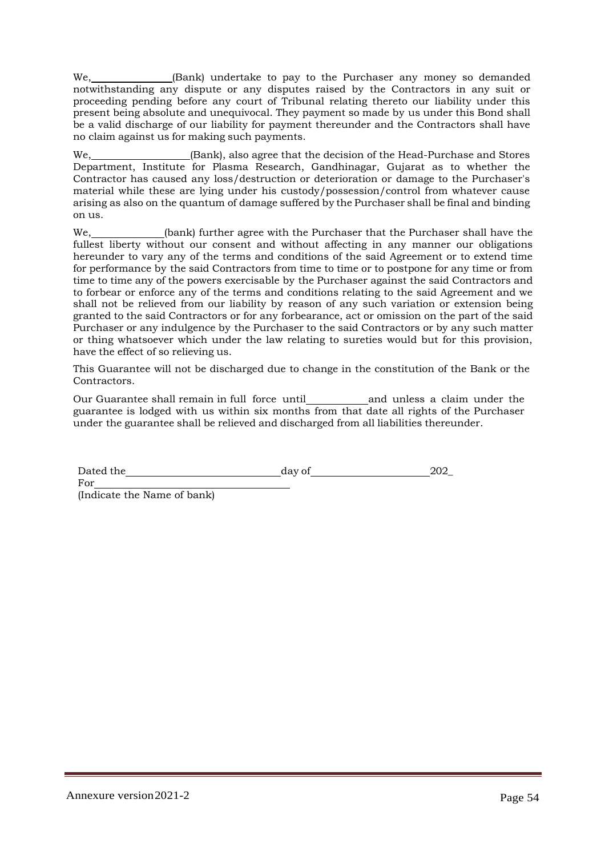We, \_\_\_\_\_\_\_\_\_\_\_\_(Bank) undertake to pay to the Purchaser any money so demanded notwithstanding any dispute or any disputes raised by the Contractors in any suit or proceeding pending before any court of Tribunal relating thereto our liability under this present being absolute and unequivocal. They payment so made by us under this Bond shall be a valid discharge of our liability for payment thereunder and the Contractors shall have no claim against us for making such payments.

We, \_\_\_\_\_\_\_\_\_\_\_\_\_\_\_(Bank), also agree that the decision of the Head-Purchase and Stores Department, Institute for Plasma Research, Gandhinagar, Gujarat as to whether the Contractor has caused any loss/destruction or deterioration or damage to the Purchaser's material while these are lying under his custody/possession/control from whatever cause arising as also on the quantum of damage suffered by the Purchaser shall be final and binding on us.

We, (bank) further agree with the Purchaser that the Purchaser shall have the fullest liberty without our consent and without affecting in any manner our obligations hereunder to vary any of the terms and conditions of the said Agreement or to extend time for performance by the said Contractors from time to time or to postpone for any time or from time to time any of the powers exercisable by the Purchaser against the said Contractors and to forbear or enforce any of the terms and conditions relating to the said Agreement and we shall not be relieved from our liability by reason of any such variation or extension being granted to the said Contractors or for any forbearance, act or omission on the part of the said Purchaser or any indulgence by the Purchaser to the said Contractors or by any such matter or thing whatsoever which under the law relating to sureties would but for this provision, have the effect of so relieving us.

This Guarantee will not be discharged due to change in the constitution of the Bank or the Contractors.

Our Guarantee shall remain in full force until\_\_\_\_\_\_\_\_\_\_\_\_\_ and unless a claim under the guarantee is lodged with us within six months from that date all rights of the Purchaser under the guarantee shall be relieved and discharged from all liabilities thereunder.

| Dated the | dav of | 202 |
|-----------|--------|-----|
|           |        |     |

For (Indicate the Name of bank)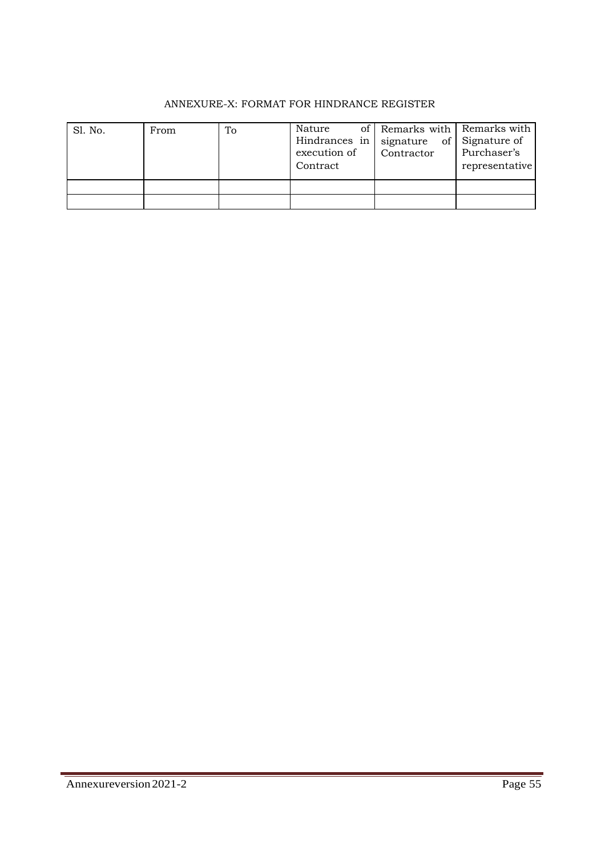# ANNEXURE-X: FORMAT FOR HINDRANCE REGISTER

| Sl. No. | From | To | Nature<br>Hindrances in $\vert$ signature<br>execution of<br>Contract | of Remarks with Remarks with<br>Contractor | of Signature of<br>Purchaser's<br>representative |
|---------|------|----|-----------------------------------------------------------------------|--------------------------------------------|--------------------------------------------------|
|         |      |    |                                                                       |                                            |                                                  |
|         |      |    |                                                                       |                                            |                                                  |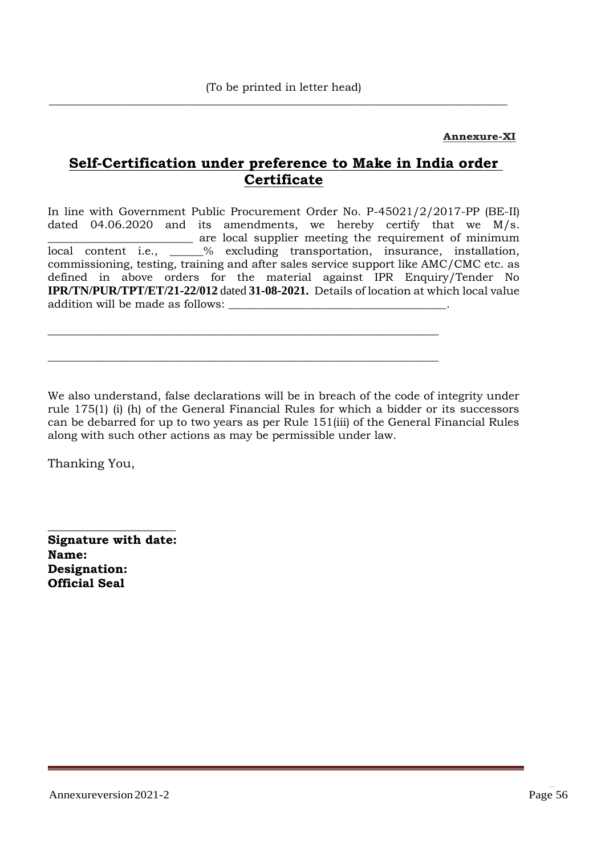$\overline{\phantom{a}}$  ,  $\overline{\phantom{a}}$  ,  $\overline{\phantom{a}}$  ,  $\overline{\phantom{a}}$  ,  $\overline{\phantom{a}}$  ,  $\overline{\phantom{a}}$  ,  $\overline{\phantom{a}}$  ,  $\overline{\phantom{a}}$  ,  $\overline{\phantom{a}}$  ,  $\overline{\phantom{a}}$  ,  $\overline{\phantom{a}}$  ,  $\overline{\phantom{a}}$  ,  $\overline{\phantom{a}}$  ,  $\overline{\phantom{a}}$  ,  $\overline{\phantom{a}}$  ,  $\overline{\phantom{a}}$ 

## **Annexure-XI**

# **Self-Certification under preference to Make in India order Certificate**

In line with Government Public Procurement Order No. P-45021/2/2017-PP (BE-II) dated 04.06.2020 and its amendments, we hereby certify that we M/s. \_\_\_\_\_\_\_\_\_\_\_\_\_\_\_\_\_\_\_\_\_\_\_\_\_\_ are local supplier meeting the requirement of minimum local content i.e., \_\_\_\_\_\_% excluding transportation, insurance, installation, commissioning, testing, training and after sales service support like AMC/CMC etc. as defined in above orders for the material against IPR Enquiry/Tender No **IPR/TN/PUR/TPT/ET/21-22/012** dated **31-08-2021.** Details of location at which local value addition will be made as follows:

\_\_\_\_\_\_\_\_\_\_\_\_\_\_\_\_\_\_\_\_\_\_\_\_\_\_\_\_\_\_\_\_\_\_\_\_\_\_\_\_\_\_\_\_\_\_\_\_\_\_\_\_\_\_\_\_\_\_\_\_\_\_\_\_\_\_\_\_\_\_

\_\_\_\_\_\_\_\_\_\_\_\_\_\_\_\_\_\_\_\_\_\_\_\_\_\_\_\_\_\_\_\_\_\_\_\_\_\_\_\_\_\_\_\_\_\_\_\_\_\_\_\_\_\_\_\_\_\_\_\_\_\_\_\_\_\_\_\_\_\_

We also understand, false declarations will be in breach of the code of integrity under rule 175(1) (i) (h) of the General Financial Rules for which a bidder or its successors can be debarred for up to two years as per Rule 151(iii) of the General Financial Rules along with such other actions as may be permissible under law.

Thanking You,

**Signature with date: Name: Designation: Official Seal**

**\_\_\_\_\_\_\_\_\_\_\_\_\_\_\_\_\_\_\_\_\_**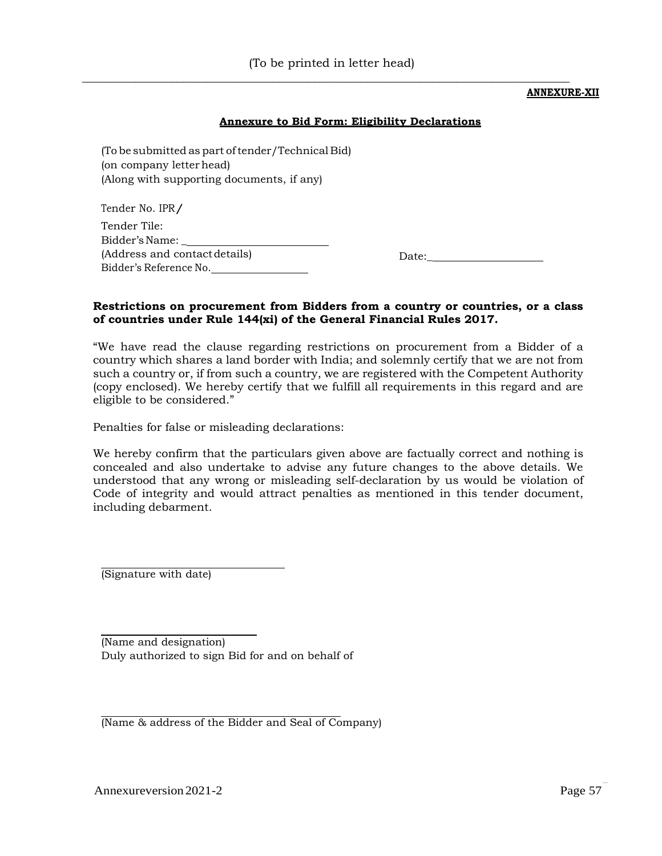$\frac{1}{\sqrt{2}}$  ,  $\frac{1}{\sqrt{2}}$  ,  $\frac{1}{\sqrt{2}}$  ,  $\frac{1}{\sqrt{2}}$  ,  $\frac{1}{\sqrt{2}}$  ,  $\frac{1}{\sqrt{2}}$  ,  $\frac{1}{\sqrt{2}}$  ,  $\frac{1}{\sqrt{2}}$  ,  $\frac{1}{\sqrt{2}}$  ,  $\frac{1}{\sqrt{2}}$  ,  $\frac{1}{\sqrt{2}}$  ,  $\frac{1}{\sqrt{2}}$  ,  $\frac{1}{\sqrt{2}}$  ,  $\frac{1}{\sqrt{2}}$  ,  $\frac{1}{\sqrt{2}}$ 

#### **ANNEXURE-XII**

#### **Annexure to Bid Form: Eligibility Declarations**

(To be submitted as part of tender/Technical Bid) (on company letter head) (Along with supporting documents, if any)

Tender No. IPR/ Tender Tile: Bidder'sName: \_ (Address and contactdetails) Bidder's Reference No.

Date:\_

#### **Restrictions on procurement from Bidders from a country or countries, or a class of countries under Rule 144(xi) of the General Financial Rules 2017.**

"We have read the clause regarding restrictions on procurement from a Bidder of a country which shares a land border with India; and solemnly certify that we are not from such a country or, if from such a country, we are registered with the Competent Authority (copy enclosed). We hereby certify that we fulfill all requirements in this regard and are eligible to be considered."

Penalties for false or misleading declarations:

We hereby confirm that the particulars given above are factually correct and nothing is concealed and also undertake to advise any future changes to the above details. We understood that any wrong or misleading self-declaration by us would be violation of Code of integrity and would attract penalties as mentioned in this tender document, including debarment.

(Signature with date)

(Name and designation) Duly authorized to sign Bid for and on behalf of

(Name & address of the Bidder and Seal of Company)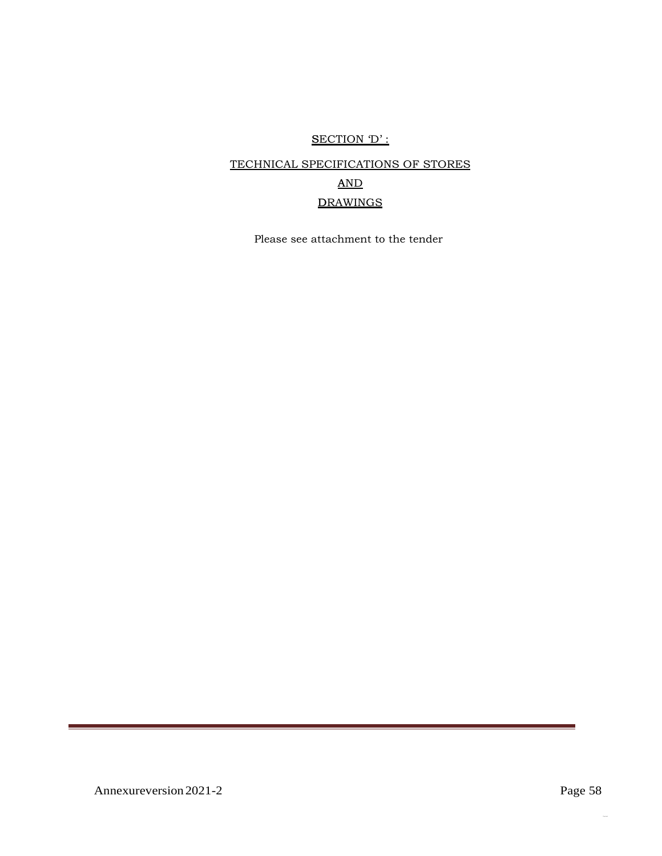# SECTION 'D' :

# TECHNICAL SPECIFICATIONS OF STORES AND DRAWINGS

Please see attachment to the tender